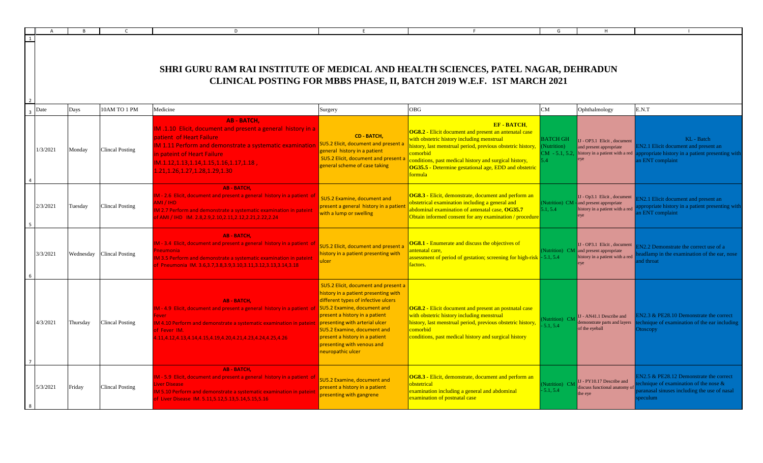|                |          |           |                        | D.                                                                                                                                                                                                                                                                                    |                                                                                                                                                                                                                                                                                                                                            |                                                                                                                                                                                                                                                                                                                                                       |                                                               |                                                                                                            |                                                                                                                                            |
|----------------|----------|-----------|------------------------|---------------------------------------------------------------------------------------------------------------------------------------------------------------------------------------------------------------------------------------------------------------------------------------|--------------------------------------------------------------------------------------------------------------------------------------------------------------------------------------------------------------------------------------------------------------------------------------------------------------------------------------------|-------------------------------------------------------------------------------------------------------------------------------------------------------------------------------------------------------------------------------------------------------------------------------------------------------------------------------------------------------|---------------------------------------------------------------|------------------------------------------------------------------------------------------------------------|--------------------------------------------------------------------------------------------------------------------------------------------|
|                |          |           |                        | SHRI GURU RAM RAI INSTITUTE OF MEDICAL AND HEALTH SCIENCES, PATEL NAGAR, DEHRADUN                                                                                                                                                                                                     |                                                                                                                                                                                                                                                                                                                                            | CLINICAL POSTING FOR MBBS PHASE, II, BATCH 2019 W.E.F. 1ST MARCH 2021                                                                                                                                                                                                                                                                                 |                                                               |                                                                                                            |                                                                                                                                            |
| $\overline{3}$ | Date     | Days      | 10AM TO 1 PM           | Medicine                                                                                                                                                                                                                                                                              | Surgery                                                                                                                                                                                                                                                                                                                                    | <b>OBG</b>                                                                                                                                                                                                                                                                                                                                            | CM                                                            | Ophthalmology                                                                                              | E.N.T                                                                                                                                      |
|                | 1/3/2021 | Monday    | Clincal Posting        | <b>AB - BATCH.</b><br>IM .1.10 Elicit, document and present a general history in a<br>patient of Heart Failure<br>IM 1.11 Perform and demonstrate a systematic examination<br>in pateint of Heart Failure<br>, IM.1.12,1.13,1.14,1.15,1.16,1.17,1.18<br>1.21,1.26,1.27,1.28,1.29,1.30 | CD - BATCH,<br><b>SU5.2 Elicit, document and present a</b><br>general history in a patient<br>SU5.2 Elicit, document and present a<br>general scheme of case taking                                                                                                                                                                        | <b>EF-BATCH.</b><br><b>OG8.2</b> - Elicit document and present an antenatal case<br>with obstetric history including menstrual<br>history, last menstrual period, previous obstetric history,<br>comorbid<br>conditions, past medical history and surgical history,<br><b>OG35.5 - Determine gestational age, EDD and obstetric</b><br><b>formula</b> | <b>BATCH GH</b><br>Nutrition)<br>$CM - 5.1, 5.2,$<br>$\Delta$ | J - OP3.1 Elicit, document<br>and present appropriate<br>history in a patient with a red                   | KL - Batch<br>EN2.1 Elicit document and present an<br>opropriate history in a patient presenting with<br>n ENT complaint                   |
|                | 2/3/2021 | Tuesday   | Clincal Posting        | <b>AB - BATCH,</b><br>M - 2.6 Elicit, document and present a general history in a patient of<br>AMI / IHD<br>M 2.7 Perform and demonstrate a systematic examination in pateint<br>of AMI / IHD IM. 2.8, 2.9, 2.10, 2.11, 2.12, 2.21, 2.22, 2.24                                       | SU5.2 Examine, document and<br>present a general history in a patient<br>with a lump or swelling                                                                                                                                                                                                                                           | OG8.3 - Elicit, demonstrate, document and perform an<br>obstetrical examination including a general and<br>abdominal examination of antenatal case, OG35.7<br>Obtain informed consent for any examination / procedure                                                                                                                                 | 5.1, 5.4                                                      | IJ - Op3.1 Elicit, document<br>(Nutrition) CM - and present appropriate<br>nistory in a patient with a red | N <sub>2.1</sub> Elicit document and present an<br>propriate history in a patient presenting with<br>n ENT complaint                       |
|                | 3/3/2021 | Wednesday | <b>Clincal Posting</b> | <b>AB-BATCH,</b><br>M - 3.4 Elicit, document and present a general history in a patient of<br>M 3.5 Perform and demonstrate a systematic examination in pateint<br>f Pneumonia IM. 3.6, 3.7, 3.8, 3.9, 3.10, 3.11, 3.12, 3.13, 3.14, 3.18                                             | SU5.2 Elicit, document and present a<br>history in a patient presenting with<br>ulcer                                                                                                                                                                                                                                                      | <b>OG8.1</b> - Enumerate and discuss the objectives of<br>intenatal care.<br>ssessment of period of gestation; screening for high-risk - 5.1, 5.4<br>factors.                                                                                                                                                                                         |                                                               | U - OP3.1 Elicit, document<br>Vutrition) CM and present appropriate<br>history in a patient with a red     | N2.2 Demonstrate the correct use of a<br>adlamp in the examination of the ear, nose<br>nd throat                                           |
|                | 4/3/2021 | Thursday  | Clincal Posting        | <b>AB-BATCH.</b><br>M - 4.9 Elicit, document and present a general history in a patient of<br>ever<br>M 4.10 Perform and demonstrate a systematic examination in patein<br>of Fever IM.<br>.11,4.12,4.13,4.14,4.15,4.19,4.20,4.21,4.23,4.24,4.25,4.26                                 | SU5.2 Elicit, document and present a<br>history in a patient presenting with<br>different types of infective ulcers<br>SU5.2 Examine, document and<br>present a history in a patient<br>presenting with arterial ulcer<br>SU5.2 Examine, document and<br>present a history in a patient<br>presenting with venous and<br>neuropathic ulcer | <b>OG8.2 - Elicit document and present an postnatal case</b><br>with obstetric history including menstrual<br>history, last menstrual period, previous obstetric history,<br>comorbid<br>conditions, past medical history and surgical history                                                                                                        | <b>Nutrition</b> ) CM<br>5.1.5.4                              | IJ - AN41.1 Describe and<br>lemonstrate parts and layers<br>of the eyeball                                 | N2.3 & PE28.10 Demonstrate the correct<br>echnique of examination of the ear including<br><b>Otoscopy</b>                                  |
|                | 5/3/2021 | Friday    | Clincal Posting        | <b>AB - BATCH.</b><br>M - 5.9 Elicit, document and present a general history in a patient of<br>iver Disease<br>M 5.10 Perform and demonstrate a systematic examination in pateir<br>of Liver Disease IM. 5.11,5.12,5.13,5.14,5.15,5.16                                               | SU5.2 Examine, document and<br>present a history in a patient<br>presenting with gangrene                                                                                                                                                                                                                                                  | OG8.3 - Elicit, demonstrate, document and perform an<br>obstetrical<br>examination including a general and abdominal<br>examination of postnatal case                                                                                                                                                                                                 | Nutrition) CM<br>5.1.5.4                                      | IJ - PY10.17 Describe and<br>discuss functional anatomy of<br>the eye                                      | N2.5 & PE28.12 Demonstrate the correct<br>chnique of examination of the nose $\&$<br>aranasal sinuses including the use of nasal<br>eculum |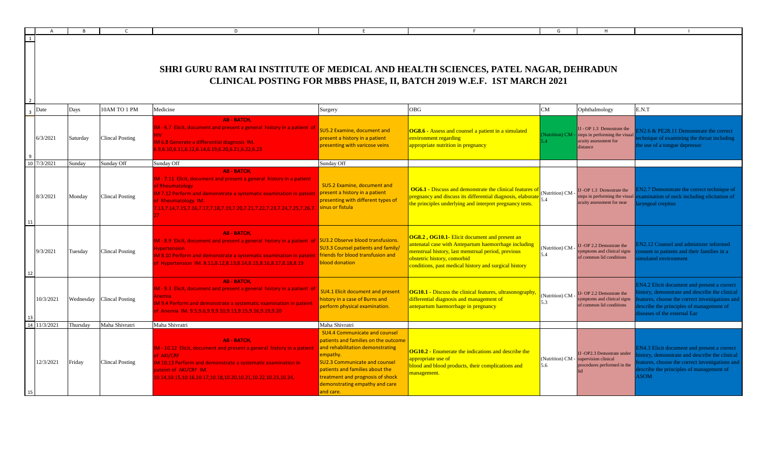|                |          |                           | D                                                                                                                                                                                                                                                                                                          |                                                                                                                                                                                                                                                                                            |                                                                                                                                                                                                                                                            |                       |                                                                                                   |                                                                                                                                                                                                                       |
|----------------|----------|---------------------------|------------------------------------------------------------------------------------------------------------------------------------------------------------------------------------------------------------------------------------------------------------------------------------------------------------|--------------------------------------------------------------------------------------------------------------------------------------------------------------------------------------------------------------------------------------------------------------------------------------------|------------------------------------------------------------------------------------------------------------------------------------------------------------------------------------------------------------------------------------------------------------|-----------------------|---------------------------------------------------------------------------------------------------|-----------------------------------------------------------------------------------------------------------------------------------------------------------------------------------------------------------------------|
| $\overline{1}$ |          |                           | SHRI GURU RAM RAI INSTITUTE OF MEDICAL AND HEALTH SCIENCES, PATEL NAGAR, DEHRADUN                                                                                                                                                                                                                          |                                                                                                                                                                                                                                                                                            | CLINICAL POSTING FOR MBBS PHASE, II, BATCH 2019 W.E.F. 1ST MARCH 2021                                                                                                                                                                                      |                       |                                                                                                   |                                                                                                                                                                                                                       |
| Date           | Days     | 10AM TO 1 PM              | Medicine                                                                                                                                                                                                                                                                                                   | Surgery                                                                                                                                                                                                                                                                                    | OBG                                                                                                                                                                                                                                                        | CM                    | Ophthalmology                                                                                     | E.N.T                                                                                                                                                                                                                 |
| 6/3/2021       | Saturday | <b>Clincal Posting</b>    | <b>AB - BATCH.</b><br>M - 6.7 Elicit, document and present a general history in a patient of<br>IV.<br>M 6.8 Generate a differential diagnosis IM.<br>9,6.10,6.11,6.12,6.14,6.19,6.20,6.21,6.22,6.23                                                                                                       | <b>SU5.2 Examine, document and</b><br>present a history in a patient<br>presenting with varicose veins                                                                                                                                                                                     | OG8.6 - Assess and counsel a patient in a simulated<br>environment regarding<br>appropriate nutrition in pregnancy                                                                                                                                         | Nutrition) CM         | IJ - OP 1.3 Demostrate the<br>steps in performing the visual<br>acuity assessment for<br>distance | N2.6 & PE28.11 Demonstrate the correct<br>echnique of examining the throat including<br>he use of a tongue depressor                                                                                                  |
| 10 7/3/2021    | Sunday   | Sunday Off                | Sunday Off                                                                                                                                                                                                                                                                                                 | Sunday Off                                                                                                                                                                                                                                                                                 |                                                                                                                                                                                                                                                            |                       |                                                                                                   |                                                                                                                                                                                                                       |
| 8/3/2021       | Monday   | <b>Clincal Posting</b>    | <b>AB - BATCH.</b><br>M - 7.11 Elicit, document and present a general history in a patient<br>of Rheumatology<br>M 7.12 Perform and demonstrate a systematic examination in pateint<br><b>f Rheumatology IM.</b><br>13,7.14,7.15,7.16,7.17,7.18,7.19,7.20,7.21,7.22,7.23,7.24,7.25,7.26,7 sinus or fistula | SU5.2 Examine, document and<br>present a history in a patient<br>presenting with different types of                                                                                                                                                                                        | <b>OG6.1 - Discuss and demonstrate the clinical features of</b><br>pregnancy and discuss its differential diagnosis, elaborat<br>the principles underlying and interpret pregnancy tests.                                                                  | (Nutrition) CM<br>5.4 | J-OP 1.3 Demostrate the<br>teps in performing the visual<br>cuity assessment for near             | N2.7 Demonstrate the correct technique of<br>xamination of neck including elicitation of<br><b>the example of the example of the example of the expert</b>                                                            |
| 9/3/2021       | Tuesday  | <b>Clincal Posting</b>    | <b>AB - BATCH.</b><br>M - 8.9 Elicit, document and present a general history in a patient of SU3.2 Observe blood transfusions.<br>vpertension<br>A 8.10 Perform and demonstrate a systematic examination in pateint<br>Hypertension IM. 8.11,8.12,8.13,8.14,8.15,8.16,8.17,8.18,8.19                       | <b>SU3.3 Counsel patients and family/</b><br><b>friends for blood transfusion and</b><br>blood donation                                                                                                                                                                                    | <b>OG8.2, OG10.1-</b> Elicit document and present an<br>antenatal case with Antepartum haemorrhage including<br>menstrual history, last menstrual period, previous<br>obstetric history, comorbid<br>conditions, past medical history and surgical history | (Nutrition) CM<br>5.4 | -OP 2.2 Demostrate the<br>emptoms and clinical signs<br>of common lid conditions                  | N2.12 Counsel and administer informed<br>onsent to patients and their families in a<br>mulated environment                                                                                                            |
| 10/3/2021      |          | Wednesday Clincal Posting | <b>AB - BATCH,</b><br>M - 9.3 Elicit, document and present a general history in a patient of<br>nemia<br>A 9.4 Perform and demonstrate a systematic examination in pateint<br>f Anemia IM. 9.5,9.6,9.9,9.10,9.13,9.15,9.16,9.19,9.20                                                                       | <b>SU4.1 Elicit document and present</b><br>nistory in a case of Burns and<br>perform physical examination.                                                                                                                                                                                | <b>OG10.1 - Discuss the clinical features, ultrasonography.</b><br>differential diagnosis and management of<br>antepartum haemorrhage in pregnancy                                                                                                         | (Nutrition) CM<br>5.3 | J- OP 2.2 Demostrate the<br>mptoms and clinical signs<br>f common lid conditions                  | N4.2 Elicit document and present a correct<br>story, demonstrate and describe the clinical<br>atures, choose the correct investigations and<br>escribe the principles of management of<br>iseases of the external Ear |
| 14 11/3/2021   | Thursday | Maha Shivratri            | Maha Shivratri                                                                                                                                                                                                                                                                                             | Maha Shivratri                                                                                                                                                                                                                                                                             |                                                                                                                                                                                                                                                            |                       |                                                                                                   |                                                                                                                                                                                                                       |
| 12/3/2021      | Friday   | <b>Clincal Posting</b>    | <b>AB - BATCH,</b><br>M - 10.12 Elicit, document and present a general history in a patient<br>f AKI/CRF<br>M 10.13 Perform and demonstrate a systematic examination in<br>ateint of AKI/CRF IM.<br>10.14, 10.15, 10.16, 10.17, 10.18, 10.20, 10.21, 10.22, 10.23, 10.24,                                  | <b>SU4.4 Communicate and counsel</b><br>patients and families on the outcome<br>and rehabilitation demonstrating<br>empathy.<br><b>SU2.3 Communicate and counsel</b><br>patients and families about the<br>treatment and prognosis of shock<br>demonstrating empathy and care<br>and care. | <b>OG10.2</b> - Enumerate the indications and describe the<br>appropriate use of<br>blood and blood products, their complications and<br>management                                                                                                        | (Nutrition) CM<br>5.6 | J-OP2.3 Demostrate under<br>apervision clinical<br>rocedures performed in the                     | N4.3 Elicit document and present a correct<br>story, demonstrate and describe the clinical<br>atures, choose the correct investigations and<br>escribe the principles of management of<br><b>SOM</b>                  |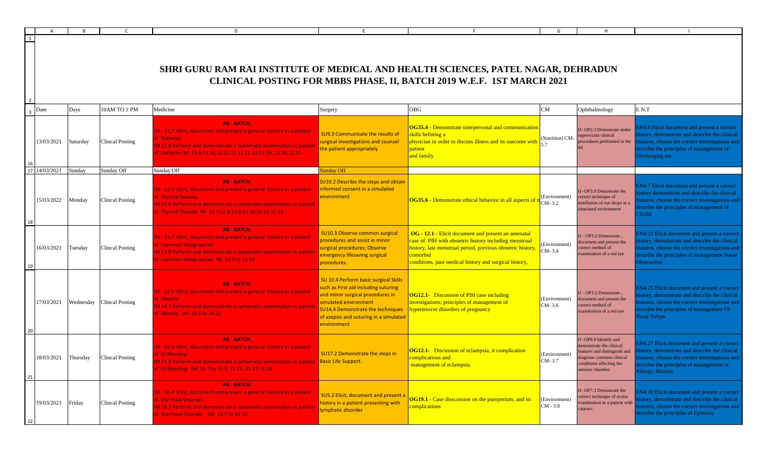| A                |          |                           | D                                                                                                                                                                                                                                               |                                                                                                                                                                                                                                                 |                                                                                                                                                                                                                                                     | G                           | н                                                                                                                                                              |                                                                                                                                                                                                                             |
|------------------|----------|---------------------------|-------------------------------------------------------------------------------------------------------------------------------------------------------------------------------------------------------------------------------------------------|-------------------------------------------------------------------------------------------------------------------------------------------------------------------------------------------------------------------------------------------------|-----------------------------------------------------------------------------------------------------------------------------------------------------------------------------------------------------------------------------------------------------|-----------------------------|----------------------------------------------------------------------------------------------------------------------------------------------------------------|-----------------------------------------------------------------------------------------------------------------------------------------------------------------------------------------------------------------------------|
|                  |          |                           | SHRI GURU RAM RAI INSTITUTE OF MEDICAL AND HEALTH SCIENCES, PATEL NAGAR, DEHRADUN                                                                                                                                                               |                                                                                                                                                                                                                                                 | CLINICAL POSTING FOR MBBS PHASE, II, BATCH 2019 W.E.F. 1ST MARCH 2021                                                                                                                                                                               |                             |                                                                                                                                                                |                                                                                                                                                                                                                             |
| Date             | Days     | 10AM TO 1 PM              | Medicine                                                                                                                                                                                                                                        | Surgery                                                                                                                                                                                                                                         | OBG                                                                                                                                                                                                                                                 | CM                          | Ophthalmology                                                                                                                                                  | E.N.T                                                                                                                                                                                                                       |
| 13/03/2021       | Saturday | <b>Clincal Posting</b>    | <b>AB-BATCH,</b><br>IM - 11.7 Elicit, document and present a general history in a patient<br>f Diabetes<br>M 11.8 Perform and demonstrate a systematic examination in pateint<br>f Diabetes IM. 11.9,11.10,11.11,11.12,11.13,11.19,,11.20,11.21 | SU9.3 Communicate the results of<br>surgical investigations and counsel<br>the patient appropriately                                                                                                                                            | OG35.4 - Demonstrate interpersonal and communication<br>skills befitting a<br>physician in order to discuss illness and its outcome with<br>patient<br>and family                                                                                   | (Nutrition) CM-             | IJ-OP2.3 Demostrate under<br>supervision clinical<br>procedures performed in the                                                                               | N4.6 Elicit document and present a correct<br>istory, demonstrate and describe the clinical<br>eatures, choose the correct investigations and<br>lescribe the principles of management of<br>Discharging ear                |
| 14/03/2021<br>17 | Sunday   | Sunday Off                | Sunday Off                                                                                                                                                                                                                                      | <b>Sunday Off</b>                                                                                                                                                                                                                               |                                                                                                                                                                                                                                                     |                             |                                                                                                                                                                |                                                                                                                                                                                                                             |
| 15/03/2022       | Monday   | <b>Clincal Posting</b>    | <b>AB-BATCH,</b><br>IM - 12.5 Elicit, document and present a general history in a patient<br>of Thyroid Disease<br>M 12.6 Perform and demonstrate a systematic examination in pateint<br>f Thyroid Disease IM. 12.7,12.8,12.9,12.10,12.11,12.14 | SU10.2 Describe the steps and obtain<br>informed consent in a simulated<br>environment                                                                                                                                                          | <b>OG35.6 - Demonstrate ethical behavior in all aspects of</b>                                                                                                                                                                                      | (Environment)<br>CM-3.2     | IJ -OP3.9 Demostrate the<br>correct technique of<br>instillation of eye drops in a<br>simulated environment                                                    | EN4.7 Elicit document and present a correct<br>istory demonstrate and describe the clinical<br>eatures, choose the correct investigations and<br>escribe the principles of management of<br>CSOM                            |
| 16/03/2021       | Tuesday  | <b>Clincal Posting</b>    | <b>AB - BATCH,</b><br>IM - 13.7 Elicit, document and present a general history in a patient<br>f Common Malignancies<br>M 13.8 Perform and demonstrate a systematic examination in pateint<br>f Common Malignancies IM. 13.9 to 13.19           | SU10.3 Observe common surgical<br>procedures and assist in minor<br>surgical procedures; Observe<br>emergency lifesaving surgical<br>procedures.                                                                                                | OG - 12.1 - Elicit document and present an antenatal<br>case of PIH with obstetric history including menstrual<br>history, last menstrual period, previous obstetric history,<br>comorbid<br>conditions, past medical history and surgical history, | (Environment)<br>CM-3.4     | IJ - OP3.2 Demostrate,<br>document and present the<br>correct method of<br>examination of a red eye                                                            | <b>EN4.22 Elicit document and present a correct</b><br>istory, demonstrate and describe the clinical<br>eatures, choose the correct investigations and<br>lescribe the principles of management Nasal<br><b>Obstruction</b> |
| 17/03/2021       |          | Wednesday Clincal Posting | <b>AB-BATCH,</b><br>IM - 14.6 Elicit, document and present a general history in a patient<br>f Obesity<br>M 14.7 Perform and demonstrate a systematic examination in pateint<br>of Obesity IM. 14.8 to 14.12                                    | SU 10.4 Perform basic surgical Skills<br>such as First aid including suturing<br>and minor surgical procedures in<br>simulated environment<br><b>SU14.4 Demonstrate the techniques</b><br>of asepsis and suturing in a simulated<br>environment | <b>OG12.1-</b> Discussion of PIH case including<br>investigations; principles of management of<br>hypertensive disorders of pregnancy                                                                                                               | (Environment)<br>CM-3.6     | IJ - OP3.2 Demostrate,<br>document and present the<br>correct method of<br>examination of a red eye                                                            | EN4.25 Elicit document and present a correct<br>istory, demonstrate and describe the clinical<br>eatures, choose the correct investigations and<br>lescribe the principles of management Of<br>Jasal Polyps                 |
| 18/03/2021<br>21 | Thursday | <b>Clincal Posting</b>    | <b>AB-BATCH,</b><br>IM - 15.4 Elicit, document and present a general history in a patient<br><b>f</b> Gl Bleeding<br>f GI Bleeding IM. 15.7 to 15.9, 15.13, 15.17, 15.18                                                                        | SU17.2 Demonstrate the steps in<br><b>Basic Life Support.</b>                                                                                                                                                                                   | <b>OG12.1-</b> Discussion of eclampsia, it complication<br>complications and<br>management of eclampsia.                                                                                                                                            | (Environment)<br>CM-3.7     | IJ -OP6.6 Identify and<br>demonstrate the clinical<br>features and distinguish and<br>diagnose common clinical<br>conditions affecting the<br>anterior chamber | EN4.27 Elicit document and present a correct<br>istory, demonstrate and describe the clinical<br>eatures, choose the correct investigations and<br>escribe the principles of management of<br>Allergic Rhinitis             |
| 19/03/2021       | Friday   | <b>Clincal Posting</b>    | <b>AB-BATCH,</b><br>IM - 16.4 Elicit, document and present a general history in a patient<br>f Diarrheal Disorder<br>IM 16.5 Perform and demonstrate a systematic examination in pateint<br>of Diarrheal Disorder IM. 16.7 to 16.10             | SU5.2 Elicit, document and present a<br>history in a patient presenting with<br>ymphatic disorder                                                                                                                                               | <b>OG19.1 - Case disscussion on the puerperium, and its</b><br>complications                                                                                                                                                                        | (Environment)<br>$CM - 3.8$ | IJ-OP7.3 Demostrate the<br>correct technique of ocular<br>examination in a patient with<br>cataract                                                            | <b>EN4.30 Elicit document and present a correct</b><br>istory, demonstrate and describe the clinical<br>eatures, choose the correct investigations and<br>lescribe the principles of Epistaxis                              |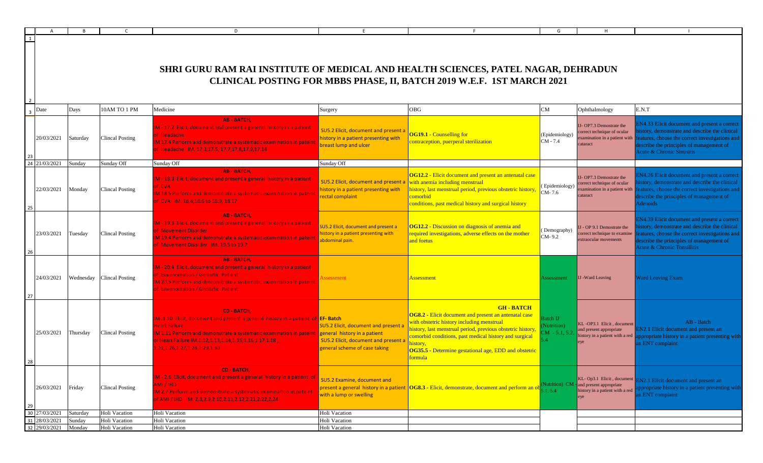|      |                        |          |                                      | SHRI GURU RAM RAI INSTITUTE OF MEDICAL AND HEALTH SCIENCES, PATEL NAGAR, DEHRADUN                                                                                                                                                                                                              |                                                                                                                                                      | CLINICAL POSTING FOR MBBS PHASE, II, BATCH 2019 W.E.F. 1ST MARCH 2021                                                                                                                                                                                                                                           |                                      |                                                                                        |                                                                                                                                                                                                                   |
|------|------------------------|----------|--------------------------------------|------------------------------------------------------------------------------------------------------------------------------------------------------------------------------------------------------------------------------------------------------------------------------------------------|------------------------------------------------------------------------------------------------------------------------------------------------------|-----------------------------------------------------------------------------------------------------------------------------------------------------------------------------------------------------------------------------------------------------------------------------------------------------------------|--------------------------------------|----------------------------------------------------------------------------------------|-------------------------------------------------------------------------------------------------------------------------------------------------------------------------------------------------------------------|
| Date |                        | Days     | 10AM TO 1 PM                         | Medicine                                                                                                                                                                                                                                                                                       | Surgery                                                                                                                                              | OBG                                                                                                                                                                                                                                                                                                             |                                      | Ophthalmology                                                                          | E.N.T                                                                                                                                                                                                             |
|      | 20/03/2021             | Saturday | <b>Clincal Posting</b>               | AB - BATCH,<br>1-17.2 Elicit, document and present a general history in a patient<br><b>Headache</b><br>117.4 Perform and demonstrate a systematic examination in patein<br>Headache IM. 17.3,17.5, 17.7,17.8,17.9,17.14                                                                       | SU5.2 Elicit, document and present a<br>history in a patient presenting with<br>breast lump and ulcer                                                | <b>OG19.1 - Counselling for</b><br>ontraception, puerperal sterilization                                                                                                                                                                                                                                        | (Epidemiology)<br>CM - 7.4           | - OP7.3 Demostrate the<br>rrect technique of ocular<br>amination in a patient with f   | N4.33 Elicit document and present a corre<br>story, demonstrate and describe the clinica<br>atures, choose the correct investigations an<br>escribe the principles of management of<br>cute & Chronic Sinusitis   |
|      | 24 21/03/2021 Sunday   |          | Sunday Off                           | Sunday Off                                                                                                                                                                                                                                                                                     | Sunday Off                                                                                                                                           |                                                                                                                                                                                                                                                                                                                 |                                      |                                                                                        |                                                                                                                                                                                                                   |
|      | 22/03/2021 Monday      |          | <b>Clincal Posting</b>               | AB - BATCH,<br>1 - 18.3 Elicit, document and present a general history in a patient<br><b>CVA</b><br>M 18.5 Perform and demonstrate a systematic examination in pateint<br>f CVA IM. 18.4,18.6 to 18.9, 18.17                                                                                  | SU5.2 Elicit, document and present a with anemia including menstrual<br>history in a patient presenting with<br>rectal complaint                     | <b>OG12.2 - Elicit document and present an antenatal case</b><br>history, last menstrual period, previous obstetric history,<br>comorbid<br>conditions, past medical history and surgical history                                                                                                               | (Epidemiology)<br>$LCM-7.6$          | IJ-OP7.3 Demostrate the<br>prrect technique of ocular<br>mination in a patient with    | N4.26 Elicit document and present a corre<br>story, demonstrate and describe the clinica<br>atures, choose the correct investigations an<br>escribe the principles of management of<br>enoids                     |
|      | 23/03/2021 Tuesday     |          | <b>Clincal Posting</b>               | AB - BATCH.<br>1-19.3 Elicit, document and present a general history in a patient<br><b>Movement Disorder</b><br>119.4 Perform and demonstrate a systematic examination in pateint<br>Movement Disorder IM, 19.5 to 19.7                                                                       | <b>U5.2 Elicit, document and present a</b><br>history in a patient presenting with<br>abdominal pain.                                                | <b>OG12.2</b> - Discussion on diagnosis of anemia and<br>required investigations, adverse effects on the mother<br>and foetus                                                                                                                                                                                   | Demography<br>CM-9.2                 | - OP 9.1 Demostrate the<br>rrect technique to examin<br>xtraocular movements           | N4.39 Elicit document and present a corre<br>story, demonstrate and describe the clinical<br>tures, choose the correct investigations an<br>escribe the principles of management of<br>cute & Chronic Tonsillitis |
|      |                        |          | 24/03/2021 Wednesday Clincal Posting | AB - BATCH,<br>1 - 20.4 Elicit, document and present a general history in a patient<br><b>Envenomation / Geriartic Patient</b><br>120.5 Perform and demonstrate a systematic examination in pateint<br><b>Envenomation / Geriartic Patient</b>                                                 | essment                                                                                                                                              | <u>Assessment</u>                                                                                                                                                                                                                                                                                               | ssessment                            | <b>I</b> I -Ward Leaving                                                               | Vard Leaving Exam                                                                                                                                                                                                 |
|      | 25/03/2021 Thursday    |          | <b>Clincal Posting</b>               | <b>CD - BATCH,</b><br>1.1.10 Elicit, document and present a general history in a patient of <b>EF-Batch</b><br>leart Failure<br>1.11 Perform and demonstrate a systematic examination in pateint<br>F Heart Failure IM.1.12,1.13,1.14,1.15,1.16,1.17,1.18,<br>21, 1.26, 1.27, 1.28, 1.29, 1.30 | <b>SU5.2 Elicit, document and present a</b><br>general history in a patient<br>SU5.2 Elicit, document and present a<br>general scheme of case taking | <b>GH-BATCH</b><br><b>OG8.2 - Elicit document and present an antenatal case</b><br>with obstetric history including menstrual<br>history, last menstrual period, previous obstetric history,<br>comorbid conditions, past medical history and surgical<br>OG35.5 - Determine gestational age, EDD and obstetric | atch IJ<br>(utrition)<br>$M - 5.1.5$ | KL-OP3.1 Elicit, document<br>and present appropriate<br>istory in a patient with a red | AB - Batch<br>N2.1 Elicit document and present an<br>propriate history in a patient presenting wi<br>n ENT complaint                                                                                              |
|      | 26/03/2021 Friday      |          | <b>Clincal Posting</b>               | CD - BATCH,<br>A - 2.6 Elicit, document and present a general history in a patient of<br>MI / IHD<br>A 2.7 Perform and demonstrate a systematic examination in pateint<br>AMI / IHD IM. 2.8, 2.9, 2.10, 2.11, 2.12, 2.21, 2.22, 2.24                                                           | SU5.2 Examine, document and<br>with a lump or swelling                                                                                               | present a general history in a patient $\vert$ OG8.3 - Elicit, demonstrate, document and perform an ol                                                                                                                                                                                                          | $1.5.4 -$                            | lutrition) CM - and present appropriate<br>history in a patient with a red             | KL- Op3.1 Elicit, document EN2.1 Elicit document and present an<br>ropriate history in a patient presenting wi<br>ENT complaint                                                                                   |
|      | 30 27/03/2021 Saturday |          | Holi Vacation                        | Holi Vacation                                                                                                                                                                                                                                                                                  | Holi Vacation                                                                                                                                        |                                                                                                                                                                                                                                                                                                                 |                                      |                                                                                        |                                                                                                                                                                                                                   |
|      | 31 28/03/2021 Sunday   |          | Holi Vacation                        | Holi Vacation                                                                                                                                                                                                                                                                                  | Holi Vacation                                                                                                                                        |                                                                                                                                                                                                                                                                                                                 |                                      |                                                                                        |                                                                                                                                                                                                                   |
|      | 32 29/03/2021 Monday   |          | Holi Vacation                        | Holi Vacation                                                                                                                                                                                                                                                                                  | Holi Vacation                                                                                                                                        |                                                                                                                                                                                                                                                                                                                 |                                      |                                                                                        |                                                                                                                                                                                                                   |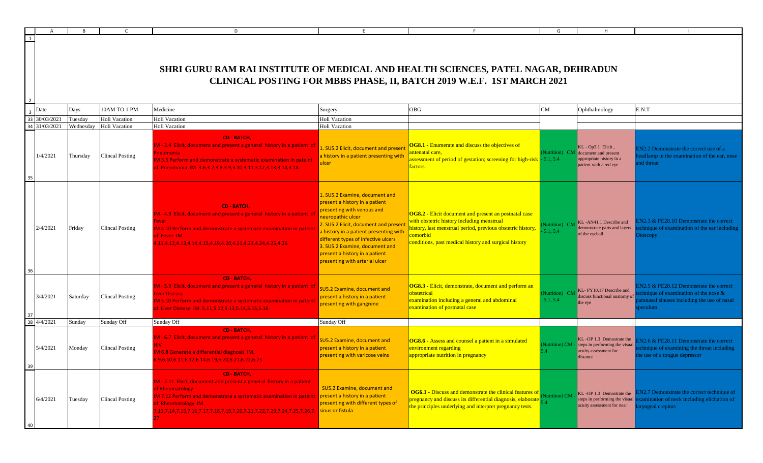|    |                          |           |                        | D                                                                                                                                                                                                                                                                                                |                                                                                                                                                                                                                                                                                                                                                 | E                                                                                                                                                                                                                                              | G                             | H                                                                                                              |                                                                                                                                                |
|----|--------------------------|-----------|------------------------|--------------------------------------------------------------------------------------------------------------------------------------------------------------------------------------------------------------------------------------------------------------------------------------------------|-------------------------------------------------------------------------------------------------------------------------------------------------------------------------------------------------------------------------------------------------------------------------------------------------------------------------------------------------|------------------------------------------------------------------------------------------------------------------------------------------------------------------------------------------------------------------------------------------------|-------------------------------|----------------------------------------------------------------------------------------------------------------|------------------------------------------------------------------------------------------------------------------------------------------------|
| 1  |                          |           |                        | SHRI GURU RAM RAI INSTITUTE OF MEDICAL AND HEALTH SCIENCES, PATEL NAGAR, DEHRADUN                                                                                                                                                                                                                |                                                                                                                                                                                                                                                                                                                                                 | CLINICAL POSTING FOR MBBS PHASE, II, BATCH 2019 W.E.F. 1ST MARCH 2021                                                                                                                                                                          |                               |                                                                                                                |                                                                                                                                                |
|    | Date                     | Days      | 10AM TO 1 PM           | Medicine                                                                                                                                                                                                                                                                                         | Surgery                                                                                                                                                                                                                                                                                                                                         | <b>OBG</b>                                                                                                                                                                                                                                     | ${\rm CM}$                    | Ophthalmology                                                                                                  | E.N.T                                                                                                                                          |
|    | 33 30/03/2021            | Tuesday   | Holi Vacation          | Holi Vacation                                                                                                                                                                                                                                                                                    | Holi Vacation                                                                                                                                                                                                                                                                                                                                   |                                                                                                                                                                                                                                                |                               |                                                                                                                |                                                                                                                                                |
|    | 34 31/03/2021            | Wednesday | Holi Vacation          | Holi Vacation                                                                                                                                                                                                                                                                                    | Holi Vacation                                                                                                                                                                                                                                                                                                                                   |                                                                                                                                                                                                                                                |                               |                                                                                                                |                                                                                                                                                |
| 35 | 1/4/2021                 | Thursday  | <b>Clincal Posting</b> | <b>CD - BATCH,</b><br>M - 3.4 Elicit, document and present a general history in a patient of<br><sup>2</sup> neumonia<br>M 3.5 Perform and demonstrate a systematic examination in pateint<br>f Pneumonia IM. 3.6,3.7,3.8,3.9,3.10,3.11,3.12,3.13,3.14,3.18                                      | 1. SU5.2 Elicit, document and present<br>a history in a patient presenting with<br>ulcer                                                                                                                                                                                                                                                        | <b>OG8.1 - Enumerate and discuss the objectives of</b><br>antenatal care,<br>assessment of period of gestation; screening for high-risk - 5.1, 5.4<br>factors.                                                                                 |                               | KL - Op3.1 Elicit,<br>Nutrition) CM document and present<br>appropriate history in a<br>patient with a red eye | EN2.2 Demonstrate the correct use of a<br>eadlamp in the examination of the ear, nose<br>nd throat                                             |
| 36 | 2/4/2021                 | Friday    | Clincal Posting        | <b>CD - BATCH.</b><br>M - 4.9 Elicit, document and present a general history in a patient of<br>IM 4.10 Perform and demonstrate a systematic examination in pateint<br>of Fever IM.<br>.11,4.12,4.13,4.14,4.15,4.19,4.20,4.21,4.23,4.24,4.25,4.26                                                | SU5.2 Examine, document and<br>present a history in a patient<br>presenting with venous and<br>neuropathic ulcer<br>. SU5.2 Elicit, document and present<br>a history in a patient presenting with<br>different types of infective ulcers<br>3. SU5.2 Examine, document and<br>present a history in a patient<br>presenting with arterial ulcer | <b>OG8.2 - Elicit document and present an postnatal case</b><br>with obstetric history including menstrual<br>history, last menstrual period, previous obstetric history,<br>comorbid<br>conditions, past medical history and surgical history | Nutrition) CM<br>5.1, 5.4     | KL-AN41.1 Describe and<br>demonstrate parts and layers<br>of the eyeball                                       | N2.3 & PE28.10 Demonstrate the correct<br>echnique of examination of the ear including<br><b>toscopy</b>                                       |
|    | 3/4/2021                 | Saturday  | Clincal Posting        | CD - BATCH,<br>IM - 5.9 Elicit, document and present a general history in a patient of<br>iver Disease<br>M 5.10 Perform and demonstrate a systematic examination in pateint<br>f Liver Disease IM. 5.11,5.12,5.13,5.14,5.15,5.16                                                                | SU5.2 Examine, document and<br>present a history in a patient<br>presenting with gangrene                                                                                                                                                                                                                                                       | OG8.3 - Elicit, demonstrate, document and perform an<br>obstetrical<br>examination including a general and abdominal<br>examination of postnatal case                                                                                          | (Nutrition) CM<br>$-5.1, 5.4$ | KL-PY10.17 Describe and<br>discuss functional anatomy o<br>the eye                                             | $N2.5 \& PE28.12$ Demonstrate the correct<br>chnique of examination of the nose $\&$<br>aranasal sinuses including the use of nasal<br>beculum |
|    | $38 \overline{4/4/2021}$ | Sunday    | Sunday Off             | Sunday Off                                                                                                                                                                                                                                                                                       | Sunday Off                                                                                                                                                                                                                                                                                                                                      |                                                                                                                                                                                                                                                |                               |                                                                                                                |                                                                                                                                                |
| 39 | 5/4/2021                 | Monday    | <b>Clincal Posting</b> | <b>CD - BATCH,</b><br>IM - 6.7 Elicit, document and present a general history in a patient of<br>M 6.8 Generate a differential diagnosis IM.<br>.9,6.10,6.11,6.12,6.14,6.19,6.20,6.21,6.22,6.23                                                                                                  | SU5.2 Examine, document and<br>present a history in a patient<br>presenting with varicose veins                                                                                                                                                                                                                                                 | <b>OG8.6</b> - Assess and counsel a patient in a simulated<br>environment regarding<br>appropriate nutrition in pregnancy                                                                                                                      | Nutrition) CM                 | KL-OP 1.3 Demostrate the<br>steps in performing the visual<br>acuity assessment for<br>distance                | $N2.6 \& PE28.11$ Demonstrate the correct<br>chnique of examining the throat including<br>he use of a tongue depressor                         |
|    | 6/4/2021                 | Tuesday   | <b>Clincal Posting</b> | CD - BATCH,<br>M - 7.11 Elicit, document and present a general history in a patient<br>of Rheumatology<br>IM 7.12 Perform and demonstrate a systematic examination in pateint<br>of Rheumatology IM.<br>.13,7.14,7.15,7.16,7.17,7.18,7.19,7.20,7.21,7.22,7.23,7.24,7.25,7.26,7. sinus or fistula | SU5.2 Examine, document and<br>present a history in a patient<br>presenting with different types of                                                                                                                                                                                                                                             | <b>OG6.1 - Discuss and demonstrate the clinical features of</b><br>pregnancy and discuss its differential diagnosis, elaborate<br>the principles underlying and interpret pregnancy tests.                                                     | Nutrition) CM                 | KL-OP 1.3 Demostrate the<br>steps in performing the visual<br>acuity assessment for near                       | IN2.7 Demonstrate the correct technique of<br>examination of neck including elicitation of<br>aryngeal crepitus                                |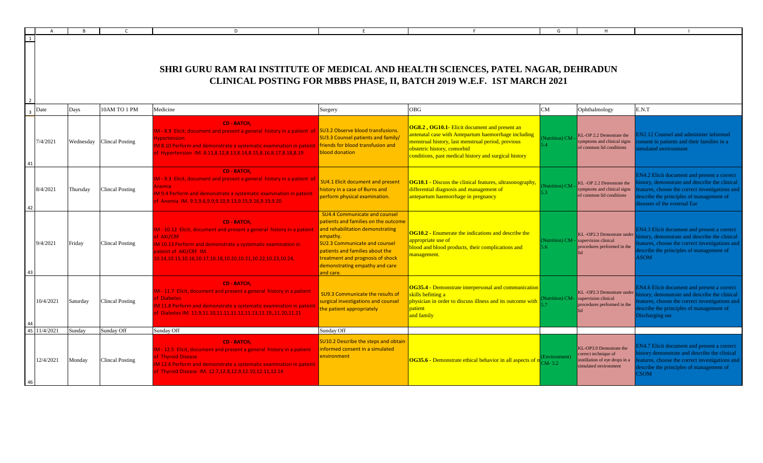|              |              |          |                           | D                                                                                                                                                                                                                                                                                 |                                                                                                                                                                                                                                                                                            |                                                                                                                                                                                                                                                     | G                                   | H                                                                                                         |                                                                                                                                                                                                                      |
|--------------|--------------|----------|---------------------------|-----------------------------------------------------------------------------------------------------------------------------------------------------------------------------------------------------------------------------------------------------------------------------------|--------------------------------------------------------------------------------------------------------------------------------------------------------------------------------------------------------------------------------------------------------------------------------------------|-----------------------------------------------------------------------------------------------------------------------------------------------------------------------------------------------------------------------------------------------------|-------------------------------------|-----------------------------------------------------------------------------------------------------------|----------------------------------------------------------------------------------------------------------------------------------------------------------------------------------------------------------------------|
| $\mathbf{1}$ |              |          |                           | SHRI GURU RAM RAI INSTITUTE OF MEDICAL AND HEALTH SCIENCES, PATEL NAGAR, DEHRADUN                                                                                                                                                                                                 |                                                                                                                                                                                                                                                                                            |                                                                                                                                                                                                                                                     |                                     |                                                                                                           |                                                                                                                                                                                                                      |
| Date         |              | Days     | 10AM TO 1 PM              | Medicine                                                                                                                                                                                                                                                                          | Surgery                                                                                                                                                                                                                                                                                    | CLINICAL POSTING FOR MBBS PHASE, II, BATCH 2019 W.E.F. 1ST MARCH 2021<br><b>OBG</b>                                                                                                                                                                 | CM                                  | Ophthalmology                                                                                             | E.N.T                                                                                                                                                                                                                |
|              | 7/4/2021     |          | Wednesday Clincal Posting | CD - BATCH.<br>IM - 8.9 Elicit, document and present a general history in a patient of SU3.2 Observe blood transfusions.<br>vpertension<br>M 8.10 Perform and demonstrate a systematic examination in pateint<br>of Hypertension IM. 8.11,8.12,8.13,8.14,8.15,8.16,8.17,8.18,8.19 | <b>SU3.3 Counsel patients and family/</b><br>friends for blood transfusion and<br>blood donation                                                                                                                                                                                           | OG8.2, OG10.1- Elicit document and present an<br>antenatal case with Antepartum haemorrhage including<br>menstrual history, last menstrual period, previous<br>obstetric history, comorbid<br>conditions, past medical history and surgical history | <b>Nutrition</b> ) CM               | KL-OP 2.2 Demostrate the<br>symptoms and clinical signs<br>of common lid conditions                       | N <sub>2.12</sub> Counsel and administer informed<br>onsent to patients and their families in a<br>mulated environment                                                                                               |
|              | 8/4/2021     | Thursday | <b>Clincal Posting</b>    | <b>CD - BATCH.</b><br>IM - 9.3 Elicit, document and present a general history in a patient of<br>nemia<br>M 9.4 Perform and demonstrate a systematic examination in pateint<br>of Anemia IM. 9.5,9.6,9.9,9.10,9.13,9.15,9.16,9.19,9.20                                            | <b>SU4.1 Elicit document and present</b><br>istory in a case of Burns and<br>berform physical examination.                                                                                                                                                                                 | <b>OG10.1 - Discuss the clinical features, ultrasonography,</b><br>differential diagnosis and management of<br>antepartum haemorrhage in pregnancy                                                                                                  | Nutrition) CM                       | KL-OP 2.2 Demostrate the<br>symptoms and clinical signs<br>of common lid conditions                       | N4.2 Elicit document and present a correct<br>story, demonstrate and describe the clinical<br>atures, choose the correct investigations and<br>escribe the principles of management of<br>seases of the external Ear |
|              | 9/4/2021     | Friday   | <b>Clincal Posting</b>    | CD - BATCH.<br>IM - 10.12 Elicit, document and present a general history in a patient<br>of AKI/CRF<br>IM 10.13 Perform and demonstrate a systematic examination in<br>pateint of AKI/CRF IM.<br>10.14,10.15,10.16,10.17,10.18,10.20,10.21,10.22,10.23,10.24,                     | <b>SU4.4 Communicate and counsel</b><br>patients and families on the outcome<br>and rehabilitation demonstrating<br>empathy.<br><b>SU2.3 Communicate and counsel</b><br>patients and families about the<br>treatment and prognosis of shock<br>demonstrating empathy and care<br>and care. | <b>OG10.2 - Enumerate the indications and describe the</b><br>appropriate use of<br>plood and blood products, their complications and<br>nanagement.                                                                                                | (Nutrition) CM -<br>56 <sub>1</sub> | KL-OP2.3 Demostrate under<br>supervision clinical<br>procedures performed in the                          | N4.3 Elicit document and present a correct<br>story, demonstrate and describe the clinical<br>atures, choose the correct investigations and<br>escribe the principles of management of<br><b>NON</b>                 |
|              | 10/4/2021    | Saturday | <b>Clincal Posting</b>    | <b>CD - BATCH.</b><br>M - 11.7 Elicit, document and present a general history in a patient<br>of Diabetes<br>M 11.8 Perform and demonstrate a systematic examination in pateint<br>of Diabetes IM. 11.9,11.10,11.11,11.12,11.13,11.19,,11.20,11.21                                | <b>SU9.3 Communicate the results of</b><br>urgical investigations and counsel<br>he patient appropriately                                                                                                                                                                                  | OG35.4 - Demonstrate interpersonal and communication<br>skills befitting a<br>physician in order to discuss illness and its outcome with<br>patient<br>and family                                                                                   | Nutrition) CM-                      | KL-OP2.3 Demostrate under<br>supervision clinical<br>procedures performed in the                          | N4.6 Elicit document and present a correct<br>istory, demonstrate and describe the clinical<br>atures, choose the correct investigations and<br>escribe the principles of management of<br>Discharging ear           |
|              | 45 11/4/2021 | Sunday   | Sunday Off                | Sunday Off                                                                                                                                                                                                                                                                        | Sunday Off                                                                                                                                                                                                                                                                                 |                                                                                                                                                                                                                                                     |                                     |                                                                                                           |                                                                                                                                                                                                                      |
|              | 12/4/2021    | Monday   | <b>Clincal Posting</b>    | <b>CD - BATCH.</b><br>IM - 12.5 Elicit, document and present a general history in a patient<br>of Thyroid Disease<br><b>M 12.6 Perform and demonstrate a systematic examination in pateint</b><br>of Thyroid Disease IM. 12.7,12.8,12.9,12.10,12.11,12.14                         | <b>SU10.2 Describe the steps and obtain</b><br>informed consent in a simulated<br>environment                                                                                                                                                                                              | <b>OG35.6 - Demonstrate ethical behavior in all aspects of n</b> CM-3.2                                                                                                                                                                             | Environment)                        | KL-OP3.9 Demostrate the<br>correct technique of<br>nstillation of eye drops in a<br>simulated environment | N4.7 Elicit document and present a correct<br>istory demonstrate and describe the clinical<br>atures, choose the correct investigations and<br>escribe the principles of management of<br><b>SOM</b>                 |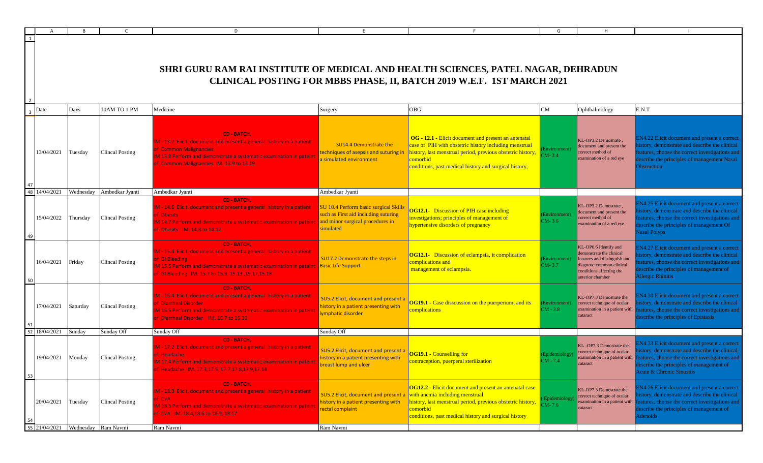|                  |           |                        | D                                                                                                                                                                                                                                                             |                                                                                                                                |                                                                                                                                                                                                                                                     | G                           |                                                                                                                                                               |                                                                                                                                                                                                                                      |
|------------------|-----------|------------------------|---------------------------------------------------------------------------------------------------------------------------------------------------------------------------------------------------------------------------------------------------------------|--------------------------------------------------------------------------------------------------------------------------------|-----------------------------------------------------------------------------------------------------------------------------------------------------------------------------------------------------------------------------------------------------|-----------------------------|---------------------------------------------------------------------------------------------------------------------------------------------------------------|--------------------------------------------------------------------------------------------------------------------------------------------------------------------------------------------------------------------------------------|
| $\overline{1}$   |           |                        | SHRI GURU RAM RAI INSTITUTE OF MEDICAL AND HEALTH SCIENCES, PATEL NAGAR, DEHRADUN                                                                                                                                                                             |                                                                                                                                | CLINICAL POSTING FOR MBBS PHASE, II, BATCH 2019 W.E.F. 1ST MARCH 2021                                                                                                                                                                               |                             |                                                                                                                                                               |                                                                                                                                                                                                                                      |
| Date             | Days      | 10AM TO 1 PM           | Medicine                                                                                                                                                                                                                                                      | Surgery                                                                                                                        | OBG                                                                                                                                                                                                                                                 | CM                          | Ophthalmology                                                                                                                                                 | E.N.T                                                                                                                                                                                                                                |
| 13/04/2021       | Tuesday   | Clincal Posting        | <b>CD - BATCH,</b><br>M - 13.7 Elicit, document and present a general history in a patient<br><b>f Common Malignancies</b><br>M 13.8 Perform and demonstrate a systematic examination in pateint<br>f Common Malignancies IM. 13.9 to 13.19                   | SU14.4 Demonstrate the<br>echniques of asepsis and suturing in<br>simulated environment                                        | OG - 12.1 - Elicit document and present an antenatal<br>case of PIH with obstetric history including menstrual<br>history, last menstrual period, previous obstetric history,<br>comorbid<br>conditions, past medical history and surgical history, | nvironment<br>$CM-3.4$      | KL-OP3.2 Demostrate,<br>document and present the<br>correct method of<br>examination of a red eye                                                             | N4.22 Elicit document and present a correct<br>istory, demonstrate and describe the clinical<br>eatures, choose the correct investigations and<br>escribe the principles of management Nasal<br><b>Obstruction</b>                   |
| 48 14/04/2021    | Wednesday | Ambedkar Jyanti        | Ambedkar Jyanti                                                                                                                                                                                                                                               | Ambedkar Jyanti                                                                                                                |                                                                                                                                                                                                                                                     |                             |                                                                                                                                                               |                                                                                                                                                                                                                                      |
| 15/04/2022       | Thursday  | <b>Clincal Posting</b> | <b>CD - BATCH,</b><br>M - 14.6 Elicit, document and present a general history in a patient<br>f Obesity<br>M 14.7 Perform and demonstrate a systematic examination in pateint<br>f Obesity IM. 14.8 to 14.12                                                  | SU 10.4 Perform basic surgical Skills<br>such as First aid including suturing<br>and minor surgical procedures in<br>simulated | <b>OG12.1-</b> Discussion of PIH case including<br>investigations; principles of management of<br>hypertensive disorders of pregnancy                                                                                                               | Environment)<br>$CM-3.6$    | KL-OP3.2 Demostrate.<br>document and present the<br>correct method of<br>examination of a red eye                                                             | IN4.25 Elicit document and present a correct<br>istory, demonstrate and describe the clinical<br>eatures, choose the correct investigations and<br>escribe the principles of management Of<br><b>Vasal Polyps</b>                    |
| 16/04/2021       | Friday    | <b>Clincal Posting</b> | <b>CD - BATCH,</b><br>M - 15.4 Elicit, document and present a general history in a patient<br>f GI Bleeding<br>M 15.5 Perform and demonstrate a systematic examination in pateint  Basic Life Support.<br>f GI Bleeding IM. 15.7 to 15.9, 15.13, 15.17, 15.18 | SU17.2 Demonstrate the steps in                                                                                                | <b>OG12.1-</b> Discussion of eclampsia, it complication<br>complications and<br>management of eclampsia.                                                                                                                                            | Environment)<br>$CM-3.7$    | KL-OP6.6 Identify and<br>demonstrate the clinical<br>features and distinguish and<br>diagnose common clinical<br>conditions affecting the<br>anterior chamber | IN4.27 Elicit document and present a correct<br>istory, demonstrate and describe the clinical<br>eatures, choose the correct investigations and<br>escribe the principles of management of<br>Allergic Rhinitis                      |
| 17/04/2021       | Saturday  | Clincal Posting        | <b>CD - BATCH,</b><br>M - 16.4 Elicit, document and present a general history in a patient<br><b>f</b> Diarrheal Disorder<br>M 16.5 Perform and demonstrate a systematic examination in pateint<br>f Diarrheal Disorder IM. 16.7 to 16.10                     | SU5.2 Elicit, document and present a<br>history in a patient presenting with<br>ymphatic disorder                              | <b>OG19.1 - Case disscussion on the puerperium, and its</b><br>complications                                                                                                                                                                        | Environment)<br>$CM - 3.8$  | KL-OP7.3 Demostrate the<br>correct technique of ocular<br>examination in a patient with<br>cataract                                                           | N4.30 Elicit document and present a correct<br>istory, demonstrate and describe the clinical<br>eatures, choose the correct investigations and<br>escribe the principles of Epistaxis                                                |
| 18/04/2021<br>52 | Sunday    | Sunday Off             | Sunday Off                                                                                                                                                                                                                                                    | Sunday Off                                                                                                                     |                                                                                                                                                                                                                                                     |                             |                                                                                                                                                               |                                                                                                                                                                                                                                      |
| 19/04/2021<br>53 | Monday    | Clincal Posting        | <b>CD - BATCH,</b><br>M - 17.2 Elicit, document and present a general history in a patient<br>f Headache<br>Headache IM. 17.3,17.5, 17.7,17.8,17.9,17.14                                                                                                      | SU5.2 Elicit, document and present a<br>history in a patient presenting with<br>breast lump and ulcer                          | <b>OG19.1 - Counselling for</b><br>ontraception, puerperal sterilization                                                                                                                                                                            | Epidemiology)<br>$CM - 7.4$ | KL-OP7.3 Demostrate the<br>correct technique of ocular<br>examination in a patient with<br>cataract                                                           | IN4.33 Elicit document and present a correct<br>istory, demonstrate and describe the clinical<br>features, choose the correct investigations and<br>describe the principles of management of<br><b>Acute &amp; Chronic Sinusitis</b> |
| 20/04/2021       | Tuesday   | <b>Clincal Posting</b> | CD - BATCH,<br>M - 18.3 Elicit, document and present a general history in a patient<br>f CVA<br>M 18.5 Perform and demonstrate a systematic examination in pateint<br>f CVA IM. 18.4,18.6 to 18.9, 18.17                                                      | SU5.2 Elicit, document and present a<br>history in a patient presenting with<br>ectal complaint                                | <b>OG12.2 - Elicit document and present an antenatal case</b><br>with anemia including menstrual<br>history, last menstrual period, previous obstetric history,<br>comorbid<br>conditions, past medical history and surgical history                | Epidemiology)<br>$M-7.6$    | KL-OP7.3 Demostrate the<br>correct technique of ocular<br>examination in a patient with<br>cataract                                                           | IN4.26 Elicit document and present a correct<br>istory, demonstrate and describe the clinical<br>eatures, choose the correct investigations and<br>escribe the principles of management of<br>Adenoids                               |
| 55 21/04/2021    |           | Wednesday Ram Navmi    | Ram Navmi                                                                                                                                                                                                                                                     | Ram Navmi                                                                                                                      |                                                                                                                                                                                                                                                     |                             |                                                                                                                                                               |                                                                                                                                                                                                                                      |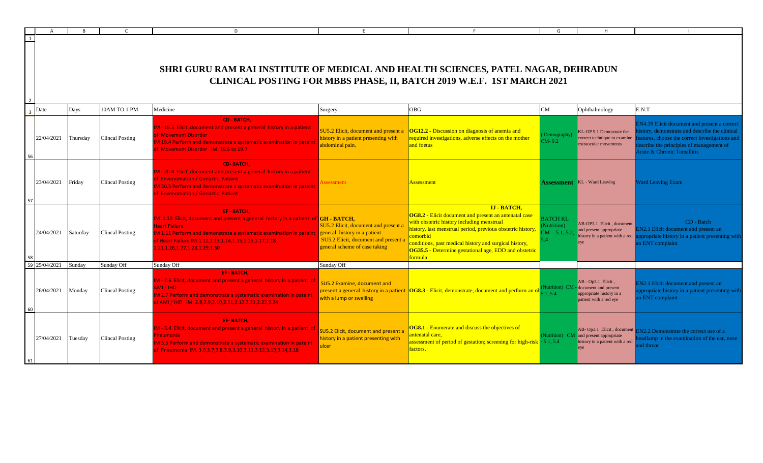|                |                      |          |                        | D.                                                                                                                                                                                                                                                                                                                       |                                                                                                               |                                                                                                                                                                                                                                                                                                                                  | G                                                |                                                                                                                  |                                                                                                                                                                                                                         |
|----------------|----------------------|----------|------------------------|--------------------------------------------------------------------------------------------------------------------------------------------------------------------------------------------------------------------------------------------------------------------------------------------------------------------------|---------------------------------------------------------------------------------------------------------------|----------------------------------------------------------------------------------------------------------------------------------------------------------------------------------------------------------------------------------------------------------------------------------------------------------------------------------|--------------------------------------------------|------------------------------------------------------------------------------------------------------------------|-------------------------------------------------------------------------------------------------------------------------------------------------------------------------------------------------------------------------|
| $\overline{1}$ |                      |          |                        | SHRI GURU RAM RAI INSTITUTE OF MEDICAL AND HEALTH SCIENCES, PATEL NAGAR, DEHRADUN                                                                                                                                                                                                                                        |                                                                                                               | CLINICAL POSTING FOR MBBS PHASE, II, BATCH 2019 W.E.F. 1ST MARCH 2021                                                                                                                                                                                                                                                            |                                                  |                                                                                                                  |                                                                                                                                                                                                                         |
|                | $\overline{3}$ Date  | Days     | 10AM TO 1 PM           | Medicine                                                                                                                                                                                                                                                                                                                 | Surgery                                                                                                       | <b>OBG</b>                                                                                                                                                                                                                                                                                                                       | CM                                               | Ophthalmology                                                                                                    | E.N.T                                                                                                                                                                                                                   |
|                | 22/04/2021           | Thursday | <b>Clincal Posting</b> | <b>CD - BATCH.</b><br>M - 19.3 Elicit, document and present a general history in a patient<br><b>f</b> Movement Disorder<br>A 19.4 Perform and demonstrate a systematic examination in pateint<br><b>E</b> Movement Disorder IM, 19.5 to 19.7                                                                            | SU5.2 Elicit, document and present a<br>history in a patient presenting with<br>abdominal pain.               | <b>OG12.2</b> - Discussion on diagnosis of anemia and<br>equired investigations, adverse effects on the mother<br>and foetus                                                                                                                                                                                                     | Demography<br>$CM - 9.2$                         | KL-OP 9.1 Demostrate the<br>correct technique to examine<br>extraocular movements                                | EN4.39 Elicit document and present a correct<br>story, demonstrate and describe the clinical<br>atures, choose the correct investigations and<br>escribe the principles of management of<br>Acute & Chronic Tonsillitis |
| 57             | 23/04/2021 Friday    |          | Clincal Posting        | <b>CD-BATCH.</b><br>M - 20.4 Elicit, document and present a general history in a patient<br><b>Envenomation / Geriartic Patient </b><br>M 20.5 Perform and demonstrate a systematic examination in pateint<br><b>f Envenomation / Geriartic Patient</b>                                                                  | ssessment                                                                                                     | Assessment                                                                                                                                                                                                                                                                                                                       |                                                  | <b>Assessment</b>   KL - Ward Leaving                                                                            | <b>Ward Leaving Exam</b>                                                                                                                                                                                                |
|                | 24/04/2021 Saturday  |          | <b>Clincal Posting</b> | <b>EF-BATCH.</b><br>M .1.10 Elicit, document and present a general history in a patient of $ GH - BATCH$ ,<br>leart Failure<br>M 1.11 Perform and demonstrate a systematic examination in pateint seneral history in a patient<br>f Heart Failure IM.1.12,1.13,1.14,1.15,1.16,1.17,1.18,<br>.21,1.26,1.27,1.28,1.29,1.30 | SU5.2 Elicit, document and present a<br>SU5.2 Elicit, document and present a<br>general scheme of case taking | <b>IJ - BATCH.</b><br>OG8.2 - Elicit document and present an antenatal case<br>with obstetric history including menstrual<br>nistory, last menstrual period, previous obstetric history<br>comorbid<br>onditions, past medical history and surgical history,<br>OG35.5 - Determine gestational age, EDD and obstetric<br>formula | <b>BATCH KL</b><br>Nutrition)<br>$CM - 5.1, 5.2$ | AB-OP3.1 Elicit, document<br>and present appropriate<br>history in a patient with a red $\overline{a}$           | CD - Batch<br>N <sub>2.1</sub> Elicit document and present an<br>ppropriate history in a patient presenting with<br>n ENT complaint                                                                                     |
|                | 59 25/04/2021 Sunday |          | Sunday Off             | Sunday Off                                                                                                                                                                                                                                                                                                               | Sunday Off                                                                                                    |                                                                                                                                                                                                                                                                                                                                  |                                                  |                                                                                                                  |                                                                                                                                                                                                                         |
|                | 26/04/2021           | Monday   | <b>Clincal Posting</b> | EF-BATCH.<br>M - 2.6 Elicit, document and present a general history in a patient of<br>MI / IHD<br>M 2.7 Perform and demonstrate a systematic examination in pateint<br>FAMI / IHD IM. 2.8,2.9,2.10,2.11,2.12,2.21,2.22,2.24                                                                                             | SU5.2 Examine, document and<br>present a general history in a patient<br>with a lump or swelling              | OG8.3 - Elicit, demonstrate, document and perform an ob                                                                                                                                                                                                                                                                          |                                                  | AB - Op3.1 Elicit,<br>Nutrition) CM - document and present<br>appropriate history in a<br>patient with a red eye | IN2.1 Elicit document and present an<br>ppropriate history in a patient presenting with<br>n ENT complaint                                                                                                              |
|                | 27/04/2021 Tuesday   |          | Clincal Posting        | <b>EF-BATCH.</b><br>M - 3.4 Elicit, document and present a general history in a patient of<br>eumonia i<br>M 3.5 Perform and demonstrate a systematic examination in pateint<br>f Pneumonia IM. 3.6,3.7,3.8,3.9,3.10,3.11,3.12,3.13,3.14,3.18                                                                            | SU5.2 Elicit, document and present a<br>istory in a patient presenting with<br>ulcer                          | <b>OG8.1 - Enumerate and discuss the objectives of</b><br>ntenatal care,<br>ssessment of period of gestation; screening for high-risk - 5.1, 5.4<br>actors.                                                                                                                                                                      |                                                  | AB- Op3.1 Elicit, document<br>Nutrition) $CM$ and present appropriate<br>history in a patient with a red         | N2.2 Demonstrate the correct use of a<br>dlamp in the examination of the ear, nose<br>d throat                                                                                                                          |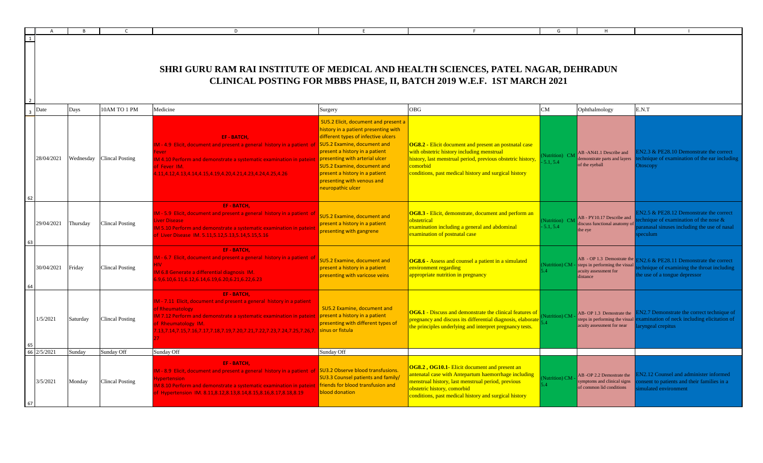|             |           |                        | D                                                                                                                                                                                                                                                                                                                        |                                                                                                                                                                                                                                                                           |                                                                                                                                                                                                                                                            | G                                       |                                                                                                                        |                                                                                                                                              |
|-------------|-----------|------------------------|--------------------------------------------------------------------------------------------------------------------------------------------------------------------------------------------------------------------------------------------------------------------------------------------------------------------------|---------------------------------------------------------------------------------------------------------------------------------------------------------------------------------------------------------------------------------------------------------------------------|------------------------------------------------------------------------------------------------------------------------------------------------------------------------------------------------------------------------------------------------------------|-----------------------------------------|------------------------------------------------------------------------------------------------------------------------|----------------------------------------------------------------------------------------------------------------------------------------------|
|             |           |                        | SHRI GURU RAM RAI INSTITUTE OF MEDICAL AND HEALTH SCIENCES, PATEL NAGAR, DEHRADUN                                                                                                                                                                                                                                        |                                                                                                                                                                                                                                                                           | CLINICAL POSTING FOR MBBS PHASE, II, BATCH 2019 W.E.F. 1ST MARCH 2021                                                                                                                                                                                      |                                         |                                                                                                                        |                                                                                                                                              |
| Date        | Days      | 10AM TO 1 PM           | Medicine                                                                                                                                                                                                                                                                                                                 | Surgery                                                                                                                                                                                                                                                                   | <b>OBG</b>                                                                                                                                                                                                                                                 | CM                                      | Ophthalmology                                                                                                          | E.N.T                                                                                                                                        |
| 28/04/2021  | Wednesday | <b>Clincal Posting</b> | EF-BATCH.<br>M - 4.9 Elicit, document and present a general history in a patient of SUS.2 Examine, document and<br>ever<br>M 4.10 Perform and demonstrate a systematic examination in pateint presenting with arterial ulcer<br>of Fever IM.<br>1.11,4.12,4.13,4.14,4.15,4.19,4.20,4.21,4.23,4.24,4.25,4.26              | SU5.2 Elicit, document and present a<br>history in a patient presenting with<br>different types of infective ulcers<br>present a history in a patient<br>SU5.2 Examine, document and<br>present a history in a patient<br>presenting with venous and<br>neuropathic ulcer | <b>OG8.2 - Elicit document and present an postnatal case</b><br>with obstetric history including menstrual<br>history, last menstrual period, previous obstetric history<br>comorbid<br>conditions, past medical history and surgical history              | Nutrition) CM<br>5.1.5.4                | AB-AN41.1 Describe and<br>demonstrate parts and layers<br>of the eyeball                                               | N2.3 & PE28.10 Demonstrate the correct<br>chnique of examination of the ear including<br>Otoscopy                                            |
| 29/04/2021  | Thursday  | <b>Clincal Posting</b> | EF-BATCH.<br>M - 5.9 Elicit, document and present a general history in a patient of<br><b>iver Disease</b><br>M 5.10 Perform and demonstrate a systematic examination in patein<br>f Liver Disease IM. 5.11,5.12,5.13,5.14,5.15,5.16                                                                                     | <b>SU5.2 Examine, document and</b><br>present a history in a patient<br>presenting with gangrene                                                                                                                                                                          | OG8.3 - Elicit, demonstrate, document and perform an<br>obstetrical<br>examination including a general and abdominal<br>examination of postnatal case                                                                                                      | 5.1.5.4                                 | Nutrition) CM AB - PY10.17 Describe and<br>discuss functional anatomy of<br>the eye                                    | $N2.5 \& PE28.12$ Demonstrate the correct<br>chnique of examination of the nose $\&$<br>ranasal sinuses including the use of nasal<br>eculum |
| 30/04/2021  | Friday    | <b>Clincal Posting</b> | EF-BATCH,<br>M - 6.7 Elicit, document and present a general history in a patient of<br>M 6.8 Generate a differential diagnosis IM.<br>.9,6.10,6.11,6.12,6.14,6.19,6.20,6.21,6.22,6.23                                                                                                                                    | <b>SU5.2 Examine, document and</b><br>present a history in a patient<br>oresenting with varicose veins                                                                                                                                                                    | OG8.6 - Assess and counsel a patient in a simulated<br>environment regarding<br>appropriate nutrition in pregnancy                                                                                                                                         | Nutrition) CM<br>$\left 4\right\rangle$ | AB - OP 1.3 Demostrate the $\frac{1}{\text{F}}$<br>steps in performing the visual<br>acuity assessment for<br>distance | $N2.6 \& PE28.11$ Demonstrate the correct<br>chnique of examining the throat including<br>he use of a tongue depressor                       |
| 1/5/2021    | Saturday  | <b>Clincal Posting</b> | <b>EF-BATCH.</b><br>M - 7.11 Elicit, document and present a general history in a patient<br>of Rheumatology<br>M 7.12 Perform and demonstrate a systematic examination in pateint<br>of Rheumatology IM.<br>.13,7.14,7.15,7.16,7.17,7.18,7.19,7.20,7.21,7.22,7.23,7.24,7.25,7.26,7. sinus or fistula                     | SU5.2 Examine, document and<br>present a history in a patient<br>presenting with different types of                                                                                                                                                                       | <b>OG6.1</b> - Discuss and demonstrate the clinical features of<br>pregnancy and discuss its differential diagnosis, elaborate<br>the principles underlying and interpret pregnancy tests.                                                                 | Vutrition) CM<br>$\Lambda$              | AB-OP 1.3 Demostrate the<br>steps in performing the visual<br>acuity assessment for near                               | N2.7 Demonstrate the correct technique of<br>xamination of neck including elicitation of<br>ryngeal crepitus                                 |
| 66 2/5/2021 | Sunday    | Sunday Off             | Sunday Off                                                                                                                                                                                                                                                                                                               | Sunday Off                                                                                                                                                                                                                                                                |                                                                                                                                                                                                                                                            |                                         |                                                                                                                        |                                                                                                                                              |
| 3/5/2021    | Monday    | <b>Clincal Posting</b> | EF-BATCH.<br>M - 8.9 Elicit, document and present a general history in a patient of SU3.2 Observe blood transfusions<br><b>Ivpertension</b><br>M 8.10 Perform and demonstrate a systematic examination in pateint letriends for blood transfusion and<br>f Hypertension IM. 8.11,8.12,8.13,8.14,8.15,8.16,8.17,8.18,8.19 | <b>SU3.3 Counsel patients and family/</b><br>blood donation                                                                                                                                                                                                               | <b>OG8.2, OG10.1-</b> Elicit document and present an<br>antenatal case with Antepartum haemorrhage including<br>menstrual history, last menstrual period, previous<br>obstetric history, comorbid<br>conditions, past medical history and surgical history | Nutrition) CM<br>54                     | AB -OP 2.2 Demostrate the<br>symptoms and clinical signs<br>of common lid conditions                                   | N <sub>2.12</sub> Counsel and administer informed<br>onsent to patients and their families in a<br>nulated environment                       |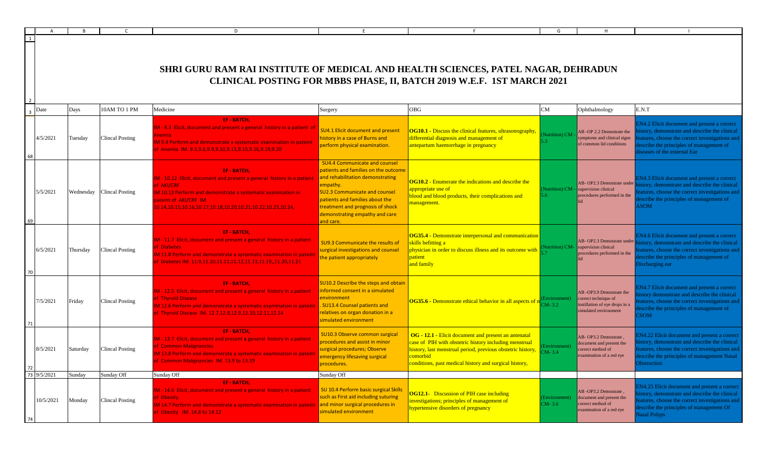|                |           |          |                           | D                                                                                                                                                                                                                                                                         |                                                                                                                                                                                                                                                                                            |                                                                                                                                                                                                                                                     | G                          |                                                                                                         |                                                                                                                                                                                                                                |
|----------------|-----------|----------|---------------------------|---------------------------------------------------------------------------------------------------------------------------------------------------------------------------------------------------------------------------------------------------------------------------|--------------------------------------------------------------------------------------------------------------------------------------------------------------------------------------------------------------------------------------------------------------------------------------------|-----------------------------------------------------------------------------------------------------------------------------------------------------------------------------------------------------------------------------------------------------|----------------------------|---------------------------------------------------------------------------------------------------------|--------------------------------------------------------------------------------------------------------------------------------------------------------------------------------------------------------------------------------|
|                |           |          |                           | SHRI GURU RAM RAI INSTITUTE OF MEDICAL AND HEALTH SCIENCES, PATEL NAGAR, DEHRADUN                                                                                                                                                                                         |                                                                                                                                                                                                                                                                                            | CLINICAL POSTING FOR MBBS PHASE, II, BATCH 2019 W.E.F. 1ST MARCH 2021                                                                                                                                                                               |                            |                                                                                                         |                                                                                                                                                                                                                                |
| Date           |           | Days     | 10AM TO 1 PM              | Medicine                                                                                                                                                                                                                                                                  | Surgery                                                                                                                                                                                                                                                                                    | <b>OBG</b>                                                                                                                                                                                                                                          | ${\rm CM}$                 | Ophthalmology                                                                                           | E.N.T                                                                                                                                                                                                                          |
| 4/5/2021       |           | Tuesday  | <b>Clincal Posting</b>    | <b>EF-BATCH,</b><br>IM - 9.3 Elicit, document and present a general history in a patient of<br>nemia<br>IM 9.4 Perform and demonstrate a systematic examination in pateint<br>f Anemia IM. 9.5,9.6,9.9,9.10,9.13,9.15,9.16,9.19,9.20                                      | <b>SU4.1 Elicit document and present</b><br>history in a case of Burns and<br>perform physical examination.                                                                                                                                                                                | OG10.1 - Discuss the clinical features, ultrasonography,<br>differential diagnosis and management of<br>antepartum haemorrhage in pregnancy                                                                                                         | <b>Nutrition</b> ) CM      | AB-OP 2.2 Demostrate the<br>ymptoms and clinical signs<br>of common lid conditions                      | <b>EN4.2</b> Elicit document and present a correct<br>story, demonstrate and describe the clinical<br>eatures, choose the correct investigations and<br>escribe the principles of management of<br>iseases of the external Ear |
| 5/5/2021       |           |          | Wednesday Clincal Posting | <b>EF-BATCH.</b><br>M - 10.12 Elicit, document and present a general history in a patient<br>of AKI/CRF<br>IM 10.13 Perform and demonstrate a systematic examination in<br>pateint of AKI/CRF IM.<br>0.14, 10.15, 10.16, 10.17, 10.18, 10.20, 10.21, 10.22, 10.23, 10.24, | <b>SU4.4 Communicate and counsel</b><br>patients and families on the outcome<br>and rehabilitation demonstrating<br>empathy.<br><b>SU2.3 Communicate and counsel</b><br>patients and families about the<br>treatment and prognosis of shock<br>demonstrating empathy and care<br>and care. | <b>OG10.2</b> - Enumerate the indications and describe the<br>appropriate use of<br>blood and blood products, their complications and<br>nanagement.                                                                                                | 5.6                        | AB- OP2.3 Demostrate under<br>(Nutrition) CM - supervision clinical<br>procedures performed in the      | EN4.3 Elicit document and present a correct<br>istory, demonstrate and describe the clinical<br>eatures, choose the correct investigations and<br>lescribe the principles of management of<br><b>ASOM</b>                      |
| 6/5/2021       |           | Thursday | Clincal Posting           | <b>EF-BATCH.</b><br>IM - 11.7 Elicit, document and present a general history in a patient<br>of Diabetes<br>M 11.8 Perform and demonstrate a systematic examination in patein<br>of Diabetes IM. 11.9,11.10,11.11,11.12,11.13,11.19,,11.20,11.21                          | <b>SU9.3 Communicate the results of</b><br>surgical investigations and counsel<br>the patient appropriately                                                                                                                                                                                | OG35.4 - Demonstrate interpersonal and communication<br>skills befitting a<br>ohysician in order to discuss illness and its outcome with<br>patient<br>and family                                                                                   | <b>Nutrition</b> ) CM-     | AB-OP2.3 Demostrate under<br>supervision clinical<br>procedures performed in the                        | EN4.6 Elicit document and present a correct<br>istory, demonstrate and describe the clinical<br>eatures, choose the correct investigations and<br>escribe the principles of management of<br>Discharging ear                   |
| 7/5/2021       |           | Friday   | <b>Clincal Posting</b>    | <b>EF-BATCH,</b><br>M - 12.5 Elicit, document and present a general history in a patient<br>of Thyroid Disease<br>IM 12.6 Perform and demonstrate a systematic examination in patein<br>of Thyroid Disease IM. 12.7,12.8,12.9,12.10,12.11,12.14                           | SU10.2 Describe the steps and obtain<br>informed consent in a simulated<br>environment<br>. SU13.4 Counsel patients and<br>relatives on organ donation in a<br>simulated environment                                                                                                       | OG35.6 - Demonstrate ethical behavior in all aspects of                                                                                                                                                                                             | Environment)<br>$CM-3.2$   | AB-OP3.9 Demostrate the<br>correct technique of<br>stillation of eye drops in a<br>imulated environment | EN4.7 Elicit document and present a correct<br>story demonstrate and describe the clinical<br>eatures, choose the correct investigations and<br>lescribe the principles of management of<br><b>SOM</b>                         |
| 8/5/2021<br>72 |           | Saturday | Clincal Posting           | <b>EF-BATCH,</b><br>IM - 13.7 Elicit, document and present a general history in a patient<br>of Common Malignancies<br>M 13.8 Perform and demonstrate a systematic examination in patein<br>f Common Malignancies IM, 13.9 to 13.19                                       | SU10.3 Observe common surgical<br>procedures and assist in minor<br>surgical procedures; Observe<br>emergency lifesaving surgical<br>procedures.                                                                                                                                           | OG - 12.1 - Elicit document and present an antenatal<br>case of PIH with obstetric history including menstrual<br>history, last menstrual period, previous obstetric history,<br>comorbid<br>conditions, past medical history and surgical history, | Environment)<br>$CM - 3.4$ | AB-OP3.2 Demostrate<br>locument and present the<br>orrect method of<br>examination of a red eye         | N4.22 Elicit document and present a correct<br>istory, demonstrate and describe the clinical<br>eatures, choose the correct investigations and<br>lescribe the principles of management Nasal<br><b>Distruction</b>            |
| 73 9/5/2021    |           | Sunday   | Sunday Off                | Sunday Off                                                                                                                                                                                                                                                                | Sunday Off                                                                                                                                                                                                                                                                                 |                                                                                                                                                                                                                                                     |                            |                                                                                                         |                                                                                                                                                                                                                                |
|                | 10/5/2021 | Monday   | <b>Clincal Posting</b>    | <b>EF-BATCH,</b><br>IM - 14.6 Elicit, document and present a general history in a patient<br>of Obesity<br>IM 14.7 Perform and demonstrate a systematic examination in patein<br>of Obesity IM. 14.8 to 14.12                                                             | SU 10.4 Perform basic surgical Skills<br>such as First aid including suturing<br>and minor surgical procedures in<br>simulated environment                                                                                                                                                 | <b>OG12.1-</b> Discussion of PIH case including<br>investigations; principles of management of<br>hypertensive disorders of pregnancy                                                                                                               | (Environment)<br>$CM-3.6$  | AB-OP3.2 Demostrate,<br>document and present the<br>correct method of<br>examination of a red eye       | EN4.25 Elicit document and present a correct<br>istory, demonstrate and describe the clinical<br>eatures, choose the correct investigations and<br>lescribe the principles of management Of<br>Nasal Polyps                    |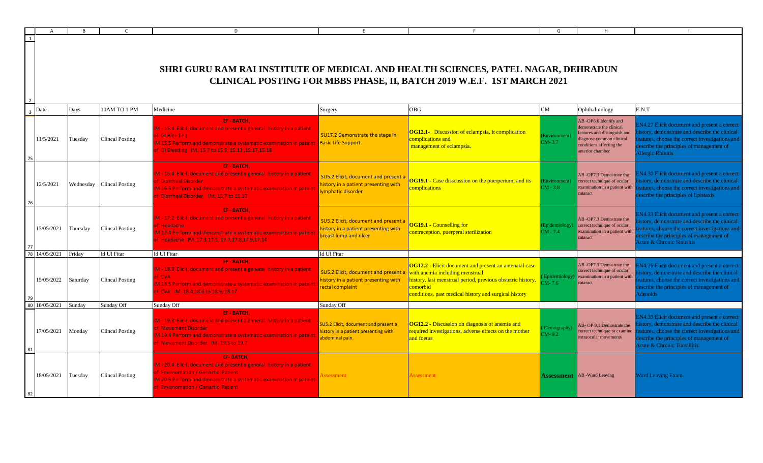|    |            |          |                           | D                                                                                                                                                                                                                                                      |                                                                                                       |                                                                                                                                                                                                                                      | G                            | H                                                                                                                                                            |                                                                                                                                                                                                                                     |
|----|------------|----------|---------------------------|--------------------------------------------------------------------------------------------------------------------------------------------------------------------------------------------------------------------------------------------------------|-------------------------------------------------------------------------------------------------------|--------------------------------------------------------------------------------------------------------------------------------------------------------------------------------------------------------------------------------------|------------------------------|--------------------------------------------------------------------------------------------------------------------------------------------------------------|-------------------------------------------------------------------------------------------------------------------------------------------------------------------------------------------------------------------------------------|
|    |            |          |                           | SHRI GURU RAM RAI INSTITUTE OF MEDICAL AND HEALTH SCIENCES, PATEL NAGAR, DEHRADUN                                                                                                                                                                      |                                                                                                       | CLINICAL POSTING FOR MBBS PHASE, II, BATCH 2019 W.E.F. 1ST MARCH 2021                                                                                                                                                                |                              |                                                                                                                                                              |                                                                                                                                                                                                                                     |
|    | Date       | Days     | 10AM TO 1 PM              | Medicine                                                                                                                                                                                                                                               | Surgery                                                                                               | <b>OBG</b>                                                                                                                                                                                                                           | CM                           | Ophthalmology                                                                                                                                                | E.N.T                                                                                                                                                                                                                               |
|    | 11/5/2021  | Tuesday  | Clincal Posting           | EF-BATCH.<br>M - 15.4 Elicit, document and present a general history in a patient<br>of GI Bleeding<br>IM 15.5 Perform and demonstrate a systematic examination in pateint Basic Life Support.<br>of GI Bleeding IM. 15.7 to 15.9, 15.13, 15.17, 15.18 | SU17.2 Demonstrate the steps in                                                                       | <b>OG12.1-</b> Discussion of eclampsia, it complication<br>complications and<br>management of eclampsia.                                                                                                                             | Environment)<br>$CM-3.7$     | AB-OP6.6 Identify and<br>demonstrate the clinical<br>eatures and distinguish and<br>liagnose common clinical<br>conditions affecting the<br>anterior chamber | N4.27 Elicit document and present a correct<br>istory, demonstrate and describe the clinical<br>atures, choose the correct investigations and<br>escribe the principles of management of<br>Allergic Rhinitis                       |
|    | 12/5/2021  |          | Wednesday Clincal Posting | EF-BATCH.<br>M - 16.4 Elicit, document and present a general history in a patient<br>of Diarrheal Disorder<br>M 16.5 Perform and demonstrate a systematic examination in pateint<br>of Diarrheal Disorder IM, 16.7 to 16.10                            | SU5.2 Elicit, document and present a<br>history in a patient presenting with<br>lymphatic disorder    | <b>OG19.1 - Case disscussion on the puerperium, and its</b><br>complications                                                                                                                                                         | (Environment)<br>$CM - 3.8$  | AB-OP7.3 Demostrate the<br>correct technique of ocular<br>examination in a patient with<br>cataract                                                          | N4.30 Elicit document and present a correct<br>story, demonstrate and describe the clinical<br>eatures, choose the correct investigations and<br>escribe the principles of Epistaxis                                                |
|    | 13/05/2021 | Thursday | <b>Clincal Posting</b>    | <b>EF-BATCH.</b><br>M - 17.2 Elicit, document and present a general history in a patient<br>of Headache<br>M 17.4 Perform and demonstrate a systematic examination in pateint<br>of Headache IM. 17.3,17.5, 17.7,17.8,17.9,17.14                       | SU5.2 Elicit, document and present a<br>history in a patient presenting with<br>breast lump and ulcer | <b>OG19.1 - Counselling for</b><br>contraception, puerperal sterilization                                                                                                                                                            | (Epidemiology)<br>$CM - 7.4$ | AB -OP7.3 Demostrate the<br>correct technique of ocular<br>examination in a patient with<br>cataract                                                         | EN4.33 Elicit document and present a correct<br>story, demonstrate and describe the clinical<br>atures, choose the correct investigations and<br>escribe the principles of management of<br><b>Acute &amp; Chronic Sinusitis</b>    |
|    | 14/05/2021 | Friday   | Id Ul Fitar               | Id Ul Fitar                                                                                                                                                                                                                                            | Id Ul Fitar                                                                                           |                                                                                                                                                                                                                                      |                              |                                                                                                                                                              |                                                                                                                                                                                                                                     |
|    | 15/05/2022 | Saturday | <b>Clincal Posting</b>    | EF-BATCH.<br>IM - 18.3 Elicit, document and present a general history in a patient<br>of CVA<br>M 18.5 Perform and demonstrate a systematic examination in pateint<br>of CVA IM. 18.4,18.6 to 18.9, 18.17                                              | SU5.2 Elicit, document and present a<br>history in a patient presenting with<br>rectal complaint      | <b>OG12.2 - Elicit document and present an antenatal case</b><br>with anemia including menstrual<br>nistory, last menstrual period, previous obstetric history,<br>comorbid<br>conditions, past medical history and surgical history | $CM-7.6$                     | AB-OP7.3 Demostrate the<br>correct technique of ocular<br>Epidemiology) examination in a patient with<br>cataract                                            | N4.26 Elicit document and present a correct<br>istory, demonstrate and describe the clinical<br>atures, choose the correct investigations and<br>escribe the principles of management of<br>Adenoids                                |
| 80 | 16/05/2021 | Sunday   | Sunday Off                | Sunday Off                                                                                                                                                                                                                                             | Sunday Off                                                                                            |                                                                                                                                                                                                                                      |                              |                                                                                                                                                              |                                                                                                                                                                                                                                     |
|    | 17/05/2021 | Monday   | <b>Clincal Posting</b>    | <b>EF-BATCH.</b><br>IM - 19.3 Elicit, document and present a general history in a patient<br>of Movement Disorder<br>M 19.4 Perform and demonstrate a systematic examination in pateint<br>of Movement Disorder IM. 19.5 to 19.7                       | SU5.2 Elicit, document and present a<br>history in a patient presenting with<br>abdominal pain.       | <b>OG12.2</b> - Discussion on diagnosis of anemia and<br>required investigations, adverse effects on the mother<br>and foetus                                                                                                        | Demography)<br>$CM-9.2$      | AB-OP 9.1 Demostrate the<br>correct technique to examine<br>extraocular movements                                                                            | EN4.39 Elicit document and present a correct<br>story, demonstrate and describe the clinical<br>eatures, choose the correct investigations and<br>escribe the principles of management of<br><b>Acute &amp; Chronic Tonsillitis</b> |
|    | 18/05/2021 | Tuesday  | <b>Clincal Posting</b>    | <b>EF-BATCH.</b><br>IM - 20.4 Elicit, document and present a general history in a patient<br>of Envenomation / Geriartic Patient<br>M 20.5 Perform and demonstrate a systematic examination in pateint<br>of Envenomation / Geriartic Patient          | ssessment                                                                                             | Assessment                                                                                                                                                                                                                           |                              | <b>Assessment</b> AB -Ward Leaving                                                                                                                           | <b>Ward Leaving Exam</b>                                                                                                                                                                                                            |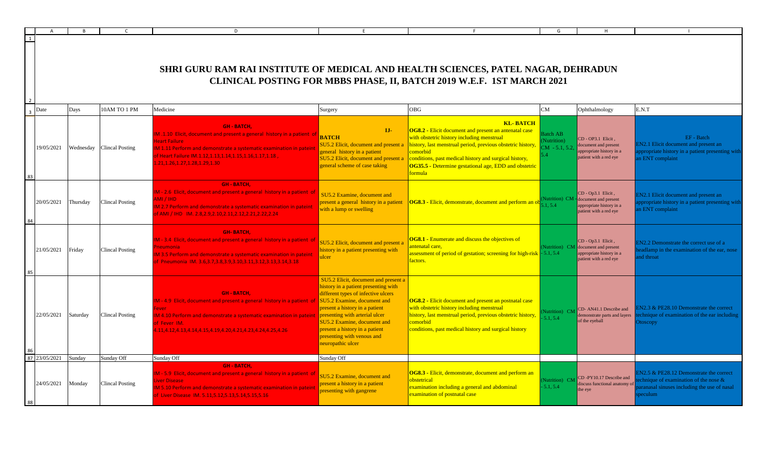|                |            |          |                           |                        | $\mathsf{D}$                                                                                                                                                                                                                                                                   |                                                                                                                                                                                                                                                                                                                                                   |                                                                                                                                                                                                                                                                                                                                       |                                                  |                                                                                                                |                                                                                                                                         |
|----------------|------------|----------|---------------------------|------------------------|--------------------------------------------------------------------------------------------------------------------------------------------------------------------------------------------------------------------------------------------------------------------------------|---------------------------------------------------------------------------------------------------------------------------------------------------------------------------------------------------------------------------------------------------------------------------------------------------------------------------------------------------|---------------------------------------------------------------------------------------------------------------------------------------------------------------------------------------------------------------------------------------------------------------------------------------------------------------------------------------|--------------------------------------------------|----------------------------------------------------------------------------------------------------------------|-----------------------------------------------------------------------------------------------------------------------------------------|
| $\overline{1}$ |            |          |                           |                        | SHRI GURU RAM RAI INSTITUTE OF MEDICAL AND HEALTH SCIENCES, PATEL NAGAR, DEHRADUN                                                                                                                                                                                              |                                                                                                                                                                                                                                                                                                                                                   | CLINICAL POSTING FOR MBBS PHASE, II, BATCH 2019 W.E.F. 1ST MARCH 2021                                                                                                                                                                                                                                                                 |                                                  |                                                                                                                |                                                                                                                                         |
| Date           |            | Days     |                           | 10AM TO 1 PM           | Medicine                                                                                                                                                                                                                                                                       | Surgery                                                                                                                                                                                                                                                                                                                                           | <b>OBG</b>                                                                                                                                                                                                                                                                                                                            | CM                                               | Ophthalmology                                                                                                  | E.N.T                                                                                                                                   |
|                | 19/05/2021 |          | Wednesday Clincal Posting |                        | <b>GH - BATCH,</b><br>M.1.10 Elicit, document and present a general history in a patient of<br>eart Failure<br>M 1.11 Perform and demonstrate a systematic examination in patein<br>f Heart Failure IM.1.12,1.13,1.14,1.15,1.16,1.17,1.18,<br>21, 1.26, 1.27, 1.28, 1.29, 1.30 | LI-<br><b>BATCH</b><br>SU5.2 Elicit, document and present a<br>general history in a patient<br>SU5.2 Elicit, document and present a<br>general scheme of case taking                                                                                                                                                                              | <b>KL-BATCH</b><br>OG8.2 - Elicit document and present an antenatal case<br>with obstetric history including menstrual<br>history, last menstrual period, previous obstetric history,<br>comorbid<br>conditions, past medical history and surgical history,<br>OG35.5 - Determine gestational age, EDD and obstetric<br><b>ormula</b> | <b>Batch AB</b><br>Nutrition)<br>$CM - 5.1, 5.2$ | CD - OP3.1 Elicit,<br>document and present<br>ppropriate history in a<br>patient with a red eye                | EF - Batch<br>N2.1 Elicit document and present an<br>propriate history in a patient presenting with<br>n ENT complaint                  |
|                | 20/05/2021 | Thursday | <b>Clincal Posting</b>    |                        | <b>GH-BATCH,</b><br>1 - 2.6 Elicit, document and present a general history in a patient of<br>MI / IHD<br>12.7 Perform and demonstrate a systematic examination in pateint<br>AMI / IHD IM. 2.8,2.9,2.10,2.11,2.12,2.21,2.22,2.24                                              | SU5.2 Examine, document and<br>present a general history in a patient<br>with a lump or swelling                                                                                                                                                                                                                                                  | <b>OG8.3</b> - Elicit, demonstrate, document and perform an ob                                                                                                                                                                                                                                                                        | Nutrition) CM<br>1, 54                           | CD - Op3.1 Elicit,<br>- document and present<br>appropriate history in a<br>patient with a red eye             | N2.1 Elicit document and present an<br>propriate history in a patient presenting with<br>n ENT complaint                                |
|                | 21/05/2021 | Friday   |                           | <b>Clincal Posting</b> | <b>GH-BATCH,</b><br>A - 3.4 Elicit, document and present a general history in a patient o<br>eumonia<br>13.5 Perform and demonstrate a systematic examination in pateint<br>Pneumonia IM. 3.6.3.7.3.8.3.9.3.10.3.11.3.12.3.13.3.14.3.18                                        | SU5.2 Elicit, document and present a<br>nistory in a patient presenting with<br><b>alcer</b>                                                                                                                                                                                                                                                      | <b>OG8.1 - Enumerate and discuss the objectives of</b><br>ntenatal care,<br>assessment of period of gestation; screening for high-risk - 5.1, 5.4<br>factors.                                                                                                                                                                         |                                                  | CD - Op3.1 Elicit,<br>Nutrition) CM document and present<br>appropriate history in a<br>patient with a red eye | N <sub>2.2</sub> Demonstrate the correct use of a<br>adlamp in the examination of the ear, nose<br>d throat                             |
|                | 22/05/2021 | Saturday | <b>Clincal Posting</b>    |                        | <b>GH - BATCH.</b><br>1 - 4.9 Elicit, document and present a general history in a patient of<br>14.10 Perform and demonstrate a systematic examination in pateint<br>Fever IM.<br>11.4.12.4.13.4.14.4.15.4.19.4.20.4.21.4.23.4.24.4.25.4.26                                    | SU5.2 Elicit, document and present a<br>history in a patient presenting with<br>different types of infective ulcers<br>SU5.2 Examine, document and<br>present a history in a patient<br>presenting with arterial ulcer<br><b>SU5.2 Examine, document and</b><br>present a history in a patient<br>presenting with venous and<br>neuropathic ulcer | <b>OG8.2 - Elicit document and present an postnatal case</b><br>with obstetric history including menstrual<br>history, last menstrual period, previous obstetric history,<br>comorbid<br>conditions, past medical history and surgical history                                                                                        | Nutrition) CM<br>5.1.5.4                         | CD- AN41.1 Describe and<br>emonstrate parts and layers<br>of the eyeball                                       | N <sub>2.3</sub> & PE <sub>28.10</sub> Demonstrate the correct<br>hnique of examination of the ear including<br>toscopy                 |
| 87 23/05/2021  |            | Sundav   | Sunday Off                |                        | Sunday Off                                                                                                                                                                                                                                                                     | Sunday Off                                                                                                                                                                                                                                                                                                                                        |                                                                                                                                                                                                                                                                                                                                       |                                                  |                                                                                                                |                                                                                                                                         |
|                | 24/05/2021 | Monday   |                           | <b>Clincal Posting</b> | <b>GH - BATCH,</b><br>M - 5.9 Elicit, document and present a general history in a patient of<br>ver Disease<br>15.10 Perform and demonstrate a systematic examination in patein<br>Liver Disease IM. 5.11.5.12.5.13.5.14.5.15.5.16                                             | SU5.2 Examine, document and<br>present a history in a patient<br>presenting with gangrene                                                                                                                                                                                                                                                         | OG8.3 - Elicit, demonstrate, document and perform an<br>obstetrical<br>examination including a general and abdominal<br>examination of postnatal case                                                                                                                                                                                 | Nutrition) CM<br>$-5.1, 5.4$                     | CD-PY10.17 Describe and<br>iscuss functional anatomy of<br>e eye                                               | N2.5 & PE28.12 Demonstrate the correct<br>nnique of examination of the nose $\&$<br>anasal sinuses including the use of nasal<br>eculum |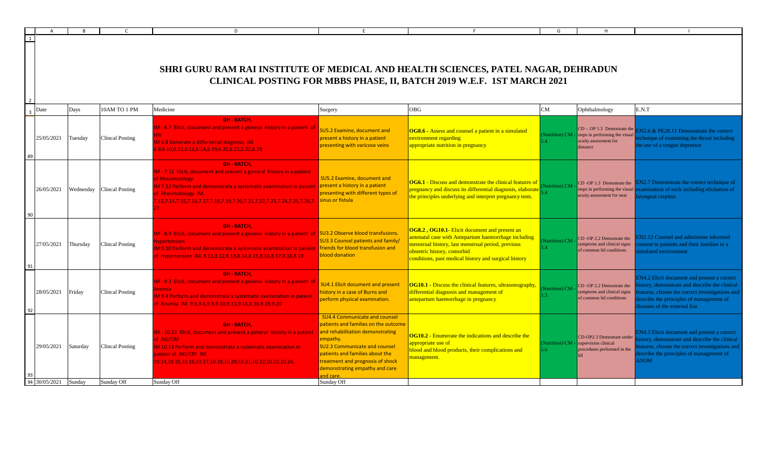| Surgery<br>M - 6.7 Elicit, document and present a general history in a patient of<br><b>SU5.2 Examine, document and</b><br>present a history in a patient<br>presenting with varicose veins<br>M - 7.11 Elicit, document and present a general history in a patient                                                                                                                                                                                                | SHRI GURU RAM RAI INSTITUTE OF MEDICAL AND HEALTH SCIENCES, PATEL NAGAR, DEHRADUN<br>CLINICAL POSTING FOR MBBS PHASE, II, BATCH 2019 W.E.F. 1ST MARCH 2021<br>OBG<br><b>OG8.6</b> - Assess and counsel a patient in a simulated<br>environment regarding<br>appropriate nutrition in pregnancy | CM<br>Nutrition) CM                  | Ophthalmology<br>$CD - OP 1.3$ Demostrate the<br>steps in performing the visual<br>acuity assessment for                       | E.N.T<br>$EN2.6 \& PE28.11$ Demonstrate the correct                                                                                                                                                                  |
|--------------------------------------------------------------------------------------------------------------------------------------------------------------------------------------------------------------------------------------------------------------------------------------------------------------------------------------------------------------------------------------------------------------------------------------------------------------------|------------------------------------------------------------------------------------------------------------------------------------------------------------------------------------------------------------------------------------------------------------------------------------------------|--------------------------------------|--------------------------------------------------------------------------------------------------------------------------------|----------------------------------------------------------------------------------------------------------------------------------------------------------------------------------------------------------------------|
|                                                                                                                                                                                                                                                                                                                                                                                                                                                                    |                                                                                                                                                                                                                                                                                                |                                      |                                                                                                                                |                                                                                                                                                                                                                      |
|                                                                                                                                                                                                                                                                                                                                                                                                                                                                    |                                                                                                                                                                                                                                                                                                |                                      |                                                                                                                                |                                                                                                                                                                                                                      |
|                                                                                                                                                                                                                                                                                                                                                                                                                                                                    |                                                                                                                                                                                                                                                                                                |                                      | distance                                                                                                                       | chnique of examining the throat including<br>he use of a tongue depressor                                                                                                                                            |
| <b>SU5.2 Examine, document and</b><br>M 7.12 Perform and demonstrate a systematic examination in pateint present a history in a patient<br>presenting with different types of<br>13,7.14,7.15,7.16,7.17,7.18,7.19,7.20,7.21,7.22,7.23,7.24,7.25,7.26,7 sinus or fistula                                                                                                                                                                                            | the principles underlying and interpret pregnancy tests.                                                                                                                                                                                                                                       | <b>Nutrition</b> ) CM                | CD-OP 1.3 Demostrate the<br>steps in performing the visual<br>acuity assessment for near                                       | N2.7 Demonstrate the correct technique of<br>xamination of neck including elicitation of<br>ryngeal crepitus                                                                                                         |
| M - 8.9 Elicit, document and present a general history in a patient of SU3.2 Observe blood transfusions.<br><b>SU3.3 Counsel patients and family/</b><br>friends for blood transfusion and<br>18.10 Perform and demonstrate a systematic examination in pateint<br>blood donation<br>f Hypertension IM. 8.11,8.12,8.13,8.14,8.15,8.16,8.17,8.18,8.19                                                                                                               | <b>OG8.2, OG10.1-</b> Elicit document and present an<br>Intenatal case with Antepartum haemorrhage including<br>menstrual history, last menstrual period, previous<br>obstetric history, comorbid<br>conditions, past medical history and surgical history                                     | (Nutrition) CM                       | CD -OP 2.2 Demostrate the<br>symptoms and clinical signs<br>of common lid conditions                                           | N <sub>2</sub> .12 Counsel and administer informed<br>onsent to patients and their families in a<br>mulated environment                                                                                              |
| M - 9.3 Elicit, document and present a general history in a patient of<br><b>SU4.1 Elicit document and present</b><br>nistory in a case of Burns and<br>M 9.4 Perform and demonstrate a systematic examination in pateint<br>perform physical examination.<br>Anemia IM. 9.5,9.6,9.9,9.10,9.13,9.15,9.16,9.19,9.20                                                                                                                                                 | <b>OG10.1 - Discuss the clinical features, ultrasonography,</b><br>differential diagnosis and management of<br>antepartum haemorrhage in pregnancy                                                                                                                                             | Nutrition) CM                        | CD-OP 2.2 Demostrate the<br>symptoms and clinical signs<br>of common lid conditions                                            | N4.2 Elicit document and present a correct<br>story, demonstrate and describe the clinical<br>atures, choose the correct investigations and<br>escribe the principles of management of<br>seases of the external Ear |
| <b>SU4.4 Communicate and counsel</b><br>and rehabilitation demonstrating<br>M - 10.12 Elicit, document and present a general history in a patient<br>empathy.<br><b>SU2.3 Communicate and counsel</b><br>M 10.13 Perform and demonstrate a systematic examination in<br>patients and families about the<br>treatment and prognosis of shock<br>0.14, 10.15, 10.16, 10.17, 10.18, 10.20, 10.21, 10.22, 10.23, 10.24,<br>demonstrating empathy and care<br>and care. | <b>OG10.2</b> - Enumerate the indications and describe the<br>appropriate use of<br>blood and blood products, their complications and<br>management.                                                                                                                                           | (Nutrition) CM -<br>$5.6^{\circ}$    | CD-OP2.3 Demostrate under<br>supervision clinical<br>procedures performed in the                                               | N4.3 Elicit document and present a correct<br>istory, demonstrate and describe the clinical<br>atures, choose the correct investigations and<br>escribe the principles of management of<br><b>SOM</b>                |
|                                                                                                                                                                                                                                                                                                                                                                                                                                                                    | Sunday Off                                                                                                                                                                                                                                                                                     | patients and families on the outcome | <b>OG6.1</b> - Discuss and demonstrate the clinical features of<br>pregnancy and discuss its differential diagnosis, elaborate |                                                                                                                                                                                                                      |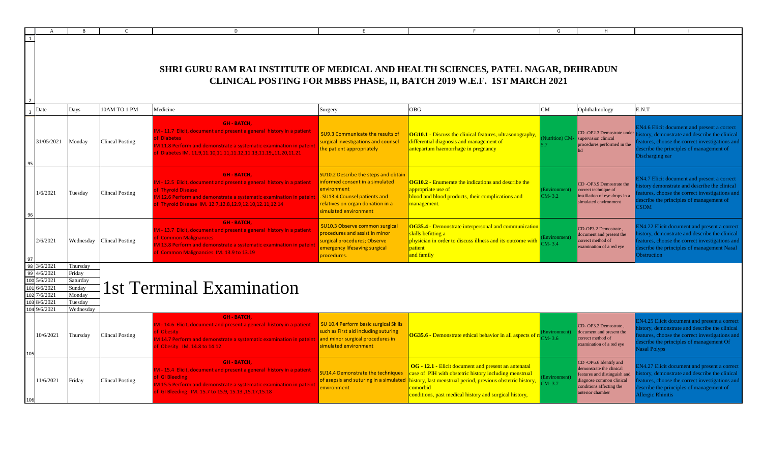|                        |                                                                                  |                                                                            |                           | D                                                                                                                                                                                                                                                    |                                                                                                                                                                                    |                                                                                                                                                                                                                                                                                            | G                         | H                                                                                                                                                            |                                                                                                                                                                                                                          |
|------------------------|----------------------------------------------------------------------------------|----------------------------------------------------------------------------|---------------------------|------------------------------------------------------------------------------------------------------------------------------------------------------------------------------------------------------------------------------------------------------|------------------------------------------------------------------------------------------------------------------------------------------------------------------------------------|--------------------------------------------------------------------------------------------------------------------------------------------------------------------------------------------------------------------------------------------------------------------------------------------|---------------------------|--------------------------------------------------------------------------------------------------------------------------------------------------------------|--------------------------------------------------------------------------------------------------------------------------------------------------------------------------------------------------------------------------|
|                        |                                                                                  |                                                                            |                           | SHRI GURU RAM RAI INSTITUTE OF MEDICAL AND HEALTH SCIENCES, PATEL NAGAR, DEHRADUN                                                                                                                                                                    |                                                                                                                                                                                    | CLINICAL POSTING FOR MBBS PHASE, II, BATCH 2019 W.E.F. 1ST MARCH 2021                                                                                                                                                                                                                      |                           |                                                                                                                                                              |                                                                                                                                                                                                                          |
|                        | Date                                                                             | Days                                                                       | 10AM TO 1 PM              | Medicine                                                                                                                                                                                                                                             | Surgery                                                                                                                                                                            | <b>OBG</b>                                                                                                                                                                                                                                                                                 | CM                        | Ophthalmology                                                                                                                                                | E.N.T                                                                                                                                                                                                                    |
|                        | 31/05/2021                                                                       | Monday                                                                     | <b>Clincal Posting</b>    | <b>GH - BATCH.</b><br>M - 11.7 Elicit, document and present a general history in a patient<br>of Diabetes<br>M 11.8 Perform and demonstrate a systematic examination in pateint<br>f Diabetes IM. 11.9,11.10,11.11,11.12,11.13,11.19,,11.20,11.21    | SU9.3 Communicate the results of<br>surgical investigations and counsel<br>the patient appropriately                                                                               | OG10.1 - Discuss the clinical features, ultrasonography,<br>differential diagnosis and management of<br>antepartum haemorrhage in pregnancy                                                                                                                                                | Nutrition) CM-            | CD-OP2.3 Demostrate under<br>supervision clinical<br>procedures performed in the                                                                             | EN4.6 Elicit document and present a correct<br>istory, demonstrate and describe the clinical<br>eatures, choose the correct investigations and<br>escribe the principles of management of<br>Discharging ear             |
|                        | 1/6/2021                                                                         | Tuesday                                                                    | <b>Clincal Posting</b>    | <b>GH-BATCH.</b><br>M - 12.5 Elicit, document and present a general history in a patient<br>of Thyroid Disease<br>M 12.6 Perform and demonstrate a systematic examination in pateint<br>of Thyroid Disease IM. 12.7, 12.8, 12.9, 12.10, 12.11, 12.14 | SU10.2 Describe the steps and obtain<br>informed consent in a simulated<br>environment<br>SU13.4 Counsel patients and<br>relatives on organ donation in a<br>simulated environment | <b>OG10.2</b> - Enumerate the indications and describe the<br>appropriate use of<br>blood and blood products, their complications and<br>nanagement.                                                                                                                                       | Environment)<br>CM-3.2    | CD-OP3.9 Demostrate the<br>correct technique of<br>instillation of eye drops in a<br>imulated environment                                                    | <b>EN4.7 Elicit document and present a correct</b><br>story demonstrate and describe the clinical<br>eatures, choose the correct investigations and<br>escribe the principles of management of<br><b>SOM</b>             |
|                        | 2/6/2021                                                                         |                                                                            | Wednesday Clincal Posting | <b>GH-BATCH.</b><br>M - 13.7 Elicit, document and present a general history in a patient<br>of Common Malignancies<br>M 13.8 Perform and demonstrate a systematic examination in pateint<br>of Common Malignancies IM. 13.9 to 13.19                 | SU10.3 Observe common surgical<br>procedures and assist in minor<br>surgical procedures; Observe<br>emergency lifesaving surgical<br>procedures.                                   | <b>OG35.4 - Demonstrate interpersonal and communication</b><br>skills befitting a<br>physician in order to discuss illness and its outcome with<br>patient<br>and family                                                                                                                   | Environment)<br>$M - 3.4$ | CD-OP3.2 Demostrate,<br>document and present the<br>correct method of<br>xamination of a red eye                                                             | <b>EN4.22</b> Elicit document and present a correct<br>istory, demonstrate and describe the clinical<br>eatures, choose the correct investigations and<br>escribe the principles of management Nasal<br>bstruction       |
| 98<br>99<br>101<br>102 | 3/6/2021<br>4/6/2021<br>5/6/2021<br>6/6/2021<br>1/6/2021<br>8/6/2021<br>9/6/2021 | Thursday<br>Friday<br>Saturday<br>Sundav<br>Monday<br>Tuesday<br>Wednesday |                           | 1st Terminal Examination                                                                                                                                                                                                                             |                                                                                                                                                                                    |                                                                                                                                                                                                                                                                                            |                           |                                                                                                                                                              |                                                                                                                                                                                                                          |
|                        | 10/6/2021                                                                        | Thursday                                                                   | Clincal Posting           | <b>GH-BATCH.</b><br>M - 14.6 Elicit, document and present a general history in a patient<br>f Obesitv<br>M 14.7 Perform and demonstrate a systematic examination in pateint<br>of Obesity IM. 14.8 to 14.12                                          | SU 10.4 Perform basic surgical Skills<br>such as First aid including suturing<br>and minor surgical procedures in<br>simulated environment                                         | OG35.6 - Demonstrate ethical behavior in all aspects of n <sub>CM-3.6</sub>                                                                                                                                                                                                                | mvironment)               | CD-OP3.2 Demostrate,<br>document and present the<br>correct method of<br>examination of a red eye                                                            | <b>IN4.25 Elicit document and present a correct</b><br>istory, demonstrate and describe the clinical<br>eatures, choose the correct investigations and<br>escribe the principles of management Of<br><b>Jasal Polyps</b> |
|                        | 11/6/2021                                                                        | Friday                                                                     | <b>Clincal Posting</b>    | <b>GH - BATCH.</b><br>IM - 15.4 Elicit, document and present a general history in a patient<br>of GI Bleeding<br>M 15.5 Perform and demonstrate a systematic examination in pateint<br>of GI Bleeding IM. 15.7 to 15.9, 15.13, 15.17, 15.18          | <b>SU14.4 Demonstrate the techniques</b><br>environment                                                                                                                            | OG - 12.1 - Elicit document and present an antenatal<br>case of PIH with obstetric history including menstrual<br>of asepsis and suturing in a simulated history, last menstrual period, previous obstetric history,<br>comorbid<br>conditions, past medical history and surgical history, | Environment)<br>$CM-3.7$  | CD-OP6.6 Identify and<br>demonstrate the clinical<br>eatures and distinguish and<br>liagnose common clinical<br>conditions affecting the<br>unterior chamber | N4.27 Elicit document and present a correct<br>istory, demonstrate and describe the clinical<br>eatures, choose the correct investigations and<br>escribe the principles of management of<br><b>Allergic Rhinitis</b>    |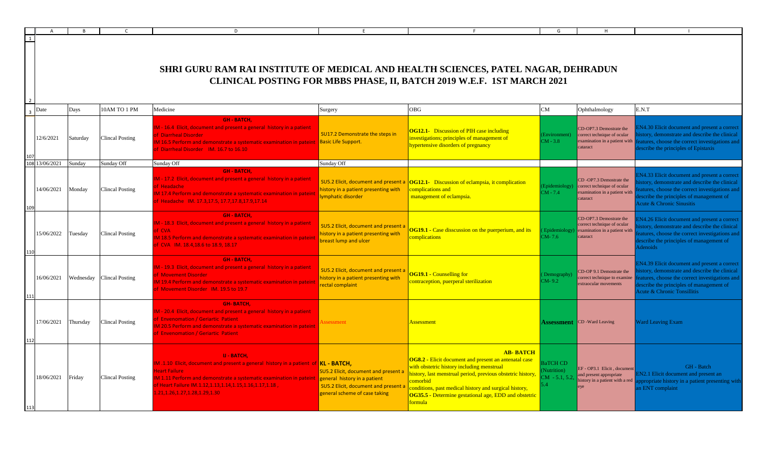|              |            |           |                        | D                                                                                                                                                                                                                                                                                                                                 |                                                                                                             |                                                                                                                                                                                                                                                                                                                                               | G                                                                |                                                                                                     |                                                                                                                                                                                                                                            |
|--------------|------------|-----------|------------------------|-----------------------------------------------------------------------------------------------------------------------------------------------------------------------------------------------------------------------------------------------------------------------------------------------------------------------------------|-------------------------------------------------------------------------------------------------------------|-----------------------------------------------------------------------------------------------------------------------------------------------------------------------------------------------------------------------------------------------------------------------------------------------------------------------------------------------|------------------------------------------------------------------|-----------------------------------------------------------------------------------------------------|--------------------------------------------------------------------------------------------------------------------------------------------------------------------------------------------------------------------------------------------|
| $\mathbf{1}$ |            |           |                        | SHRI GURU RAM RAI INSTITUTE OF MEDICAL AND HEALTH SCIENCES, PATEL NAGAR, DEHRADUN                                                                                                                                                                                                                                                 |                                                                                                             | CLINICAL POSTING FOR MBBS PHASE, II, BATCH 2019 W.E.F. 1ST MARCH 2021                                                                                                                                                                                                                                                                         |                                                                  |                                                                                                     |                                                                                                                                                                                                                                            |
| Date         |            | Days      | 10AM TO 1 PM           | Medicine                                                                                                                                                                                                                                                                                                                          | Surgery                                                                                                     | <b>OBG</b>                                                                                                                                                                                                                                                                                                                                    | CM                                                               | Ophthalmology                                                                                       | E.N.T                                                                                                                                                                                                                                      |
|              | 12/6/2021  | Saturday  | Clincal Posting        | <b>GH-BATCH.</b><br>M - 16.4 Elicit, document and present a general history in a patient<br><b>f</b> Diarrheal Disorder<br>M 16.5 Perform and demonstrate a systematic examination in pateint Sasic Life Support.<br>f Diarrheal Disorder IM. 16.7 to 16.10                                                                       | SU17.2 Demonstrate the steps in                                                                             | <b>OG12.1-</b> Discussion of PIH case including<br>investigations; principles of management of<br>hypertensive disorders of pregnancy                                                                                                                                                                                                         | (Environment)<br>$CM - 3.8$                                      | CD-OP7.3 Demostrate the<br>correct technique of ocular<br>examination in a patient with<br>cataract | N4.30 Elicit document and present a correct<br>istory, demonstrate and describe the clinical<br>eatures, choose the correct investigations and<br>escribe the principles of Epistaxis                                                      |
|              | 13/06/2021 | Sunday    | Sunday Off             | Sunday Off                                                                                                                                                                                                                                                                                                                        | Sunday Off                                                                                                  |                                                                                                                                                                                                                                                                                                                                               |                                                                  |                                                                                                     |                                                                                                                                                                                                                                            |
|              | 14/06/2021 | Monday    | <b>Clincal Posting</b> | <b>GH-BATCH.</b><br>M - 17.2 Elicit, document and present a general history in a patient<br>f Headache<br>M 17.4 Perform and demonstrate a systematic examination in pateint<br>Headache IM. 17.3,17.5, 17.7,17.8,17.9,17.14                                                                                                      | SU5.2 Elicit, document and present a<br>nistory in a patient presenting with<br>ymphatic disorder           | <b>OG12.1-</b> Discussion of eclampsia, it complication<br>complications and<br>management of eclampsia.                                                                                                                                                                                                                                      | Epidemiology)<br>$CM - 7.4$                                      | CD-OP7.3 Demostrate the<br>correct technique of ocular<br>examination in a patient with<br>cataract | N4.33 Elicit document and present a correct<br>story, demonstrate and describe the clinical<br>atures, choose the correct investigations and<br>escribe the principles of management of<br><b>Acute &amp; Chronic Sinusitis</b>            |
|              | 15/06/2022 | Tuesday   | <b>Clincal Posting</b> | <b>GH - BATCH.</b><br>M - 18.3 Elicit, document and present a general history in a patient<br><b>ECVA</b><br>M 18.5 Perform and demonstrate a systematic examination in pateint<br>f CVA IM. 18.4,18.6 to 18.9, 18.17                                                                                                             | SU5.2 Elicit, document and present a<br>nistory in a patient presenting with<br>preast lump and ulcer       | <b>OG19.1 - Case disscussion on the puerperium, and its</b><br>omplications                                                                                                                                                                                                                                                                   | Epidemiology)<br>$M - 7.6$                                       | CD-OP7.3 Demostrate the<br>correct technique of ocular<br>examination in a patient with<br>cataract | N4.26 Elicit document and present a correct<br>istory, demonstrate and describe the clinical<br>eatures, choose the correct investigations and<br>escribe the principles of management of<br>Adenoids                                      |
|              | 16/06/2021 | Wednesday | <b>Clincal Posting</b> | <b>GH - BATCH.</b><br>M - 19.3 Elicit, document and present a general history in a patient<br><b>f</b> Movement Disorder<br>M 19.4 Perform and demonstrate a systematic examination in pateint<br>f Movement Disorder IM. 19.5 to 19.7                                                                                            | SU5.2 Elicit, document and present a<br>nistory in a patient presenting with<br>ectal complaint             | <b>OG19.1 - Counselling for</b><br>ontraception, puerperal sterilization                                                                                                                                                                                                                                                                      | Demography)<br>$CM-9.2$                                          | CD-OP 9.1 Demostrate the<br>correct technique to examine<br>extraocular movements                   | <b>EN4.39 Elicit document and present a correct</b><br>story, demonstrate and describe the clinical<br>eatures, choose the correct investigations and<br>escribe the principles of management of<br><b>Acute &amp; Chronic Tonsillitis</b> |
|              | 17/06/2021 | Thursday  | <b>Clincal Posting</b> | <b>GH-BATCH</b><br>M - 20.4 Elicit, document and present a general history in a patient<br>f Envenomation / Geriartic Patient<br>M 20.5 Perform and demonstrate a systematic examination in pateint<br>f Envenomation / Geriartic Patient                                                                                         | ssessment                                                                                                   | <u>Assessment</u>                                                                                                                                                                                                                                                                                                                             |                                                                  | <b>Assessment</b> CD -Ward Leaving                                                                  | <b>Ward Leaving Exam</b>                                                                                                                                                                                                                   |
|              | 18/06/2021 | Friday    | <b>Clincal Posting</b> | <b>U - BATCH.</b><br>M.1.10 Elicit, document and present a general history in a patient of <b>KL - BATCH,</b><br><b>Heart Failure</b><br>M 1.11 Perform and demonstrate a systematic examination in pateint general history in a patient<br>f Heart Failure IM.1.12,1.13,1.14,1.15,1.16,1.17,1.18,<br>21,1.26,1.27,1.28,1.29,1.30 | SU5.2 Elicit, document and present a<br>SU5.2 Elicit, document and present<br>general scheme of case taking | <b>AB-BATCH</b><br><b>OG8.2 - Elicit document and present an antenatal case</b><br>with obstetric history including menstrual<br>history, last menstrual period, previous obstetric history,<br>comorbid<br>conditions, past medical history and surgical history,<br><b>OG35.5</b> - Determine gestational age, EDD and obstetric<br>formula | BaTCH CD<br>Nutrition)<br>$\overline{M}$ - 5.1, 5.2.<br>$\Delta$ | EF - OP3.1 Elicit, document<br>and present appropriate<br>history in a patient with a red           | GH - Batch<br>N2.1 Elicit document and present an<br>ppropriate history in a patient presenting with<br>n ENT complaint                                                                                                                    |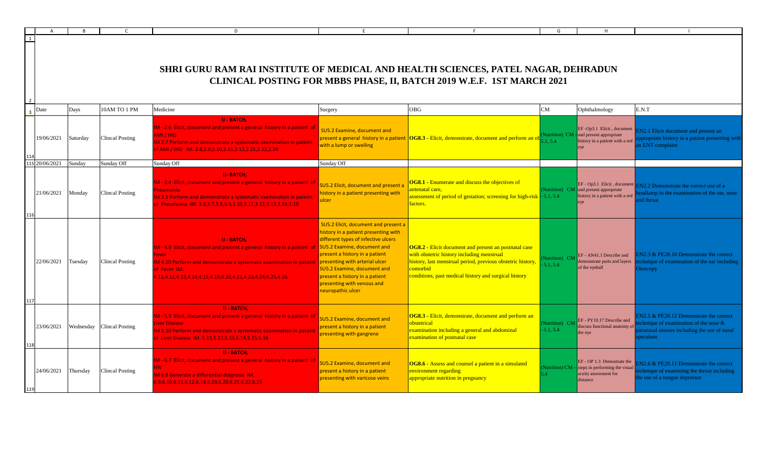|                |                       |          |                                          | n.                                                                                                                                                                                                                                                                                                              |                                                                                                                                                                                                                                                                                  |                                                                                                                                                                                                                                               |                           |                                                                                                                  |                                                                                                                                             |
|----------------|-----------------------|----------|------------------------------------------|-----------------------------------------------------------------------------------------------------------------------------------------------------------------------------------------------------------------------------------------------------------------------------------------------------------------|----------------------------------------------------------------------------------------------------------------------------------------------------------------------------------------------------------------------------------------------------------------------------------|-----------------------------------------------------------------------------------------------------------------------------------------------------------------------------------------------------------------------------------------------|---------------------------|------------------------------------------------------------------------------------------------------------------|---------------------------------------------------------------------------------------------------------------------------------------------|
| 1<br>- 2       |                       |          |                                          | SHRI GURU RAM RAI INSTITUTE OF MEDICAL AND HEALTH SCIENCES, PATEL NAGAR, DEHRADUN                                                                                                                                                                                                                               |                                                                                                                                                                                                                                                                                  | CLINICAL POSTING FOR MBBS PHASE, II, BATCH 2019 W.E.F. 1ST MARCH 2021                                                                                                                                                                         |                           |                                                                                                                  |                                                                                                                                             |
| $\overline{z}$ | Date                  | Days     | 10AM TO 1 PM                             | Medicine                                                                                                                                                                                                                                                                                                        | Surgery                                                                                                                                                                                                                                                                          | <b>OBG</b>                                                                                                                                                                                                                                    | CM                        | Ophthalmology                                                                                                    | E.N.T                                                                                                                                       |
|                | 19/06/2021            | Saturday | <b>Clincal Posting</b>                   | <b>U - BATCH.</b><br>M - 2.6 Elicit, document and present a general history in a patient of<br>MI / IHD<br>12.7 Perform and demonstrate a systematic examination in pateint<br>FAMI / IHD IM. 2.8,2.9,2.10,2.11,2.12,2.21,2.22,2.24                                                                             | SU5.2 Examine, document and<br>with a lump or swelling                                                                                                                                                                                                                           | present a general history in a patient $\vert$ OG8.3 - Elicit, demonstrate, document and perform an ob                                                                                                                                        | 154                       | EF-Op3.1 Elicit, document $\Gamma$<br>Nutrition) CM - and present appropriate<br>history in a patient with a red | N2.1 Elicit document and present an<br>propriate history in a patient presenting with<br>ENT complaint                                      |
|                | 115 20/06/2021 Sunday |          | Sunday Off                               | Sunday Off                                                                                                                                                                                                                                                                                                      | Sunday Off                                                                                                                                                                                                                                                                       |                                                                                                                                                                                                                                               |                           |                                                                                                                  |                                                                                                                                             |
|                | 21/06/2021 Monday     |          | Clincal Posting                          | <b>U-BATCH.</b><br>M - 3.4 Elicit, document and present a general history in a patient of<br>eumonia <sup>1</sup><br>13.5 Perform and demonstrate a systematic examination in pateint<br>Pneumonia IM. 3.6.3.7.3.8.3.9.3.10.3.11.3.12.3.13.3.14.3.18                                                            | <b>SU5.2 Elicit, document and present a</b><br>nistory in a patient presenting with<br>ulcer                                                                                                                                                                                     | <b>OG8.1 - Enumerate and discuss the objectives of</b><br>ntenatal care,<br>ssessment of period of gestation; screening for high-risk - 5.1, 5.4<br>actors.                                                                                   |                           | Nutrition) $CM$ and present appropriate<br>history in a patient with a red                                       | $EF - Op3.1$ Elicit, document $EN2.2$ Demonstrate the correct use of a<br>dlamp in the examination of the ear, nose<br>d throat             |
|                | 22/06/2021 Tuesday    |          | <b>Clincal Posting</b>                   | <b>U - BATCH,</b><br>M - 4.9 Elicit, document and present a general history in a patient of SU5.2 Examine, document and<br>wer<br>A 4.10 Perform and demonstrate a systematic examination in pateint presenting with arterial ulcer<br>f Fever IM.<br>11.4.12.4.13.4.14.4.15.4.19.4.20.4.21.4.23.4.24.4.25.4.26 | <b>SU5.2 Elicit, document and present a</b><br>nistory in a patient presenting with<br>different types of infective ulcers<br>present a history in a patient<br>SU5.2 Examine, document and<br>present a history in a patient<br>presenting with venous and<br>neuropathic ulcer | <b>OG8.2</b> - Elicit document and present an postnatal case<br>with obstetric history including menstrual<br>history, last menstrual period, previous obstetric history<br>comorbid<br>conditions, past medical history and surgical history | Nutrition) CM<br>5.1, 5.4 | EF - AN41.1 Describe and<br>emonstrate parts and layers<br>of the eyeball                                        | N <sub>2.3</sub> & PE <sub>28.10</sub> Demonstrate the correct<br>chnique of examination of the ear including<br>toscopy                    |
|                |                       |          | 23/06/2021   Wednesday   Clincal Posting | <b>U - BATCH,</b><br>M - 5.9 Elicit, document and present a general history in a patient of<br>ver Disease<br>A 5.10 Perform and demonstrate a systematic examination in pateint<br>Liver Disease IM. 5.11,5.12,5.13,5.14,5.15,5.16                                                                             | SU5.2 Examine, document and<br>present a history in a patient<br>presenting with gangrene                                                                                                                                                                                        | OG8.3 - Elicit, demonstrate, document and perform an<br>obstetrical<br>examination including a general and abdominal<br>examination of postnatal case                                                                                         | 5.1.5.4                   | Nutrition) CM EF - PY10.17 Describe and<br>liscuss functional anatomy of<br>the eye                              | N2.5 & PE28.12 Demonstrate the correct<br>hnique of examination of the nose $\&$<br>anasal sinuses including the use of nasal<br>eculum     |
|                | 24/06/2021            | Thursday | <b>Clincal Posting</b>                   | <b>U - BATCH.</b><br>M - 6.7 Elicit, document and present a general history in a patient of<br>M 6.8 Generate a differential diagnosis IM.<br>9,6.10,6.11,6.12,6.14,6.19,6.20,6.21,6.22,6.23                                                                                                                    | SU5.2 Examine, document and<br>present a history in a patient<br>presenting with varicose veins                                                                                                                                                                                  | OG8.6 - Assess and counsel a patient in a simulated<br>environment regarding<br>appropriate nutrition in pregnancy                                                                                                                            | Vutrition) CM -           | $EF - OP 1.3$ Demostrate the<br>steps in performing the visual<br>acuity assessment for<br>distance              | N <sub>2.6</sub> & PE <sub>28.11</sub> Demonstrate the correct<br>chnique of examining the throat including<br>he use of a tongue depressor |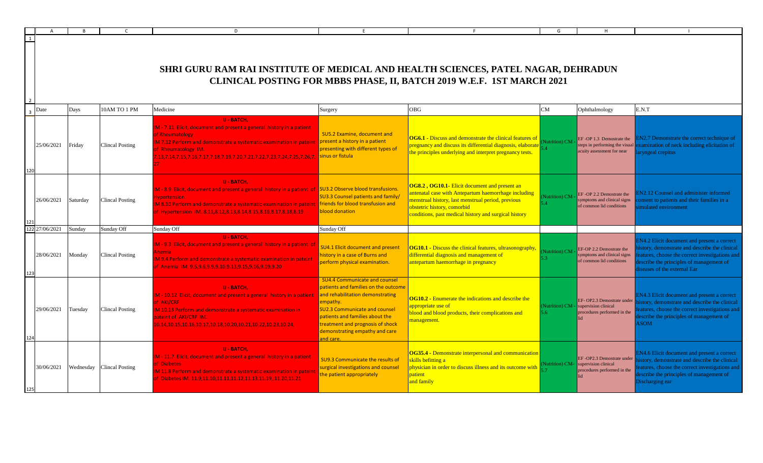|            |          |                           | D                                                                                                                                                                                                                                                                                                                                     |                                                                                                                                                                                                                                                                                            |                                                                                                                                                                                                                                                            | G                                |                                                                                         |                                                                                                                                                                                                                              |
|------------|----------|---------------------------|---------------------------------------------------------------------------------------------------------------------------------------------------------------------------------------------------------------------------------------------------------------------------------------------------------------------------------------|--------------------------------------------------------------------------------------------------------------------------------------------------------------------------------------------------------------------------------------------------------------------------------------------|------------------------------------------------------------------------------------------------------------------------------------------------------------------------------------------------------------------------------------------------------------|----------------------------------|-----------------------------------------------------------------------------------------|------------------------------------------------------------------------------------------------------------------------------------------------------------------------------------------------------------------------------|
|            |          |                           | SHRI GURU RAM RAI INSTITUTE OF MEDICAL AND HEALTH SCIENCES, PATEL NAGAR, DEHRADUN                                                                                                                                                                                                                                                     |                                                                                                                                                                                                                                                                                            | CLINICAL POSTING FOR MBBS PHASE, II, BATCH 2019 W.E.F. 1ST MARCH 2021                                                                                                                                                                                      |                                  |                                                                                         |                                                                                                                                                                                                                              |
| Date       | Days     | 10AM TO 1 PM              | Medicine                                                                                                                                                                                                                                                                                                                              | Surgery                                                                                                                                                                                                                                                                                    | <b>OBG</b>                                                                                                                                                                                                                                                 | CM                               | Ophthalmology                                                                           | E.N.T                                                                                                                                                                                                                        |
| 25/06/2021 | Friday   | <b>Clincal Posting</b>    | <b>U - BATCH.</b><br>M - 7.11 Elicit, document and present a general history in a patient<br>of Rheumatology<br>IM 7.12 Perform and demonstrate a systematic examination in pateint present a history in a patient<br>of Rheumatology IM.<br>.13,7.14,7.15,7.16,7.17,7.18,7.19,7.20,7.21,7.22,7.23,7.24,7.25,7.26,7. sinus or fistula | SU5.2 Examine, document and<br>presenting with different types of                                                                                                                                                                                                                          | <b>OG6.1</b> - Discuss and demonstrate the clinical features of<br>pregnancy and discuss its differential diagnosis, elaborate<br>the principles underlying and interpret pregnancy tests.                                                                 | Nutrition) CM                    | EF-OP 1.3 Demostrate the<br>teps in performing the visual<br>acuity assessment for near | N2.7 Demonstrate the correct technique of<br>xamination of neck including elicitation of<br>ryngeal crepitus                                                                                                                 |
| 26/06/2021 | Saturday | <b>Clincal Posting</b>    | <b>U - BATCH,</b><br>M - 8.9 Elicit, document and present a general history in a patient of SU3.2 Observe blood transfusions.<br>vpertension<br>M 8.10 Perform and demonstrate a systematic examination in pateint friends for blood transfusion and<br>f Hypertension IM. 8.11,8.12,8.13,8.14,8.15,8.16,8.17,8.18,8.19               | <b>SU3.3 Counsel patients and family/</b><br>blood donation                                                                                                                                                                                                                                | <b>OG8.2, OG10.1-</b> Elicit document and present an<br>Intenatal case with Antepartum haemorrhage including<br>menstrual history, last menstrual period, previous<br>obstetric history, comorbid<br>conditions, past medical history and surgical history | Nutrition) CM<br>34 <sup>2</sup> | EF-OP 2.2 Demostrate the<br>ymptoms and clinical signs<br>of common lid conditions      | N <sub>2.12</sub> Counsel and administer informed<br>nsent to patients and their families in a<br>mulated environment                                                                                                        |
| 27/06/2021 | Sunday   | Sunday Off                | Sunday Off                                                                                                                                                                                                                                                                                                                            | Sunday Off                                                                                                                                                                                                                                                                                 |                                                                                                                                                                                                                                                            |                                  |                                                                                         |                                                                                                                                                                                                                              |
| 28/06/2021 | Monday   | <b>Clincal Posting</b>    | <b>U - BATCH.</b><br>M - 9.3 Elicit, document and present a general history in a patient of<br>hemia.<br>M 9.4 Perform and demonstrate a systematic examination in pateint<br>f Anemia IM. 9.5,9.6,9.9,9.10,9.13,9.15,9.16,9.19,9.20                                                                                                  | <b>SU4.1 Elicit document and present</b><br>nistory in a case of Burns and<br>perform physical examination.                                                                                                                                                                                | <b>OG10.1 - Discuss the clinical features, ultrasonography,</b><br>differential diagnosis and management of<br>antepartum haemorrhage in pregnancy                                                                                                         | Nutrition) CM                    | EF-OP 2.2 Demostrate the<br>ymptoms and clinical signs<br>of common lid conditions      | <b>EN4.2</b> Elicit document and present a correct<br>story, demonstrate and describe the clinical<br>atures, choose the correct investigations and<br>escribe the principles of management of<br>seases of the external Ear |
| 29/06/2021 | Tuesday  | <b>Clincal Posting</b>    | <b>U - BATCH.</b><br>M - 10.12 Elicit, document and present a general history in a patient<br>f AKI/CRF<br>IM 10.13 Perform and demonstrate a systematic examination in<br>ateint of AKI/CRF IM.<br>0.14, 10.15, 10.16, 10.17, 10.18, 10.20, 10.21, 10.22, 10.23, 10.24,                                                              | <b>SU4.4 Communicate and counsel</b><br>patients and families on the outcome<br>and rehabilitation demonstrating<br>empathy.<br><b>SU2.3 Communicate and counsel</b><br>patients and families about the<br>treatment and prognosis of shock<br>demonstrating empathy and care<br>and care. | <b>OG10.2 - Enumerate the indications and describe the</b><br>appropriate use of<br>blood and blood products, their complications and<br>management.                                                                                                       | Nutrition) CM -<br>6             | EF- OP2.3 Demostrate under<br>supervision clinical<br>procedures performed in the       | N4.3 Elicit document and present a correct<br>story, demonstrate and describe the clinical<br>atures, choose the correct investigations and<br>escribe the principles of management of<br><b>NON</b>                         |
| 30/06/2021 |          | Wednesday Clincal Posting | <b>U-BATCH.</b><br>M - 11.7 Elicit, document and present a general history in a patient<br>f Diabetes<br>M 11.8 Perform and demonstrate a systematic examination in pateint<br>of Diabetes IM. 11.9,11.10,11.11,11.12,11.13,11.19,,11.20,11.21                                                                                        | <b>SU9.3 Communicate the results of</b><br>surgical investigations and counsel<br>the patient appropriately                                                                                                                                                                                | OG35.4 - Demonstrate interpersonal and communication<br>skills befitting a<br>physician in order to discuss illness and its outcome with<br>patient<br><mark>and family</mark>                                                                             | Nutrition) CM-                   | EF-OP2.3 Demostrate under<br>upervision clinical<br>procedures performed in the         | N4.6 Elicit document and present a correct<br>story, demonstrate and describe the clinical<br>atures, choose the correct investigations and<br>escribe the principles of management of<br>Discharging ear                    |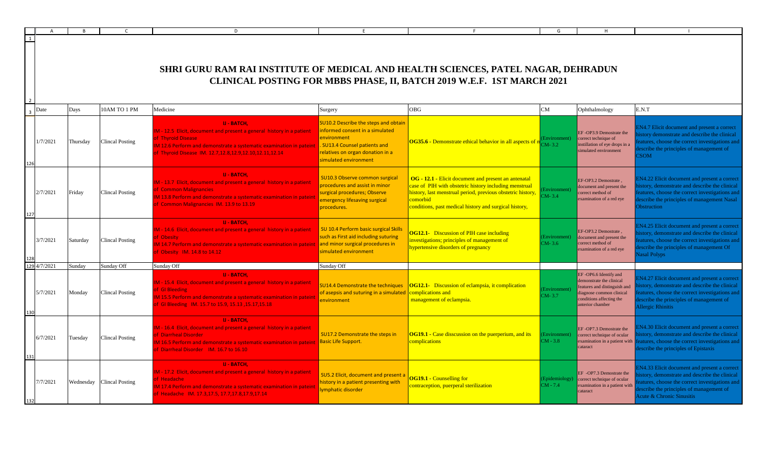|                |          |           |                        | D                                                                                                                                                                                                                                               |                                                                                                                                                                                      |                                                                                                                                                                                                                                                     | G                            |                                                                                                                                                            |                                                                                                                                                                                                                                  |
|----------------|----------|-----------|------------------------|-------------------------------------------------------------------------------------------------------------------------------------------------------------------------------------------------------------------------------------------------|--------------------------------------------------------------------------------------------------------------------------------------------------------------------------------------|-----------------------------------------------------------------------------------------------------------------------------------------------------------------------------------------------------------------------------------------------------|------------------------------|------------------------------------------------------------------------------------------------------------------------------------------------------------|----------------------------------------------------------------------------------------------------------------------------------------------------------------------------------------------------------------------------------|
| $\overline{1}$ |          |           |                        | SHRI GURU RAM RAI INSTITUTE OF MEDICAL AND HEALTH SCIENCES, PATEL NAGAR, DEHRADUN                                                                                                                                                               |                                                                                                                                                                                      | CLINICAL POSTING FOR MBBS PHASE, II, BATCH 2019 W.E.F. 1ST MARCH 2021                                                                                                                                                                               |                              |                                                                                                                                                            |                                                                                                                                                                                                                                  |
|                | Date     | Days      | 10AM TO 1 PM           | Medicine                                                                                                                                                                                                                                        | Surgery                                                                                                                                                                              | <b>OBG</b>                                                                                                                                                                                                                                          | CM                           | Ophthalmology                                                                                                                                              | E.N.T                                                                                                                                                                                                                            |
|                | 1/7/2021 | Thursday  | <b>Clincal Posting</b> | <b>U - BATCH,</b><br>M - 12.5 Elicit, document and present a general history in a patient<br>of Thyroid Disease<br>M 12.6 Perform and demonstrate a systematic examination in patein<br>of Thyroid Disease IM. 12.7,12.8,12.9,12.10,12.11,12.14 | SU10.2 Describe the steps and obtain<br>informed consent in a simulated<br>environment<br>. SU13.4 Counsel patients and<br>relatives on organ donation in a<br>simulated environment | OG35.6 - Demonstrate ethical behavior in all aspects of n<br>CM-3.2                                                                                                                                                                                 | Environment)                 | EF-OP3.9 Demostrate the<br>prrect technique of<br>istillation of eye drops in a<br>mulated environment                                                     | EN4.7 Elicit document and present a correct<br>story demonstrate and describe the clinical<br>eatures, choose the correct investigations and<br>escribe the principles of management of<br>'SOM                                  |
|                | 2/7/2021 | Friday    | <b>Clincal Posting</b> | <b>U - BATCH.</b><br>M - 13.7 Elicit, document and present a general history in a patient<br>of Common Malignancies<br>IM 13.8 Perform and demonstrate a systematic examination in patein<br>of Common Malignancies IM. 13.9 to 13.19           | SU10.3 Observe common surgical<br>procedures and assist in minor<br>surgical procedures; Observe<br>emergency lifesaving surgical<br>procedures.                                     | OG - 12.1 - Elicit document and present an antenatal<br>case of PIH with obstetric history including menstrual<br>history, last menstrual period, previous obstetric history,<br>comorbid<br>conditions, past medical history and surgical history, | Environment)<br>$CM-3.4$     | EF-OP3.2 Demostrate,<br>document and present the<br>orrect method of<br>xamination of a red eye                                                            | EN4.22 Elicit document and present a correct<br>istory, demonstrate and describe the clinical<br>eatures, choose the correct investigations and<br>escribe the principles of management Nasal<br><b>Obstruction</b>              |
|                | 3/7/2021 | Saturday  | <b>Clincal Posting</b> | <b>U - BATCH.</b><br>IM - 14.6 Elicit, document and present a general history in a patient<br>of Obesity<br>IM 14.7 Perform and demonstrate a systematic examination in pateint<br>of Obesity IM. 14.8 to 14.12                                 | SU 10.4 Perform basic surgical Skills<br>such as First aid including suturing<br>and minor surgical procedures in<br>simulated environment                                           | <b>OG12.1-</b> Discussion of PIH case including<br>investigations; principles of management of<br>hypertensive disorders of pregnancy                                                                                                               | Environment)<br>$CM-3.6$     | EF-OP3.2 Demostrate.<br>document and present the<br>orrect method of<br>xamination of a red eye                                                            | EN4.25 Elicit document and present a correct<br>istory, demonstrate and describe the clinical<br>eatures, choose the correct investigations and<br>escribe the principles of management Of<br><b>Vasal Polyps</b>                |
|                | 4/7/2021 | Sundav    | Sunday Off             | Sunday Off                                                                                                                                                                                                                                      | Sunday Off                                                                                                                                                                           |                                                                                                                                                                                                                                                     |                              |                                                                                                                                                            |                                                                                                                                                                                                                                  |
|                | 5/7/2021 | Monday    | <b>Clincal Posting</b> | <b>U - BATCH.</b><br>IM - 15.4 Elicit, document and present a general history in a patient<br>of GI Bleeding<br>IM 15.5 Perform and demonstrate a systematic examination in pateint<br>of GI Bleeding IM. 15.7 to 15.9, 15.13, 15.17, 15.18     | <b>SU14.4 Demonstrate the techniques</b><br>of asepsis and suturing in a simulated<br>environment                                                                                    | <b>OG12.1-</b> Discussion of eclampsia, it complication<br>complications and<br>management of eclampsia.                                                                                                                                            | Environment)<br>$CM-3.7$     | EF-OP6.6 Identify and<br>demonstrate the clinical<br>eatures and distinguish and<br>iagnose common clinical<br>onditions affecting the<br>unterior chamber | N4.27 Elicit document and present a correct<br>story, demonstrate and describe the clinical<br>eatures, choose the correct investigations and<br>escribe the principles of management of<br>Allergic Rhinitis                    |
|                | 6/7/2021 | Tuesday   | <b>Clincal Posting</b> | <b>U - BATCH,</b><br>IM - 16.4 Elicit, document and present a general history in a patient<br>of Diarrheal Disorder<br>M 16.5 Perform and demonstrate a systematic examination in pateint<br>of Diarrheal Disorder IM. 16.7 to 16.10            | SU17.2 Demonstrate the steps in<br><b>Basic Life Support.</b>                                                                                                                        | <b>OG19.1 - Case disscussion on the puerperium, and its</b><br>complications                                                                                                                                                                        | Environment)<br>$CM - 3.8$   | EF-OP7.3 Demostrate the<br>correct technique of ocular<br>xamination in a patient with<br>cataract                                                         | N4.30 Elicit document and present a correct<br>story, demonstrate and describe the clinical<br>eatures, choose the correct investigations and<br>escribe the principles of Epistaxis                                             |
|                | 7/7/2021 | Wednesday | <b>Clincal Posting</b> | <b>U - BATCH.</b><br>IM - 17.2 Elicit, document and present a general history in a patient<br>of Headache<br>M 17.4 Perform and demonstrate a systematic examination in patein<br>f Headache IM. 17.3,17.5, 17.7,17.8,17.9,17.14                | SU5.2 Elicit, document and present a<br>history in a patient presenting with<br>ymphatic disorder                                                                                    | <b>OG19.1 - Counselling for</b><br>contraception, puerperal sterilization                                                                                                                                                                           | (Epidemiology)<br>$CM - 7.4$ | EF-OP7.3 Demostrate the<br>correct technique of ocular<br>examination in a patient with<br>cataract                                                        | EN4.33 Elicit document and present a correct<br>story, demonstrate and describe the clinical<br>atures, choose the correct investigations and<br>escribe the principles of management of<br><b>Acute &amp; Chronic Sinusitis</b> |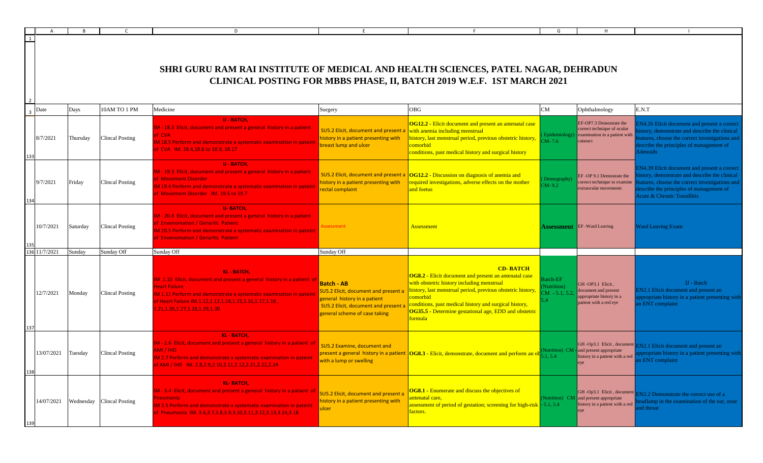|             |            |          |                                      | D                                                                                                                                                                                                                                                                                 |                                                                                                                                                                         |                                                                                                                                                                                                                                                                                                                                               | G                                         | H                                                                                                                 |                                                                                                                                                                                                                        |
|-------------|------------|----------|--------------------------------------|-----------------------------------------------------------------------------------------------------------------------------------------------------------------------------------------------------------------------------------------------------------------------------------|-------------------------------------------------------------------------------------------------------------------------------------------------------------------------|-----------------------------------------------------------------------------------------------------------------------------------------------------------------------------------------------------------------------------------------------------------------------------------------------------------------------------------------------|-------------------------------------------|-------------------------------------------------------------------------------------------------------------------|------------------------------------------------------------------------------------------------------------------------------------------------------------------------------------------------------------------------|
| $\boxed{1}$ |            |          |                                      | SHRI GURU RAM RAI INSTITUTE OF MEDICAL AND HEALTH SCIENCES, PATEL NAGAR, DEHRADUN                                                                                                                                                                                                 |                                                                                                                                                                         | CLINICAL POSTING FOR MBBS PHASE, II, BATCH 2019 W.E.F. 1ST MARCH 2021                                                                                                                                                                                                                                                                         |                                           |                                                                                                                   |                                                                                                                                                                                                                        |
|             | Date       | Days     | 10AM TO 1 PM                         | Medicine                                                                                                                                                                                                                                                                          | Surgery                                                                                                                                                                 | OBG                                                                                                                                                                                                                                                                                                                                           | CM                                        | Ophthalmology                                                                                                     | E.N.T                                                                                                                                                                                                                  |
|             | 8/7/2021   | Thursday | <b>Clincal Posting</b>               | <b>U - BATCH,</b><br>1 - 18.3 Elicit, document and present a general history in a patient<br><b>CVA</b><br>18.5 Perform and demonstrate a systematic examination in pateint<br>CVA IM. $18.4, 18.6$ to $18.9, 18.17$                                                              | <b>SU5.2 Elicit, document and present</b><br>history in a patient presenting with<br>breast lump and ulcer                                                              | <b>OG12.2</b> - Elicit document and present an antenatal case<br>with anemia including menstrual<br>history, last menstrual period, previous obstetric history,<br>comorbid<br>conditions, past medical history and surgical history                                                                                                          | $M - 7.6$                                 | EF-OP7.3 Demostrate the<br>correct technique of ocular<br>Epidemiology) examination in a patient with<br>cataract | N4.26 Elicit document and present a correc<br>tory, demonstrate and describe the clinical<br>atures, choose the correct investigations and<br>scribe the principles of management of<br>denoids                        |
|             | 9/7/2021   | Friday   | <b>Clincal Posting</b>               | <b>U - BATCH,</b><br>1 - 19.3 Elicit, document and present a general history in a patient<br><b>Movement Disorder</b><br>119.4 Perform and demonstrate a systematic examination in pateint<br>Movement Disorder IM. 19.5 to 19.7                                                  | <b>SU5.2 Elicit, document and present</b><br>history in a patient presenting with<br>rectal complaint                                                                   | <b>OG12.2</b> - Discussion on diagnosis of anemia and<br>equired investigations, adverse effects on the mother<br>and foetus                                                                                                                                                                                                                  | Demography<br>$M - 9.2$                   | EF-OP 9.1 Demostrate the<br>correct technique to examine<br>extraocular movements                                 | EN4.39 Elicit document and present a correct<br>tory, demonstrate and describe the clinical<br>atures, choose the correct investigations and<br>escribe the principles of management of<br>Acute & Chronic Tonsillitis |
|             | 10/7/2021  | Saturday | <b>Clincal Posting</b>               | <b>U-BATCH.</b><br>1 - 20.4 Elicit, document and present a general history in a patient<br><b>Envenomation / Geriartic Patient</b><br>120.5 Perform and demonstrate a systematic examination in pateint<br><b>Envenomation / Geriartic Patient</b>                                | essment                                                                                                                                                                 | <b>Assessment</b>                                                                                                                                                                                                                                                                                                                             |                                           | <b>Assessment</b> EF -Ward Leaving                                                                                | <b>Ward Leaving Exam</b>                                                                                                                                                                                               |
|             | 1/7/2021   | Sunday   | Sunday Off                           | Sunday Off                                                                                                                                                                                                                                                                        | Sunday Off                                                                                                                                                              |                                                                                                                                                                                                                                                                                                                                               |                                           |                                                                                                                   |                                                                                                                                                                                                                        |
|             | 12/7/2021  | Monday   | <b>Clincal Posting</b>               | <b>KL-BATCH.</b><br>1.10 Elicit, document and present a general history in a patient of $\vert$<br>eart Failure<br>1.11 Perform and demonstrate a systematic examination in patein<br>F Heart Failure IM.1.12,1.13,1.14,1.15,1.16,1.17,1.18,<br>.21, 1.26, 1.27, 1.28, 1.29, 1.30 | <b>Batch - AB</b><br>SU5.2 Elicit, document and present a<br>general history in a patient<br><b>SU5.2 Elicit, document and present</b><br>general scheme of case taking | <b>CD-BATCH</b><br><b>OG8.2</b> - Elicit document and present an antenatal case<br>with obstetric history including menstrual<br>history, last menstrual period, previous obstetric history,<br>comorbid<br>conditions, past medical history and surgical history,<br>OG35.5 - Determine gestational age, EDD and obstetric<br><u>`ormula</u> | Batch-EF<br>Nutrition)<br>$CM - 5.1, 5.2$ | GH-OP3.1 Elicit,<br>document and present<br>ppropriate history in a<br>patient with a red eye                     | IJ - Batch<br><b>EN2.1</b> Elicit document and present an<br>opropriate history in a patient presenting with<br>n ENT complaint                                                                                        |
| 138         | 13/07/2021 | Tuesday  | <b>Clincal Posting</b>               | <b>KL-BATCH,</b><br>1 - 2.6 Elicit, document and present a general history in a patient of<br>MI / IHD<br>M 2.7 Perform and demonstrate a systematic examination in pateint<br>AMI / IHD   IM. 2.8,2.9,2.10,2.11,2.12,2.21,2.22,2.24                                              | SU5.2 Examine, document and<br>with a lump or swelling                                                                                                                  | present a general history in a patient $\vert$ OG8.3 - Elicit, demonstrate, document and perform an obted $\frac{1}{5.1, 5.4}$                                                                                                                                                                                                                |                                           | Nutrition) CM - and present appropriate<br>history in a patient with a red                                        | GH-Op3.1 Elicit, document EN2.1 Elicit document and present an<br>ppropriate history in a patient presenting with<br>n ENT complaint                                                                                   |
|             |            |          | 14/07/2021 Wednesday Clincal Posting | <b>KL-BATCH,</b><br>1 - 3.4 Elicit, document and present a general history in a patient of<br>leumonia,<br>M 3.5 Perform and demonstrate a systematic examination in pateint<br>Pneumonia IM. 3.6,3.7,3.8,3.9,3.10,3.11,3.12,3.13,3.14,3.18                                       | SU5.2 Elicit, document and present a<br>history in a patient presenting with<br>ulcer                                                                                   | OG8.1 - Enumerate and discuss the objectives of<br>intenatal care.<br><b>assessment of period of gestation; screening for high-risk</b> - 5.1, 5.4<br>factors.                                                                                                                                                                                |                                           | GH-Op3.1 Elicit, document<br>(Nutrition) CM and present appropriate<br>history in a patient with a red            | <b>EN2.2</b> Demonstrate the correct use of a<br>dlamp in the examination of the ear, nose<br>nd throat                                                                                                                |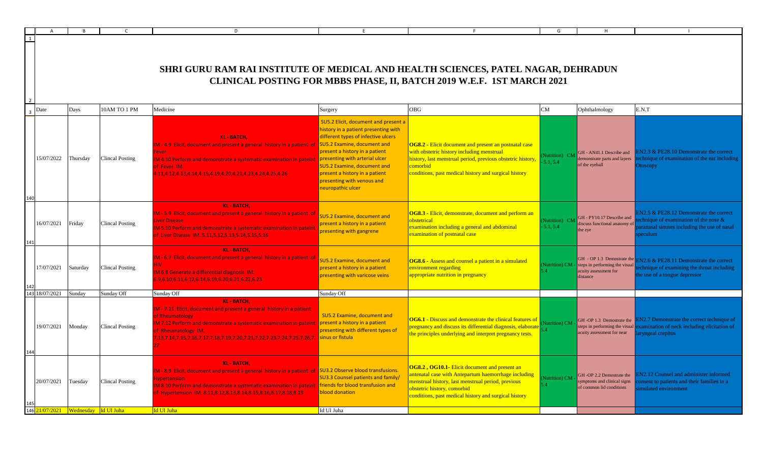|      |            |                                               |                        | D                                                                                                                                                                                                                                                                                                     | F.                                                                                                                                                                                                                                                                                                                                                |                                                                                                                                                                                                                                                    | G                               |                                                                                          |                                                                                                                                                  |
|------|------------|-----------------------------------------------|------------------------|-------------------------------------------------------------------------------------------------------------------------------------------------------------------------------------------------------------------------------------------------------------------------------------------------------|---------------------------------------------------------------------------------------------------------------------------------------------------------------------------------------------------------------------------------------------------------------------------------------------------------------------------------------------------|----------------------------------------------------------------------------------------------------------------------------------------------------------------------------------------------------------------------------------------------------|---------------------------------|------------------------------------------------------------------------------------------|--------------------------------------------------------------------------------------------------------------------------------------------------|
|      |            |                                               |                        |                                                                                                                                                                                                                                                                                                       |                                                                                                                                                                                                                                                                                                                                                   |                                                                                                                                                                                                                                                    |                                 |                                                                                          |                                                                                                                                                  |
|      |            |                                               |                        | SHRI GURU RAM RAI INSTITUTE OF MEDICAL AND HEALTH SCIENCES, PATEL NAGAR, DEHRADUN                                                                                                                                                                                                                     |                                                                                                                                                                                                                                                                                                                                                   | CLINICAL POSTING FOR MBBS PHASE, II, BATCH 2019 W.E.F. 1ST MARCH 2021                                                                                                                                                                              |                                 |                                                                                          |                                                                                                                                                  |
| Date |            | Days                                          | 10AM TO 1 PM           | Medicine                                                                                                                                                                                                                                                                                              | Surgery                                                                                                                                                                                                                                                                                                                                           | <b>OBG</b>                                                                                                                                                                                                                                         | CM                              | Ophthalmology                                                                            | E.N.T                                                                                                                                            |
|      | 15/07/2022 | Thursday                                      | <b>Clincal Posting</b> | <b>KL-BATCH,</b><br>M - 4.9 Elicit, document and present a general history in a patient of<br>ever<br>IM 4.10 Perform and demonstrate a systematic examination in pateint<br>of Fever IM.<br>1.11,4.12,4.13,4.14,4.15,4.19,4.20,4.21,4.23,4.24,4.25,4.26                                              | SU5.2 Elicit, document and present a<br>history in a patient presenting with<br>different types of infective ulcers<br><b>SU5.2 Examine, document and</b><br>present a history in a patient<br>presenting with arterial ulcer<br>SU5.2 Examine, document and<br>present a history in a patient<br>presenting with venous and<br>neuropathic ulcer | OG8.2 - Elicit document and present an postnatal case<br>with obstetric history including menstrual<br>history, last menstrual period, previous obstetric history,<br>comorbid<br>conditions, past medical history and surgical history            | Nutrition) CM<br>5.1.5.4        | GH - AN41.1 Describe and<br>lemonstrate parts and layers<br>of the eyeball               | N2.3 & PE28.10 Demonstrate the correct<br>chnique of examination of the ear including<br><b>Otoscopy</b>                                         |
|      | 16/07/2021 | Friday                                        | Clincal Posting        | <b>KL-BATCH.</b><br>M - 5.9 Elicit, document and present a general history in a patient of<br>iver Disease<br>M 5.10 Perform and demonstrate a systematic examination in patein<br>of Liver Disease IM. 5.11,5.12,5.13,5.14,5.15,5.16                                                                 | <b>SU5.2 Examine, document and</b><br>present a history in a patient<br>presenting with gangrene                                                                                                                                                                                                                                                  | OG8.3 - Elicit, demonstrate, document and perform an<br>obstetrical<br>examination including a general and abdominal<br>examination of postnatal case                                                                                              | Nutrition) CM<br>5.1, 5.4       | GH - PY10.17 Describe and<br>liscuss functional anatomy of<br>the eye                    | N2.5 & PE28.12 Demonstrate the correct<br>chnique of examination of the nose $\&$<br>ranasal sinuses including the use of nasal<br>eculum        |
|      | 17/07/2021 | Saturday                                      | Clincal Posting        | <b>KL-BATCH,</b><br>M - 6.7 Elicit, document and present a general history in a patient of<br>IIV.<br><b>IM 6.8 Generate a differential diagnosis IM.</b><br>5.9,6.10,6.11,6.12,6.14,6.19,6.20,6.21,6.22,6.23                                                                                         | SU5.2 Examine, document and<br>present a history in a patient<br>presenting with varicose veins                                                                                                                                                                                                                                                   | OG8.6 - Assess and counsel a patient in a simulated<br>environment regarding<br>appropriate nutrition in pregnancy                                                                                                                                 | Nutrition) CM<br>5.4            | steps in performing the visual<br>acuity assessment for<br>distance                      | GH - OP 1.3 Demostrate the EN2.6 & PE28.11 Demonstrate the correct<br>chnique of examining the throat including<br>the use of a tongue depressor |
|      | 18/07/2021 | Sunday                                        | Sunday Off             | Sunday Off                                                                                                                                                                                                                                                                                            | Sunday Off                                                                                                                                                                                                                                                                                                                                        |                                                                                                                                                                                                                                                    |                                 |                                                                                          |                                                                                                                                                  |
|      | 19/07/2021 | Monday                                        | Clincal Posting        | <b>KL-BATCH.</b><br>M - 7.11 Elicit, document and present a general history in a patient<br>of Rheumatology<br>IM 7.12 Perform and demonstrate a systematic examination in pateint<br>of Rheumatology IM.<br>.13,7.14,7.15,7.16,7.17,7.18,7.19,7.20,7.21,7.22,7.23,7.24,7.25,7.26,7.                  | SU5.2 Examine, document and<br>present a history in a patient<br>presenting with different types of<br>sinus or fistula                                                                                                                                                                                                                           | <b>OG6.1</b> - Discuss and demonstrate the clinical features of<br>pregnancy and discuss its differential diagnosis, elaborate<br>the principles underlying and interpret pregnancy tests.                                                         | Nutrition) CM<br>$\overline{A}$ | GH-OP 1.3 Demostrate the<br>steps in performing the visual<br>acuity assessment for near | N2.7 Demonstrate the correct technique of<br>camination of neck including elicitation of<br>vngeal crepitus                                      |
|      | 20/07/2021 | Tuesday                                       | Clincal Posting        | <b>KL-BATCH.</b><br>M - 8.9 Elicit, document and present a general history in a patient of SU3.2 Observe blood transfusions.<br><b>Ivpertension</b><br>M 8.10 Perform and demonstrate a systematic examination in pateint<br>of Hypertension IM. 8.11, 8.12, 8.13, 8.14, 8.15, 8.16, 8.17, 8.18, 8.19 | <b>SU3.3 Counsel patients and family/</b><br><b>friends for blood transfusion and</b><br>blood donation                                                                                                                                                                                                                                           | OG8.2, OG10.1- Elicit document and present an<br>ntenatal case with Antepartum haemorrhage including<br>nenstrual history, last menstrual period, previous<br>obstetric history, comorbid<br>conditions, past medical history and surgical history | <b>Nutrition</b> ) CM<br>54     | GH-OP 2.2 Demostrate the<br>symptoms and clinical signs<br>of common lid conditions      | N <sub>2</sub> .12 Counsel and administer informed<br>onsent to patients and their families in a<br>mulated environment                          |
|      |            | $146 \frac{21}{07/2021}$ Wednesday Id Ul Juha |                        | Id Ul Juha                                                                                                                                                                                                                                                                                            | Id Ul Juha                                                                                                                                                                                                                                                                                                                                        |                                                                                                                                                                                                                                                    |                                 |                                                                                          |                                                                                                                                                  |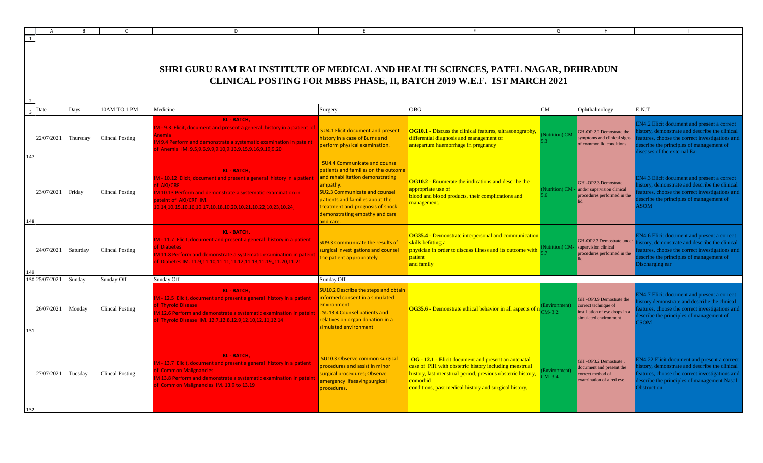|                |          |                        | D                                                                                                                                                                                                                                                                              |                                                                                                                                                                                                                                                                                            |                                                                                                                                                                                                                                                    |                            | H                                                                                                          |                                                                                                                                                                                                                        |
|----------------|----------|------------------------|--------------------------------------------------------------------------------------------------------------------------------------------------------------------------------------------------------------------------------------------------------------------------------|--------------------------------------------------------------------------------------------------------------------------------------------------------------------------------------------------------------------------------------------------------------------------------------------|----------------------------------------------------------------------------------------------------------------------------------------------------------------------------------------------------------------------------------------------------|----------------------------|------------------------------------------------------------------------------------------------------------|------------------------------------------------------------------------------------------------------------------------------------------------------------------------------------------------------------------------|
| $\overline{1}$ |          |                        | SHRI GURU RAM RAI INSTITUTE OF MEDICAL AND HEALTH SCIENCES, PATEL NAGAR, DEHRADUN                                                                                                                                                                                              |                                                                                                                                                                                                                                                                                            | CLINICAL POSTING FOR MBBS PHASE, II, BATCH 2019 W.E.F. 1ST MARCH 2021                                                                                                                                                                              |                            |                                                                                                            |                                                                                                                                                                                                                        |
| Date           | Days     | 10AM TO 1 PM           | Medicine                                                                                                                                                                                                                                                                       | Surgery                                                                                                                                                                                                                                                                                    | <b>OBG</b>                                                                                                                                                                                                                                         | CM                         | Ophthalmology                                                                                              | E.N.T                                                                                                                                                                                                                  |
| 22/07/2021     | Thursday | <b>Clincal Posting</b> | <b>KL-BATCH.</b><br>M - 9.3 Elicit, document and present a general history in a patient of<br>nemia<br>M 9.4 Perform and demonstrate a systematic examination in pateint<br>Anemia IM. 9.5,9.6,9.9,9.10,9.13,9.15,9.16,9.19,9.20                                               | SU4.1 Elicit document and present<br>nistory in a case of Burns and<br>perform physical examination.                                                                                                                                                                                       | OG10.1 - Discuss the clinical features, ultrasonography,<br>differential diagnosis and management of<br>antepartum haemorrhage in pregnancy                                                                                                        | Nutrition) CM              | GH-OP 2.2 Demostrate the<br>ymptoms and clinical signs<br>of common lid conditions                         | N4.2 Elicit document and present a correct<br>istory, demonstrate and describe the clinical<br>atures, choose the correct investigations and<br>escribe the principles of management of<br>iseases of the external Ear |
| 23/07/2021     | Friday   | <b>Clincal Posting</b> | <b>KL-BATCH,</b><br>M - 10.12 Elicit, document and present a general history in a patient<br><b>f AKI/CRF</b><br>M 10.13 Perform and demonstrate a systematic examination in<br>ateint of AKI/CRF IM.<br>.0.14, 10.15, 10.16, 10.17, 10.18, 10.20, 10.21, 10.22, 10.23, 10.24, | <b>SU4.4 Communicate and counsel</b><br>patients and families on the outcome<br>and rehabilitation demonstrating<br>empathy.<br><b>SU2.3 Communicate and counsel</b><br>patients and families about the<br>treatment and prognosis of shock<br>demonstrating empathy and care<br>and care. | <b>OG10.2</b> - Enumerate the indications and describe the<br>appropriate use of<br>blood and blood products, their complications and<br>management.                                                                                               | 6 <sup>1</sup>             | GH-OP2.3 Demostrate<br>Nutrition) CM - under supervision clinical<br>procedures performed in the           | EN4.3 Elicit document and present a correct<br>istory, demonstrate and describe the clinical<br>eatures, choose the correct investigations and<br>escribe the principles of management of<br><b>SOM</b>                |
| 24/07/2021     | Saturday | <b>Clincal Posting</b> | <b>KL-BATCH,</b><br>M - 11.7 Elicit, document and present a general history in a patient<br><b>f</b> Diabetes<br>11.8 Perform and demonstrate a systematic examination in pateint<br>f Diabetes IM. 11.9,11.10,11.11,11.12,11.13,11.19,,11.20,11.21                            | SU9.3 Communicate the results of<br>surgical investigations and counsel<br>the patient appropriately                                                                                                                                                                                       | <b>OG35.4 - Demonstrate interpersonal and communication</b><br>skills befitting a<br>physician in order to discuss illness and its outcome with<br>patient<br>and family                                                                           |                            | GH-OP2.3 Demostrate under<br>Nutrition) CM- supervision clinical<br>procedures performed in the            | <b>EN4.6 Elicit document and present a correct</b><br>istory, demonstrate and describe the clinical<br>atures, choose the correct investigations and<br>escribe the principles of management of<br>Discharging ear     |
| 25/07/2021     | Sunday   | Sunday Off             | Sunday Off                                                                                                                                                                                                                                                                     | Sunday Off                                                                                                                                                                                                                                                                                 |                                                                                                                                                                                                                                                    |                            |                                                                                                            |                                                                                                                                                                                                                        |
| 26/07/2021     | Monday   | <b>Clincal Posting</b> | <b>KL-BATCH.</b><br>M - 12.5 Elicit, document and present a general history in a patient<br><b>f Thyroid Disease</b><br>M 12.6 Perform and demonstrate a systematic examination in pateint<br>f Thyroid Disease IM. 12.7,12.8,12.9,12.10,12.11,12.14                           | <b>SU10.2 Describe the steps and obtain</b><br>informed consent in a simulated<br>environment<br>. SU13.4 Counsel patients and<br>relatives on organ donation in a<br>simulated environment                                                                                                | <b>OG35.6</b> - Demonstrate ethical behavior in all aspects of n                                                                                                                                                                                   | $M - 3.2$                  | GH-OP3.9 Demostrate the<br>correct technique of<br>instillation of eye drops in a<br>simulated environment | EN4.7 Elicit document and present a correct<br>istory demonstrate and describe the clinical<br>eatures, choose the correct investigations and<br>escribe the principles of management of<br>'SOM                       |
| 27/07/2021     | Tuesday  | <b>Clincal Posting</b> | <b>KL-BATCH,</b><br>M - 13.7 Elicit, document and present a general history in a patient<br>of Common Malignancies<br>M 13.8 Perform and demonstrate a systematic examination in pateint<br>f Common Malignancies IM. 13.9 to 13.19                                            | SU10.3 Observe common surgical<br>procedures and assist in minor<br>surgical procedures; Observe<br>emergency lifesaving surgical<br>procedures.                                                                                                                                           | OG - 12.1 - Elicit document and present an antenatal<br>case of PIH with obstetric history including menstrual<br>history, last menstrual period, previous obstetric history<br>comorbid<br>conditions, past medical history and surgical history, | Environment)<br>$CM - 3.4$ | GH-OP3.2 Demostrate,<br>document and present the<br>correct method of<br>examination of a red eye          | N4.22 Elicit document and present a correct<br>istory, demonstrate and describe the clinical<br>eatures, choose the correct investigations and<br>escribe the principles of management Nasal<br><b>Obstruction</b>     |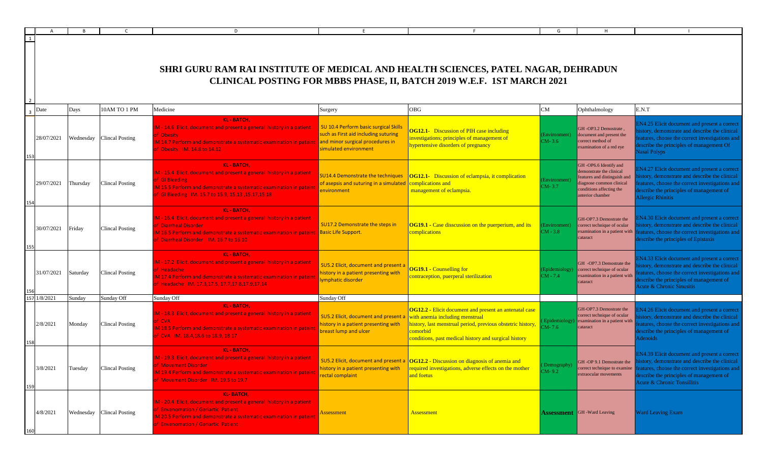|              |          |                           | D                                                                                                                                                                                                                                              | F                                                                                                                                          |                                                                                                                                                                                                                                      | G                            | H                                                                                                                                                             |                                                                                                                                                                                                                                                        |
|--------------|----------|---------------------------|------------------------------------------------------------------------------------------------------------------------------------------------------------------------------------------------------------------------------------------------|--------------------------------------------------------------------------------------------------------------------------------------------|--------------------------------------------------------------------------------------------------------------------------------------------------------------------------------------------------------------------------------------|------------------------------|---------------------------------------------------------------------------------------------------------------------------------------------------------------|--------------------------------------------------------------------------------------------------------------------------------------------------------------------------------------------------------------------------------------------------------|
| $\mathbf{1}$ |          |                           | SHRI GURU RAM RAI INSTITUTE OF MEDICAL AND HEALTH SCIENCES, PATEL NAGAR, DEHRADUN                                                                                                                                                              |                                                                                                                                            | CLINICAL POSTING FOR MBBS PHASE, II, BATCH 2019 W.E.F. 1ST MARCH 2021                                                                                                                                                                |                              |                                                                                                                                                               |                                                                                                                                                                                                                                                        |
| Date         | Days     | 10AM TO 1 PM              | Medicine                                                                                                                                                                                                                                       | Surgery                                                                                                                                    | <b>OBG</b>                                                                                                                                                                                                                           | CM                           | Ophthalmology                                                                                                                                                 | E.N.T                                                                                                                                                                                                                                                  |
| 28/07/2021   |          | Wednesday Clincal Posting | <b>KL-BATCH.</b><br>M - 14.6 Elicit, document and present a general history in a patient<br>of Obesity<br>M 14.7 Perform and demonstrate a systematic examination in pateint<br>of Obesity IM. 14.8 to 14.12                                   | SU 10.4 Perform basic surgical Skills<br>such as First aid including suturing<br>and minor surgical procedures in<br>simulated environment | <b>OG12.1-</b> Discussion of PIH case including<br>investigations; principles of management of<br>hypertensive disorders of pregnancy                                                                                                | Environment)<br>$CM-3.6$     | GH-OP3.2 Demostrate,<br>document and present the<br>correct method of<br>examination of a red eye                                                             | <b>EN4.25</b> Elicit document and present a correct<br>istory, demonstrate and describe the clinical<br>eatures, choose the correct investigations and<br>escribe the principles of management Of<br><b>Nasal Polyps</b>                               |
| 29/07/2021   | Thursday | <b>Clincal Posting</b>    | <b>KL-BATCH,</b><br>M - 15.4 Elicit, document and present a general history in a patient<br>of GI Bleeding<br>M 15.5 Perform and demonstrate a systematic examination in pateint<br>of GI Bleeding IM. 15.7 to 15.9, 15.13, 15.17, 15.18       | <b>SU14.4 Demonstrate the techniques</b><br>of asepsis and suturing in a simulated<br>environment                                          | <b>OG12.1-</b> Discussion of eclampsia, it complication<br>omplications and<br>management of eclampsia.                                                                                                                              | Environment)<br>$CM-3.7$     | GH-OP6.6 Identify and<br>demonstrate the clinical<br>features and distinguish and<br>diagnose common clinical<br>conditions affecting the<br>anterior chamber | N4.27 Elicit document and present a correct<br>story, demonstrate and describe the clinical<br>eatures, choose the correct investigations and<br>escribe the principles of management of<br>Allergic Rhinitis                                          |
| 30/07/2021   | Friday   | Clincal Posting           | <b>KL-BATCH,</b><br>IM - 16.4 Elicit, document and present a general history in a patient<br>of Diarrheal Disorder<br>IM 16.5 Perform and demonstrate a systematic examination in pateint<br>of Diarrheal Disorder IM. 16.7 to 16.10           | SU17.2 Demonstrate the steps in<br><b>Basic Life Support.</b>                                                                              | <b>OG19.1 - Case disscussion on the puerperium, and its</b><br>complications                                                                                                                                                         | Environment)<br>$CM - 3.8$   | GH-OP7.3 Demostrate the<br>correct technique of ocular<br>examination in a patient with<br>cataract                                                           | N4.30 Elicit document and present a correct<br>istory, demonstrate and describe the clinical<br>eatures, choose the correct investigations and<br>escribe the principles of Epistaxis                                                                  |
| 31/07/2021   | Saturday | <b>Clincal Posting</b>    | <b>KL-BATCH,</b><br>IM - 17.2 Elicit, document and present a general history in a patient<br>of Headache<br>M 17.4 Perform and demonstrate a systematic examination in pateint<br>of Headache IM. 17.3,17.5, 17.7,17.8,17.9,17.14              | SU5.2 Elicit, document and present a<br>history in a patient presenting with<br>lymphatic disorder                                         | <b>OG19.1 - Counselling for</b><br>contraception, puerperal sterilization                                                                                                                                                            | (Epidemiology)<br>$CM - 7.4$ | GH -OP7.3 Demostrate the<br>correct technique of ocular<br>examination in a patient with<br>cataract                                                          | <b>IN4.33 Elicit document and present a correct</b><br>istory, demonstrate and describe the clinical<br>atures, choose the correct investigations and<br>escribe the principles of management of<br>cute & Chronic Sinusitis                           |
| /8/2021      | Sunday   | Sunday Off                | Sunday Off                                                                                                                                                                                                                                     | Sunday Off                                                                                                                                 |                                                                                                                                                                                                                                      |                              |                                                                                                                                                               |                                                                                                                                                                                                                                                        |
| 2/8/2021     | Monday   | Clincal Posting           | <b>KL-BATCH.</b><br>IM - 18.3 Elicit, document and present a general history in a patient<br>of CVA<br>M 18.5 Perform and demonstrate a systematic examination in pateint<br>of CVA IM. 18.4,18.6 to 18.9, 18.17                               | SU5.2 Elicit, document and present a<br>history in a patient presenting with<br>breast lump and ulcer                                      | <b>OG12.2 - Elicit document and present an antenatal case</b><br>with anemia including menstrual<br>history, last menstrual period, previous obstetric history,<br>comorbid<br>conditions, past medical history and surgical history | Epidemiology)<br>$M - 7.6$   | GH-OP7.3 Demostrate the<br>correct technique of ocular<br>examination in a patient with<br>cataract                                                           | <b>EN4.26 Elicit document and present a correct</b><br>istory, demonstrate and describe the clinical<br>eatures, choose the correct investigations and<br>lescribe the principles of management of<br><b>Adenoids</b>                                  |
| 3/8/2021     | Tuesday  | <b>Clincal Posting</b>    | <b>KL-BATCH,</b><br>IM - 19.3 Elicit, document and present a general history in a patient<br>of Movement Disorder<br>IM 19.4 Perform and demonstrate a systematic examination in pateint<br>of Movement Disorder IM, 19.5 to 19.7              | history in a patient presenting with<br>rectal complaint                                                                                   | SU5.2 Elicit, document and present a $\log 12.2$ - Discussion on diagnosis of anemia and<br>required investigations, adverse effects on the mother<br>and foetus                                                                     | Demography)<br>$CM-9.2$      | GH-OP 9.1 Demostrate the<br>extraocular movements                                                                                                             | EN4.39 Elicit document and present a correct<br>story, demonstrate and describe the clinical<br>correct technique to examine features, choose the correct investigations and<br>escribe the principles of management of<br>Acute & Chronic Tonsillitis |
| 4/8/2021     |          | Wednesday Clincal Posting | <b>KL-BATCH,</b><br>IM - 20.4 Elicit, document and present a general history in a patient<br>of Envenomation / Geriartic Patient<br>IM 20.5 Perform and demonstrate a systematic examination in pateint<br>of Envenomation / Geriartic Patient | <u>Assessment</u>                                                                                                                          | Assessment                                                                                                                                                                                                                           |                              | <b>Assessment</b> GH -Ward Leaving                                                                                                                            | Vard Leaving Exam                                                                                                                                                                                                                                      |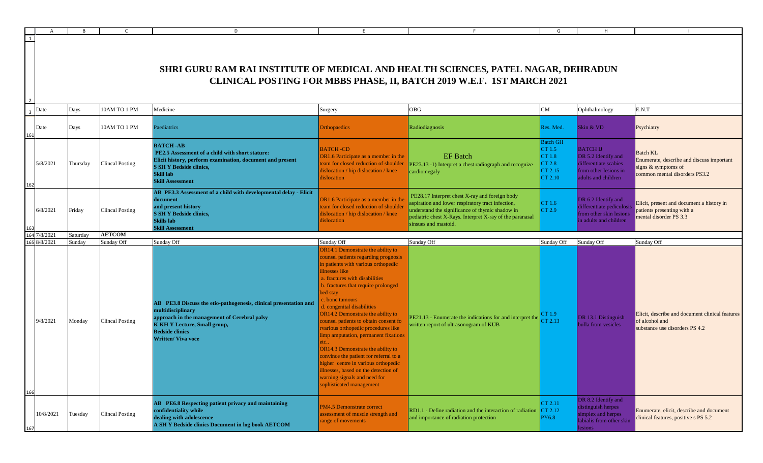| 1              |                      |                  |                                      | D<br>SHRI GURU RAM RAI INSTITUTE OF MEDICAL AND HEALTH SCIENCES, PATEL NAGAR, DEHRADUN                                                                                                                                                             | F                                                                                                                                                                                                                                                                                                                                                                                                                                                                                                                                                                                                                                                                            | CLINICAL POSTING FOR MBBS PHASE, II, BATCH 2019 W.E.F. 1ST MARCH 2021                                                                                                                                                                      | G                                                                   |                                                                                                                 |                                                                                                                      |
|----------------|----------------------|------------------|--------------------------------------|----------------------------------------------------------------------------------------------------------------------------------------------------------------------------------------------------------------------------------------------------|------------------------------------------------------------------------------------------------------------------------------------------------------------------------------------------------------------------------------------------------------------------------------------------------------------------------------------------------------------------------------------------------------------------------------------------------------------------------------------------------------------------------------------------------------------------------------------------------------------------------------------------------------------------------------|--------------------------------------------------------------------------------------------------------------------------------------------------------------------------------------------------------------------------------------------|---------------------------------------------------------------------|-----------------------------------------------------------------------------------------------------------------|----------------------------------------------------------------------------------------------------------------------|
| $\overline{3}$ | Date                 | Days             | 10AM TO 1 PM                         | Medicine                                                                                                                                                                                                                                           | Surgery                                                                                                                                                                                                                                                                                                                                                                                                                                                                                                                                                                                                                                                                      | <b>OBG</b>                                                                                                                                                                                                                                 | ${\rm CM}$                                                          | Ophthalmology                                                                                                   | E.N.T                                                                                                                |
|                | Date                 | Days             | 10AM TO 1 PM                         | Paediatrics                                                                                                                                                                                                                                        | <b>Orthopaedics</b>                                                                                                                                                                                                                                                                                                                                                                                                                                                                                                                                                                                                                                                          | Radiodiagnosis                                                                                                                                                                                                                             | Res. Med.                                                           | Skin & VD                                                                                                       | Psychiatry                                                                                                           |
|                | 5/8/2021             | Thursday         | <b>Clincal Posting</b>               | <b>BATCH-AB</b><br>PE2.5 Assessment of a child with short stature:<br>Elicit history, perform examination, document and present<br><b>S SH Y Bedside clinics,</b><br><b>Skill lab</b><br><b>Skill Assessment</b>                                   | <b>BATCH-CD</b><br>OR1.6 Participate as a member in the<br>team for closed reduction of shoulder<br>dislocation / hip dislocation / knee<br>dislocation                                                                                                                                                                                                                                                                                                                                                                                                                                                                                                                      | <b>EF</b> Batch<br>PE23.13 -1) Interpret a chest radiograph and recognize<br>cardiomegaly                                                                                                                                                  | <b>Batch GH</b><br>CT 1.5<br>CT 1.8<br>CT 2.8<br>CT 2.15<br>CT 2.10 | <b>BATCH IJ</b><br>DR 5.2 Identify and<br>differentiate scabies<br>from other lesions in<br>adults and children | <b>Batch KL</b><br>Enumerate, describe and discuss important<br>signs & symptoms of<br>common mental disorders PS3.2 |
|                | 6/8/2021             | Friday           | <b>Clincal Posting</b>               | AB PE3.3 Assessment of a child with developmental delay - Elicit<br>document<br>and present history<br><b>S SH Y Bedside clinics,</b><br><b>Skills</b> lab<br><b>Skill Assessment</b>                                                              | OR1.6 Participate as a member in the<br>team for closed reduction of shoulder<br>dislocation / hip dislocation / knee<br>dislocation                                                                                                                                                                                                                                                                                                                                                                                                                                                                                                                                         | PE28.17 Interpret chest X-ray and foreign body<br>aspiration and lower respiratory tract infection,<br>understand the significance of thymic shadow in<br>pediatric chest X-Rays. Interpret X-ray of the paranasal<br>sinsues and mastoid. | CT 1.6<br>CT 2.9                                                    | DR 6.2 Identify and<br>differentiate pediculosis<br>from other skin lesions<br>in adults and children           | Elicit, present and document a history in<br>patients presenting with a<br>mental disorder PS 3.3                    |
| 164            | 7/8/2021             | Saturday         | <b>AETCOM</b>                        |                                                                                                                                                                                                                                                    |                                                                                                                                                                                                                                                                                                                                                                                                                                                                                                                                                                                                                                                                              |                                                                                                                                                                                                                                            |                                                                     |                                                                                                                 |                                                                                                                      |
| 165<br>166     | 8/8/2021<br>9/8/2021 | Sunday<br>Monday | Sunday Off<br><b>Clincal Posting</b> | Sunday Off<br>AB PE3.8 Discuss the etio-pathogenesis, clinical presentation and<br>multidisciplinary<br>approach in the management of Cerebral palsy<br><b>K KH Y Lecture, Small group,</b><br><b>Bedside clinics</b><br><b>Written/ Viva voce</b> | Sunday Off<br>OR14.1 Demonstrate the ability to<br>counsel patients regarding prognosis<br>in patients with various orthopedic<br>illnesses like<br>a. fractures with disabilities<br>b. fractures that require prolonged<br>bed stay<br>c. bone tumours<br>d. congenital disabilities<br>OR14.2 Demonstrate the ability to<br>counsel patients to obtain consent fo<br>rvarious orthopedic procedures like<br>limp amputation, permanent fixations<br>OR14.3 Demonstrate the ability to<br>convince the patient for referral to a<br>igher centre in various orthopedic<br>illnesses, based on the detection of<br>warning signals and need for<br>sophisticated management | Sunday Off<br>PE21.13 - Enumerate the indications for and interpret the<br>written report of ultrasonogram of KUB                                                                                                                          | Sunday Off<br>CT 1.9<br>CT 2.13                                     | Sunday Off<br>DR 13.1 Distinguish<br>bulla from vesicles                                                        | Sunday Off<br>Elicit, describe and document clinical features<br>of alcohol and<br>substance use disorders PS 4.2    |
|                | 10/8/2021            | Tuesday          | <b>Clincal Posting</b>               | AB PE6.8 Respecting patient privacy and maintaining<br>confidentiality while<br>dealing with adolescence<br>A SH Y Bedside clinics Document in log book AETCOM                                                                                     | PM4.5 Demonstrate correct<br>assessment of muscle strength and<br>range of movements                                                                                                                                                                                                                                                                                                                                                                                                                                                                                                                                                                                         | RD1.1 - Define radiation and the interaction of radiation<br>and importance of radiation protection                                                                                                                                        | CT 2.11<br>$\text{CT } 2.12$<br><b>PY6.8</b>                        | DR 8.2 Identify and<br>distinguish herpes<br>simplex and herpes<br>labialis from other skin                     | Enumerate, elicit, describe and document<br>clinical features, positive s PS 5.2                                     |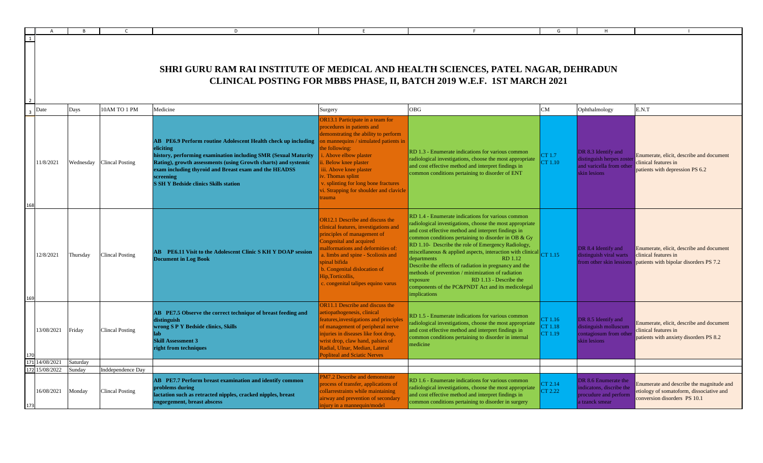|                          |                  |                                             | D                                                                                                                                                                                                                                                                                                                                           |                                                                                                                                                                                                                                                                                                                                                          |                                                                                                                                                                                                                                                                                                                                                                                                                                                                                                                                                                                                                    | G                             |                                                                                              |                                                                                                                      |
|--------------------------|------------------|---------------------------------------------|---------------------------------------------------------------------------------------------------------------------------------------------------------------------------------------------------------------------------------------------------------------------------------------------------------------------------------------------|----------------------------------------------------------------------------------------------------------------------------------------------------------------------------------------------------------------------------------------------------------------------------------------------------------------------------------------------------------|--------------------------------------------------------------------------------------------------------------------------------------------------------------------------------------------------------------------------------------------------------------------------------------------------------------------------------------------------------------------------------------------------------------------------------------------------------------------------------------------------------------------------------------------------------------------------------------------------------------------|-------------------------------|----------------------------------------------------------------------------------------------|----------------------------------------------------------------------------------------------------------------------|
| 1                        |                  |                                             | SHRI GURU RAM RAI INSTITUTE OF MEDICAL AND HEALTH SCIENCES, PATEL NAGAR, DEHRADUN                                                                                                                                                                                                                                                           |                                                                                                                                                                                                                                                                                                                                                          | CLINICAL POSTING FOR MBBS PHASE, II, BATCH 2019 W.E.F. 1ST MARCH 2021                                                                                                                                                                                                                                                                                                                                                                                                                                                                                                                                              |                               |                                                                                              |                                                                                                                      |
| Date                     | Days             | 10AM TO 1 PM                                | Medicine                                                                                                                                                                                                                                                                                                                                    | Surgery                                                                                                                                                                                                                                                                                                                                                  | <b>OBG</b>                                                                                                                                                                                                                                                                                                                                                                                                                                                                                                                                                                                                         | CM                            | Ophthalmology                                                                                | E.N.T                                                                                                                |
| 11/8/2021                | Wednesday        | <b>Clincal Posting</b>                      | <b>AB</b> PE6.9 Perform routine Adolescent Health check up including<br>eliciting<br>history, performing examination including SMR (Sexual Maturity<br>Rating), growth assessments (using Growth charts) and systemic<br>exam including thyroid and Breast exam and the HEADSS<br>screening<br><b>S SH Y Bedside clinics Skills station</b> | OR13.1 Participate in a team for<br>procedures in patients and<br>lemonstrating the ability to perform<br>n mannequins / simulated patients in<br>ie following:<br>. Above elbow plaster<br>. Below knee plaster<br>ii. Above knee plaster<br>iv. Thomas splint<br>splinting for long bone fractures<br>i. Strapping for shoulder and clavicle<br>trauma | RD 1.3 - Enumerate indications for various common<br>radiological investigations, choose the most appropriate<br>and cost effective method and interpret findings in<br>common conditions pertaining to disorder of ENT                                                                                                                                                                                                                                                                                                                                                                                            | CT 1.7<br>CT 1.10             | DR 8.3 Identify and<br>distinguish herpes zoster<br>and varicella from other<br>skin lesions | Enumerate, elicit, describe and document<br>clinical features in<br>patients with depression PS 6.2                  |
| 12/8/2021                | Thursday         | <b>Clincal Posting</b>                      | AB PE6.11 Visit to the Adolescent Clinic S KH Y DOAP session<br><b>Document in Log Book</b>                                                                                                                                                                                                                                                 | <b>OR12.1</b> Describe and discuss the<br>clinical features, investigations and<br>principles of management of<br>Congenital and acquired<br>nalformations and deformities of:<br>. limbs and spine - Scoliosis and<br>pinal bifida<br>b. Congenital dislocation of<br>Hip, Torticollis.<br>c. congenital talipes equino varus                           | RD 1.4 - Enumerate indications for various common<br>radiological investigations, choose the most appropriate<br>and cost effective method and interpret findings in<br>common conditions pertaining to disorder in OB & Gy<br>RD 1.10- Describe the role of Emergency Radiology,<br>miscellaneous & applied aspects, interaction with clinical CT 1.15<br>departments<br><b>RD</b> 1.12<br>Describe the effects of radiation in pregnancy and the<br>methods of prevention / minimization of radiation<br>RD 1.13 - Describe the<br>exposure<br>components of the PC&PNDT Act and its medicolegal<br>implications |                               | DR 8.4 Identify and<br>distinguish viral warts<br>from other skin lessions                   | Enumerate, elicit, describe and document<br>clinical features in<br>patients with bipolar disorders PS 7.2           |
| 13/08/2021               | Friday           | <b>Clincal Posting</b>                      | AB PE7.5 Observe the correct technique of breast feeding and<br>distinguish<br>wrong S P Y Bedside clinics, Skills<br><b>Skill Assessment 3</b><br>right from techniques                                                                                                                                                                    | <b>OR11.1</b> Describe and discuss the<br>etiopathogenesis, clinical<br>eatures, investigations and principles<br>of management of peripheral nerve<br>injuries in diseases like foot drop,<br>wrist drop, claw hand, palsies of<br>Radial, Ulnar, Median, Lateral<br><b>Popliteal and Sciatic Nerves</b>                                                | RD 1.5 - Enumerate indications for various common<br>radiological investigations, choose the most appropriate<br>and cost effective method and interpret findings in<br>common conditions pertaining to disorder in internal<br>medicine                                                                                                                                                                                                                                                                                                                                                                           | CT 1.16<br>CT 1.18<br>CT 1.19 | DR 8.5 Identify and<br>distinguish molluscum<br>contagiosum from other<br>skin lesions       | Enumerate, elicit, describe and document<br>linical features in<br>patients with anxiety disorders PS 8.2            |
| 14/08/2021               | Saturdav         |                                             |                                                                                                                                                                                                                                                                                                                                             |                                                                                                                                                                                                                                                                                                                                                          |                                                                                                                                                                                                                                                                                                                                                                                                                                                                                                                                                                                                                    |                               |                                                                                              |                                                                                                                      |
| 15/08/2022<br>16/08/2021 | Sundav<br>Monday | Inddependence Day<br><b>Clincal Posting</b> | AB PE7.7 Perform breast examination and identify common<br>problems during<br>actation such as retracted nipples, cracked nipples, breast<br>engorgement, breast abscess                                                                                                                                                                    | M7.2 Describe and demonstrate<br>rocess of transfer, applications of<br>ollarrestraints while maintaining<br>airway and prevention of secondary<br>njury in a mannequin/model                                                                                                                                                                            | RD 1.6 - Enumerate indications for various common<br>radiological investigations, choose the most appropriate<br>and cost effective method and interpret findings in<br>common conditions pertaining to disorder in surgery                                                                                                                                                                                                                                                                                                                                                                                        | CT 2.14<br>CT 2.22            | DR 8.6 Enumerate the<br>ndicatons, discribe the<br>procudure and perform<br>a tzanck smear   | Enumerate and describe the magnitude and<br>etiology of somatoform, dissociative and<br>conversion disorders PS 10.1 |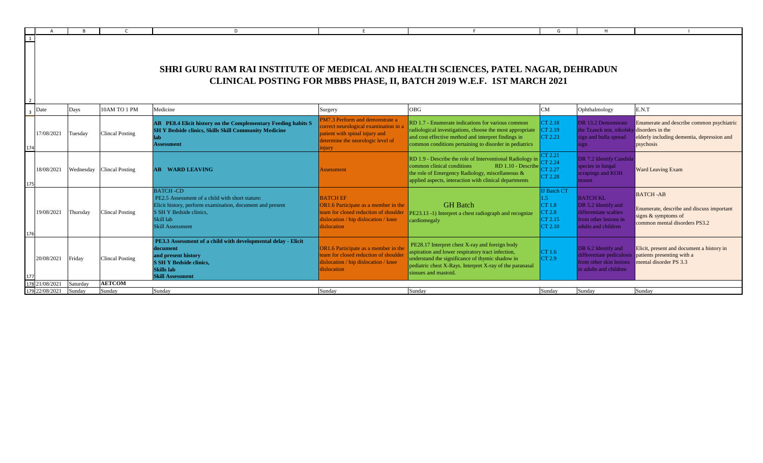|                |                              |                    |                           | D                                                                                                                                                                                                  |                                                                                                                                                           |                                                                                                                                                                                                                                            | G                                                                   |                                                                                                                 |                                                                                                                        |
|----------------|------------------------------|--------------------|---------------------------|----------------------------------------------------------------------------------------------------------------------------------------------------------------------------------------------------|-----------------------------------------------------------------------------------------------------------------------------------------------------------|--------------------------------------------------------------------------------------------------------------------------------------------------------------------------------------------------------------------------------------------|---------------------------------------------------------------------|-----------------------------------------------------------------------------------------------------------------|------------------------------------------------------------------------------------------------------------------------|
| $\overline{1}$ |                              |                    |                           | <b>SHRI GURU RAM RAI INSTITUTE OF MEDICAL AND HEALTH SCIENCES, PATEL NAGAR, DEHRADUN</b>                                                                                                           |                                                                                                                                                           | CLINICAL POSTING FOR MBBS PHASE, II, BATCH 2019 W.E.F. 1ST MARCH 2021                                                                                                                                                                      |                                                                     |                                                                                                                 |                                                                                                                        |
| -3             | Date                         | Days               | 10AM TO 1 PM              | Medicine                                                                                                                                                                                           | Surgery                                                                                                                                                   | <b>OBG</b>                                                                                                                                                                                                                                 | CM                                                                  | Ophthalmology                                                                                                   | E.N.T                                                                                                                  |
|                | 17/08/2021                   | Tuesday            | Clincal Posting           | AB PE8.4 Elicit history on the Complementary Feeding habits S<br><b>SH Y Bedside clinics, Skills Skill Community Medicine</b><br>lab<br><b>Assessment</b>                                          | PM7.3 Perform and demonstrate a<br>correct neurological examination in a<br>patient with spinal injury and<br>determine the neurologic level of<br>injury | RD 1.7 - Enumerate indications for various common<br>radiological investigations, choose the most appropriate<br>and cost effective method and interpret findings in<br>common conditions pertaining to disorder in pediatrics             | CT 2.18<br>CT 2.19<br>CT 2.23                                       | DR 13.2 Demonstrate<br>the Tzanck test, nikolsky disorders in the<br>sign and bulla spread<br>ign               | Enumerate and describe common psychiatric<br>elderly including dementia, depression and<br>psychosis                   |
|                | 18/08/2021                   |                    | Wednesday Clincal Posting | AB<br><b>WARD LEAVING</b>                                                                                                                                                                          | Assessment                                                                                                                                                | RD 1.9 - Describe the role of Interventional Radiology in<br>common clinical conditions<br>$RD$ 1.10 - Describe<br>the role of Emergency Radiology, miscellaneous &<br>applied aspects, interaction with clinical departments              | CT 2.21<br>CT 2.24<br>CT 2.27<br>CT 2.28                            | DR 7.2 Identify Candida<br>species in fungal<br>scrapings and KOH<br>mount.                                     | <b>Ward Leaving Exam</b>                                                                                               |
| 176            | 19/08/2021                   | Thursday           | <b>Clincal Posting</b>    | <b>BATCH-CD</b><br>PE2.5 Assessment of a child with short stature:<br>Elicit history, perform examination, document and present<br>S SH Y Bedside clinics.<br>Skill lab<br><b>Skill Assessment</b> | <b>BATCH EF</b><br>OR1.6 Participate as a member in the<br>team for closed reduction of shoulder<br>dislocation / hip dislocation / knee<br>dislocation   | <b>GH</b> Batch<br>PE23.13 -1) Interpret a chest radiograph and recognize<br>cardiomegaly                                                                                                                                                  | <b>IJ Batch CT</b><br>1.5<br>CT 1.8<br>CT 2.8<br>CT 2.15<br>CT 2.10 | <b>BATCH KL</b><br>DR 5.2 Identify and<br>differentiate scabies<br>from other lesions in<br>adults and children | <b>BATCH-AB</b><br>Enumerate, describe and discuss important<br>signs $&$ symptoms of<br>common mental disorders PS3.2 |
|                | 20/08/2021                   | Friday             | <b>Clincal Posting</b>    | PE3.3 Assessment of a child with developmental delay - Elicit<br>document<br>and present history<br><b>S SH Y Bedside clinics,</b><br><b>Skills</b> lab<br><b>Skill Assessment</b>                 | OR1.6 Participate as a member in the<br>team for closed reduction of shoulder<br>dislocation / hip dislocation / knee<br>dislocation                      | PE28.17 Interpret chest X-ray and foreign body<br>aspiration and lower respiratory tract infection,<br>understand the significance of thymic shadow in<br>pediatric chest X-Rays. Interpret X-ray of the paranasal<br>sinsues and mastoid. | CT 1.6<br>CT 2.9                                                    | DR 6.2 Identify and<br>differentiate pediculosis<br>from other skin lesions<br>in adults and children           | Elicit, present and document a history in<br>patients presenting with a<br>mental disorder PS 3.3                      |
|                | 21/08/2021<br>179 22/08/2021 | Saturday<br>Sundav | <b>AETCOM</b><br>Sundav   | Sundav                                                                                                                                                                                             | Sundav                                                                                                                                                    | Sunday                                                                                                                                                                                                                                     | Sundav                                                              | Sundav                                                                                                          | Sunday                                                                                                                 |
|                |                              |                    |                           |                                                                                                                                                                                                    |                                                                                                                                                           |                                                                                                                                                                                                                                            |                                                                     |                                                                                                                 |                                                                                                                        |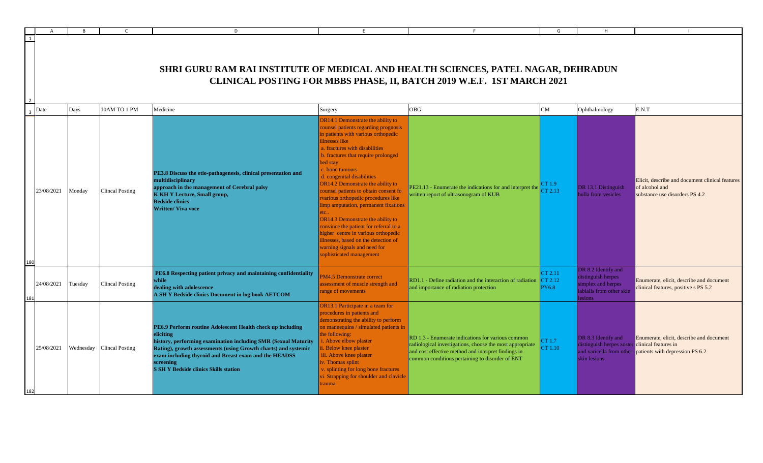|                     |            |           |                        | D                                                                                                                                                                                                                                                                                                                                 | E                                                                                                                                                                                                                                                                                                                                                                                                                                                                                                                                                                                                                                                                     |                                                                                                                                                                                                                         | G                                  |                                                                                                       |                                                                                                      |
|---------------------|------------|-----------|------------------------|-----------------------------------------------------------------------------------------------------------------------------------------------------------------------------------------------------------------------------------------------------------------------------------------------------------------------------------|-----------------------------------------------------------------------------------------------------------------------------------------------------------------------------------------------------------------------------------------------------------------------------------------------------------------------------------------------------------------------------------------------------------------------------------------------------------------------------------------------------------------------------------------------------------------------------------------------------------------------------------------------------------------------|-------------------------------------------------------------------------------------------------------------------------------------------------------------------------------------------------------------------------|------------------------------------|-------------------------------------------------------------------------------------------------------|------------------------------------------------------------------------------------------------------|
|                     |            |           |                        | <b>SHRI GURU RAM RAI INSTITUTE OF MEDICAL AND HEALTH SCIENCES, PATEL NAGAR, DEHRADUN</b>                                                                                                                                                                                                                                          |                                                                                                                                                                                                                                                                                                                                                                                                                                                                                                                                                                                                                                                                       | CLINICAL POSTING FOR MBBS PHASE, II, BATCH 2019 W.E.F. 1ST MARCH 2021                                                                                                                                                   |                                    |                                                                                                       |                                                                                                      |
| $\overline{3}$ Date |            | Days      | 10AM TO 1 PM           | Medicine                                                                                                                                                                                                                                                                                                                          | Surgery                                                                                                                                                                                                                                                                                                                                                                                                                                                                                                                                                                                                                                                               | OBG                                                                                                                                                                                                                     | CM                                 | Ophthalmology                                                                                         | E.N.T                                                                                                |
| 180                 | 23/08/2021 | Monday    | <b>Clincal Posting</b> | PE3.8 Discuss the etio-pathogenesis, clinical presentation and<br>multidisciplinary<br>approach in the management of Cerebral palsy<br><b>K KH Y Lecture, Small group,</b><br><b>Bedside clinics</b><br><b>Written/ Viva voce</b>                                                                                                 | OR14.1 Demonstrate the ability to<br>counsel patients regarding prognosis<br>in patients with various orthopedic<br>illnesses like<br>a. fractures with disabilities<br>b. fractures that require prolonged<br>bed stay<br>c. bone tumours<br>d. congenital disabilities<br>OR14.2 Demonstrate the ability to<br>counsel patients to obtain consent fo<br>rvarious orthopedic procedures like<br>limp amputation, permanent fixations<br>tc<br>OR14.3 Demonstrate the ability to<br>convince the patient for referral to a<br>higher centre in various orthopedic<br>illnesses, based on the detection of<br>warning signals and need for<br>sophisticated management | PE21.13 - Enumerate the indications for and interpret the<br>written report of ultrasonogram of KUB                                                                                                                     | CT 1.9<br>CT 2.13                  | DR 13.1 Distinguish<br>bulla from vesicles                                                            | Elicit, describe and document clinical features<br>of alcohol and<br>substance use disorders PS 4.2  |
|                     | 24/08/2021 | Tuesday   | <b>Clincal Posting</b> | PE6.8 Respecting patient privacy and maintaining confidentiality<br>while<br>dealing with adolescence<br>A SH Y Bedside clinics Document in log book AETCOM                                                                                                                                                                       | PM4.5 Demonstrate correct<br>assessment of muscle strength and<br>range of movements                                                                                                                                                                                                                                                                                                                                                                                                                                                                                                                                                                                  | RD1.1 - Define radiation and the interaction of radiation<br>and importance of radiation protection                                                                                                                     | CT 2.11<br>CT 2.12<br><b>PY6.8</b> | DR 8.2 Identify and<br>distinguish herpes<br>simplex and herpes<br>labialis from other skin<br>esions | Enumerate, elicit, describe and document<br>clinical features, positive s PS 5.2                     |
|                     | 25/08/2021 | Wednesday | <b>Clincal Posting</b> | PE6.9 Perform routine Adolescent Health check up including<br>eliciting<br>history, performing examination including SMR (Sexual Maturity<br>Rating), growth assessments (using Growth charts) and systemic<br>exam including thyroid and Breast exam and the HEADSS<br>screening<br><b>S SH Y Bedside clinics Skills station</b> | OR13.1 Participate in a team for<br>procedures in patients and<br>demonstrating the ability to perform<br>on mannequins / simulated patients in<br>the following:<br>. Above elbow plaster<br>Below knee plaster<br>iii. Above knee plaster<br>. Thomas splint<br>. splinting for long bone fractures<br>vi. Strapping for shoulder and clavicle<br>trauma                                                                                                                                                                                                                                                                                                            | RD 1.3 - Enumerate indications for various common<br>radiological investigations, choose the most appropriate<br>and cost effective method and interpret findings in<br>common conditions pertaining to disorder of ENT | CT 1.7<br>CT 1.10                  | DR 8.3 Identify and<br>distinguish herpes zoster clinical features in<br>skin lesions                 | Enumerate, elicit, describe and document<br>and varicella from other patients with depression PS 6.2 |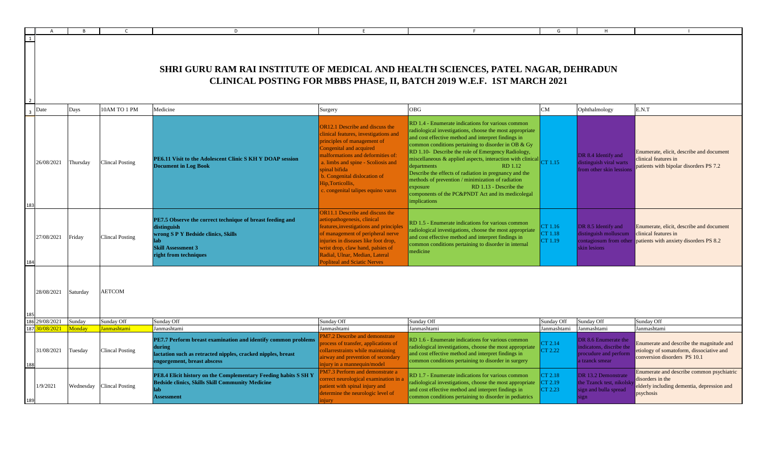|     |            |           |                        | D.                                                                                                                                                                           |                                                                                                                                                                                                                                                                                                                           |                                                                                                                                                                                                                                                                                                                                                                                                                                                                                                                                                                                                                                                    | G                             |                                                                                             |                                                                                                                          |
|-----|------------|-----------|------------------------|------------------------------------------------------------------------------------------------------------------------------------------------------------------------------|---------------------------------------------------------------------------------------------------------------------------------------------------------------------------------------------------------------------------------------------------------------------------------------------------------------------------|----------------------------------------------------------------------------------------------------------------------------------------------------------------------------------------------------------------------------------------------------------------------------------------------------------------------------------------------------------------------------------------------------------------------------------------------------------------------------------------------------------------------------------------------------------------------------------------------------------------------------------------------------|-------------------------------|---------------------------------------------------------------------------------------------|--------------------------------------------------------------------------------------------------------------------------|
|     |            |           |                        | SHRI GURU RAM RAI INSTITUTE OF MEDICAL AND HEALTH SCIENCES, PATEL NAGAR, DEHRADUN                                                                                            |                                                                                                                                                                                                                                                                                                                           | CLINICAL POSTING FOR MBBS PHASE, II, BATCH 2019 W.E.F. 1ST MARCH 2021                                                                                                                                                                                                                                                                                                                                                                                                                                                                                                                                                                              |                               |                                                                                             |                                                                                                                          |
|     | Date       | Days      | 10AM TO 1 PM           | Medicine                                                                                                                                                                     | Surgery                                                                                                                                                                                                                                                                                                                   | <b>OBG</b>                                                                                                                                                                                                                                                                                                                                                                                                                                                                                                                                                                                                                                         | CM                            | Ophthalmology                                                                               | E.N.T                                                                                                                    |
|     | 26/08/2021 | Thursday  | <b>Clincal Posting</b> | PE6.11 Visit to the Adolescent Clinic S KH Y DOAP session<br><b>Document in Log Book</b>                                                                                     | OR12.1 Describe and discuss the<br>clinical features, investigations and<br>principles of management of<br>Congenital and acquired<br>malformations and deformities of:<br>a. limbs and spine - Scoliosis and<br>spinal bifida<br>b. Congenital dislocation of<br>Hip, Torticollis,<br>c. congenital talipes equino varus | RD 1.4 - Enumerate indications for various common<br>radiological investigations, choose the most appropriate<br>and cost effective method and interpret findings in<br>common conditions pertaining to disorder in OB & Gy<br>RD 1.10- Describe the role of Emergency Radiology,<br>miscellaneous & applied aspects, interaction with clinical $\begin{bmatrix} C\Gamma & 1.15 \end{bmatrix}$<br>RD 1.12<br>departments<br>Describe the effects of radiation in pregnancy and the<br>methods of prevention / minimization of radiation<br>RD 1.13 - Describe the<br>exposure<br>components of the PC&PNDT Act and its medicolegal<br>implications |                               | DR 8.4 Identify and<br>distinguish viral warts<br>from other skin lession                   | Enumerate, elicit, describe and document<br>clinical features in<br>patients with bipolar disorders PS 7.2               |
|     | 27/08/2021 | Friday    | <b>Clincal Posting</b> | PE7.5 Observe the correct technique of breast feeding and<br>distinguish<br>wrong S P Y Bedside clinics, Skills<br>lab<br><b>Skill Assessment 3</b><br>right from techniques | OR11.1 Describe and discuss the<br>aetiopathogenesis, clinical<br>features, investigations and principle<br>of management of peripheral nerve<br>injuries in diseases like foot drop,<br>wrist drop, claw hand, palsies of<br>Radial, Ulnar, Median, Lateral<br><b>Popliteal and Sciatic Nerves</b>                       | RD 1.5 - Enumerate indications for various common<br>radiological investigations, choose the most appropriate<br>and cost effective method and interpret findings in<br>common conditions pertaining to disorder in internal<br>medicine                                                                                                                                                                                                                                                                                                                                                                                                           | CT 1.16<br>CT 1.18<br>CT 1.19 | DR 8.5 Identify and<br>distinguish molluscum<br>contagiosum from other<br>skin lesions      | Enumerate, elicit, describe and document<br>clinical features in<br>patients with anxiety disorders PS 8.2               |
|     | 28/08/2021 | Saturday  | <b>AETCOM</b>          |                                                                                                                                                                              |                                                                                                                                                                                                                                                                                                                           |                                                                                                                                                                                                                                                                                                                                                                                                                                                                                                                                                                                                                                                    |                               |                                                                                             |                                                                                                                          |
|     | 29/08/2021 | Sunday    | Sunday Off             | Sunday Off                                                                                                                                                                   | Sunday Off                                                                                                                                                                                                                                                                                                                | Sunday Off                                                                                                                                                                                                                                                                                                                                                                                                                                                                                                                                                                                                                                         | Sunday Off                    | Sunday Off                                                                                  | Sunday Off                                                                                                               |
| 187 | 0/08/2021  | Monday    | Janmashtami            | Janmashtami                                                                                                                                                                  | Janmashtami                                                                                                                                                                                                                                                                                                               | Janmashtami                                                                                                                                                                                                                                                                                                                                                                                                                                                                                                                                                                                                                                        | Janmashtami                   | Janmashtami                                                                                 | Janmashtami                                                                                                              |
|     | 31/08/2021 | Tuesday   | <b>Clincal Posting</b> | PE7.7 Perform breast examination and identify common problems<br>during<br>lactation such as retracted nipples, cracked nipples, breast<br>engorgement, breast abscess       | <b>PM7.2 Describe and demonstrate</b><br>process of transfer, applications of<br>collarrestraints while maintaining<br>airway and prevention of secondary<br>injury in a mannequin/model                                                                                                                                  | RD 1.6 - Enumerate indications for various common<br>radiological investigations, choose the most appropriate<br>and cost effective method and interpret findings in<br>common conditions pertaining to disorder in surgery                                                                                                                                                                                                                                                                                                                                                                                                                        | CT 2.14<br>CT 2.22            | DR 8.6 Enumerate the<br>indicatons, discribe the<br>procudure and perform<br>a tzanck smear | Enumerate and describe the magnitude and<br>etiology of somatoform, dissociative and<br>conversion disorders PS 10.1     |
| 189 | 1/9/2021   | Wednesday | <b>Clincal Posting</b> | PE8.4 Elicit history on the Complementary Feeding habits S SH Y<br><b>Bedside clinics, Skills Skill Community Medicine</b><br>lab<br><b>Assessment</b>                       | PM7.3 Perform and demonstrate a<br>orrect neurological examination in<br>patient with spinal injury and<br>determine the neurologic level of<br>niurv                                                                                                                                                                     | RD 1.7 - Enumerate indications for various common<br>radiological investigations, choose the most appropriate<br>and cost effective method and interpret findings in<br>common conditions pertaining to disorder in pediatrics                                                                                                                                                                                                                                                                                                                                                                                                                     | CT 2.18<br>CT 2.19<br>CT 2.23 | DR 13.2 Demonstrate<br>the Tzanck test, nikolsk<br>sign and bulla spread<br>ign             | Enumerate and describe common psychiatric<br>disorders in the<br>elderly including dementia, depression and<br>psychosis |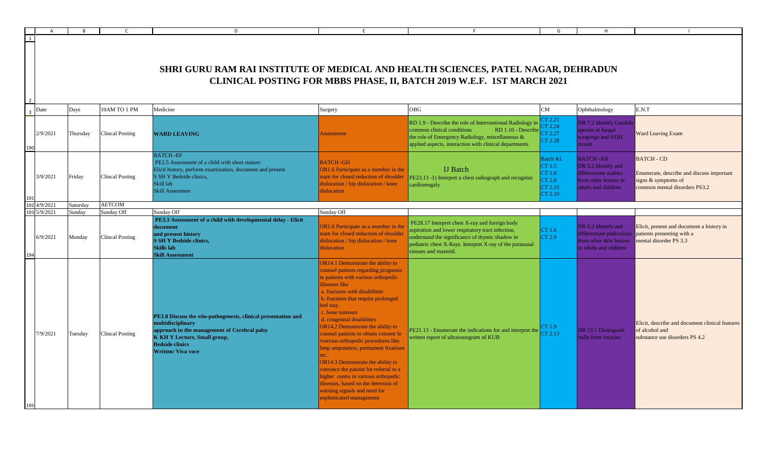|                |          | <b>B</b> |                        | D                                                                                                                                                                                                                                 |                                                                                                                                                                                                                                                                                                                                                                                                                                                                                                                                                                                                                                                                                       |                                                                                                                                                                                                                                            | G                                                                          | H                                                                                                               |                                                                                                                          |
|----------------|----------|----------|------------------------|-----------------------------------------------------------------------------------------------------------------------------------------------------------------------------------------------------------------------------------|---------------------------------------------------------------------------------------------------------------------------------------------------------------------------------------------------------------------------------------------------------------------------------------------------------------------------------------------------------------------------------------------------------------------------------------------------------------------------------------------------------------------------------------------------------------------------------------------------------------------------------------------------------------------------------------|--------------------------------------------------------------------------------------------------------------------------------------------------------------------------------------------------------------------------------------------|----------------------------------------------------------------------------|-----------------------------------------------------------------------------------------------------------------|--------------------------------------------------------------------------------------------------------------------------|
| 1              |          |          |                        |                                                                                                                                                                                                                                   |                                                                                                                                                                                                                                                                                                                                                                                                                                                                                                                                                                                                                                                                                       |                                                                                                                                                                                                                                            |                                                                            |                                                                                                                 |                                                                                                                          |
|                |          |          |                        | SHRI GURU RAM RAI INSTITUTE OF MEDICAL AND HEALTH SCIENCES, PATEL NAGAR, DEHRADUN                                                                                                                                                 |                                                                                                                                                                                                                                                                                                                                                                                                                                                                                                                                                                                                                                                                                       | CLINICAL POSTING FOR MBBS PHASE, II, BATCH 2019 W.E.F. 1ST MARCH 2021                                                                                                                                                                      |                                                                            |                                                                                                                 |                                                                                                                          |
| $\overline{3}$ | Date     | Days     | 10AM TO 1 PM           | Medicine                                                                                                                                                                                                                          | Surgery                                                                                                                                                                                                                                                                                                                                                                                                                                                                                                                                                                                                                                                                               | <b>OBG</b>                                                                                                                                                                                                                                 | ${\rm CM}$                                                                 | Ophthalmology                                                                                                   | E.N.T                                                                                                                    |
|                | 2/9/2021 | Thursday | <b>Clincal Posting</b> | <b>WARD LEAVING</b>                                                                                                                                                                                                               | Assessment                                                                                                                                                                                                                                                                                                                                                                                                                                                                                                                                                                                                                                                                            | RD 1.9 - Describe the role of Interventional Radiology i<br>common clinical conditions<br>RD 1.10 - Describ<br>the role of Emergency Radiology, miscellaneous &<br>applied aspects, interaction with clinical departments                  | CT 2.21<br>CT 2.24<br>CT 2.27<br>CT 2.28                                   | DR 7.2 Identify Candida<br>species in fungal<br>scrapings and KOH<br>mount                                      | <b>Ward Leaving Exam</b>                                                                                                 |
|                | 3/9/2021 | Friday   | <b>Clincal Posting</b> | <b>BATCH-EF</b><br>PE2.5 Assessment of a child with short stature:<br>Elicit history, perform examination, document and present<br>S SH Y Bedside clinics,<br>Skill lab<br>Skill Assessmen                                        | <b>BATCH-GH</b><br>OR1.6 Participate as a member in the<br>team for closed reduction of shoulder<br>dislocation / hip dislocation / knee<br>dislocation                                                                                                                                                                                                                                                                                                                                                                                                                                                                                                                               | <b>IJ</b> Batch<br>PE23.13 -1) Interpret a chest radiograph and recognize<br>cardiomegaly                                                                                                                                                  | <b>Batch KL</b><br>CT 1.5<br>CT 1.8<br><b>CT 2.8</b><br>CT 2.15<br>CT 2.10 | <b>BATCH-AB</b><br>DR 5.2 Identify and<br>differentiate scabies<br>from other lesions in<br>adults and children | <b>BATCH - CD</b><br>Enumerate, describe and discuss important<br>signs $&$ symptoms of<br>common mental disorders PS3.2 |
| 192            | 4/9/2021 | Saturday | <b>AETCOM</b>          |                                                                                                                                                                                                                                   |                                                                                                                                                                                                                                                                                                                                                                                                                                                                                                                                                                                                                                                                                       |                                                                                                                                                                                                                                            |                                                                            |                                                                                                                 |                                                                                                                          |
| 193            | 5/9/2021 | Sundav   | Sunday Off             | Sunday Off                                                                                                                                                                                                                        | Sunday Off                                                                                                                                                                                                                                                                                                                                                                                                                                                                                                                                                                                                                                                                            |                                                                                                                                                                                                                                            |                                                                            |                                                                                                                 |                                                                                                                          |
|                | 6/9/2021 | Monday   | <b>Clincal Posting</b> | PE3.3 Assessment of a child with developmental delay - Elicit<br>document<br>and present history<br><b>S SH Y Bedside clinics,</b><br>Skills lab<br><b>Skill Assessment</b>                                                       | OR1.6 Participate as a member in the<br>team for closed reduction of shoulder<br>dislocation / hip dislocation / knee<br>dislocation                                                                                                                                                                                                                                                                                                                                                                                                                                                                                                                                                  | PE28.17 Interpret chest X-ray and foreign body<br>aspiration and lower respiratory tract infection,<br>understand the significance of thymic shadow in<br>pediatric chest X-Rays. Interpret X-ray of the paranasal<br>sinsues and mastoid. | CT 1.6<br>CT 2.9                                                           | DR 6.2 Identify and<br>differentiate pediculosis<br>from other skin lesions<br>in adults and children           | Elicit, present and document a history in<br>patients presenting with a<br>mental disorder PS 3.3                        |
|                | 7/9/2021 | Tuesday  | <b>Clincal Posting</b> | PE3.8 Discuss the etio-pathogenesis, clinical presentation and<br>multidisciplinary<br>approach in the management of Cerebral palsy<br><b>K KH Y Lecture, Small group,</b><br><b>Bedside clinics</b><br><b>Written/ Viva voce</b> | <b>DR14.1 Demonstrate the ability to</b><br>counsel patients regarding prognosis<br>in patients with various orthopedic<br>illnesses like<br>a. fractures with disabilities<br>b. fractures that require prolonged<br>bed stay<br>c. bone tumours<br>d. congenital disabilities<br>OR14.2 Demonstrate the ability to<br>counsel patients to obtain consent fo<br>rvarious orthopedic procedures like<br>limp amputation, permanent fixations<br>etc.<br><b>OR14.3</b> Demonstrate the ability to<br>convince the patient for referral to a<br>higher centre in various orthopedic<br>illnesses, based on the detection of<br>warning signals and need for<br>sophisticated management | PE21.13 - Enumerate the indications for and interpret the<br>written report of ultrasonogram of KUB                                                                                                                                        | CT 1.9<br>CT 2.13                                                          | DR 13.1 Distinguish<br>bulla from vesicles                                                                      | Elicit, describe and document clinical features<br>of alcohol and<br>substance use disorders PS 4.2                      |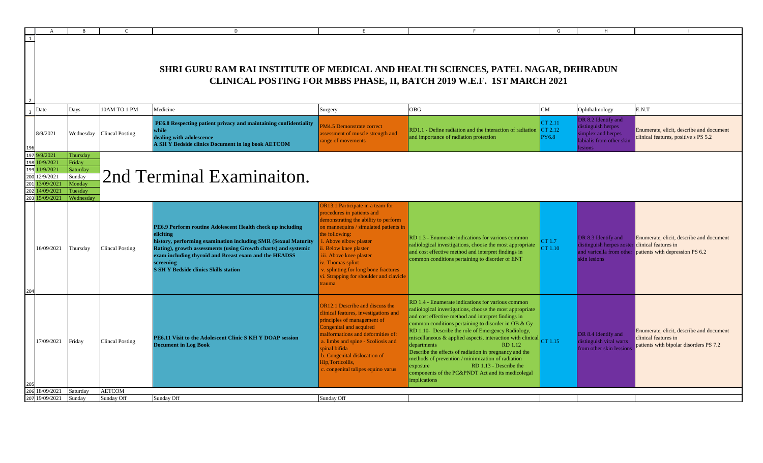|                     |                                                                                                   | <b>B</b>                                                                   | C.                     | D                                                                                                                                                                                                                                                                                                                                 | E                                                                                                                                                                                                                                                                                                                                                                   | F.                                                                                                                                                                                                                                                                                                                                                                                                                                                                                                                                                                                                                 | G                       | H                                                                                                     |                                                                                                            |
|---------------------|---------------------------------------------------------------------------------------------------|----------------------------------------------------------------------------|------------------------|-----------------------------------------------------------------------------------------------------------------------------------------------------------------------------------------------------------------------------------------------------------------------------------------------------------------------------------|---------------------------------------------------------------------------------------------------------------------------------------------------------------------------------------------------------------------------------------------------------------------------------------------------------------------------------------------------------------------|--------------------------------------------------------------------------------------------------------------------------------------------------------------------------------------------------------------------------------------------------------------------------------------------------------------------------------------------------------------------------------------------------------------------------------------------------------------------------------------------------------------------------------------------------------------------------------------------------------------------|-------------------------|-------------------------------------------------------------------------------------------------------|------------------------------------------------------------------------------------------------------------|
|                     |                                                                                                   |                                                                            |                        | SHRI GURU RAM RAI INSTITUTE OF MEDICAL AND HEALTH SCIENCES, PATEL NAGAR, DEHRADUN                                                                                                                                                                                                                                                 |                                                                                                                                                                                                                                                                                                                                                                     | CLINICAL POSTING FOR MBBS PHASE, II, BATCH 2019 W.E.F. 1ST MARCH 2021                                                                                                                                                                                                                                                                                                                                                                                                                                                                                                                                              |                         |                                                                                                       |                                                                                                            |
|                     |                                                                                                   | Days                                                                       | 10AM TO 1 PM           | Medicine                                                                                                                                                                                                                                                                                                                          |                                                                                                                                                                                                                                                                                                                                                                     | <b>OBG</b>                                                                                                                                                                                                                                                                                                                                                                                                                                                                                                                                                                                                         | CM                      | Ophthalmology                                                                                         | E.N.T                                                                                                      |
| Date                | 8/9/2021                                                                                          | Wednesday                                                                  | <b>Clincal Posting</b> | PE6.8 Respecting patient privacy and maintaining confidentiality<br>while<br>dealing with adolescence<br>A SH Y Bedside clinics Document in log book AETCOM                                                                                                                                                                       | Surgery<br>M4.5 Demonstrate correct<br>assessment of muscle strength and<br>ange of movements                                                                                                                                                                                                                                                                       | RD1.1 - Define radiation and the interaction of radiation $ CT 2.12 $<br>and importance of radiation protection                                                                                                                                                                                                                                                                                                                                                                                                                                                                                                    | CT 2.11<br><b>PY6.8</b> | DR 8.2 Identify and<br>distinguish herpes<br>simplex and herpes<br>labialis from other skin<br>esions | Enumerate, elicit, describe and document<br>clinical features, positive s PS 5.2                           |
| 197 9/9/2021<br>201 | 198 10/9/2021<br>199 11/9/2021<br>200 12/9/2021<br>13/09/2021<br>202 14/09/2021<br>203 15/09/2021 | Thursday<br>Friday<br>Saturday<br>Sunday<br>Monday<br>Tuesday<br>Wednesday |                        | 2nd Terminal Examinaiton.                                                                                                                                                                                                                                                                                                         |                                                                                                                                                                                                                                                                                                                                                                     |                                                                                                                                                                                                                                                                                                                                                                                                                                                                                                                                                                                                                    |                         |                                                                                                       |                                                                                                            |
|                     | 16/09/2021                                                                                        | Thursday                                                                   | <b>Clincal Posting</b> | PE6.9 Perform routine Adolescent Health check up including<br>eliciting<br>history, performing examination including SMR (Sexual Maturity<br>Rating), growth assessments (using Growth charts) and systemic<br>exam including thyroid and Breast exam and the HEADSS<br>screening<br><b>S SH Y Bedside clinics Skills station</b> | <b>OR13.1 Participate in a team for</b><br>procedures in patients and<br>demonstrating the ability to perform<br>on mannequins / simulated patients in<br>the following:<br>. Above elbow plaster<br>. Below knee plaster<br>iii. Above knee plaster<br>v. Thomas splint<br>v. splinting for long bone fractures<br>i. Strapping for shoulder and clavicle<br>rauma | RD 1.3 - Enumerate indications for various common<br>radiological investigations, choose the most appropriate<br>and cost effective method and interpret findings in<br>common conditions pertaining to disorder of ENT                                                                                                                                                                                                                                                                                                                                                                                            | CT 1.7<br>CT 1.10       | DR 8.3 Identify and<br>distinguish herpes zoster clinical features in<br>skin lesions                 | Enumerate, elicit, describe and document<br>and varicella from other patients with depression PS 6.2       |
|                     | 17/09/2021                                                                                        | Friday                                                                     | <b>Clincal Posting</b> | PE6.11 Visit to the Adolescent Clinic S KH Y DOAP session<br><b>Document in Log Book</b>                                                                                                                                                                                                                                          | <b>OR12.1</b> Describe and discuss the<br>clinical features, investigations and<br>principles of management of<br>Congenital and acquired<br>malformations and deformities of:<br>a. limbs and spine - Scoliosis and<br>spinal bifida<br>o. Congenital dislocation of<br>Hip, Torticollis,<br>c. congenital talipes equino varus                                    | RD 1.4 - Enumerate indications for various common<br>radiological investigations, choose the most appropriate<br>and cost effective method and interpret findings in<br>common conditions pertaining to disorder in OB & Gy<br>RD 1.10- Describe the role of Emergency Radiology,<br>miscellaneous & applied aspects, interaction with clinical CT 1.15<br>departments<br><b>RD</b> 1.12<br>Describe the effects of radiation in pregnancy and the<br>methods of prevention / minimization of radiation<br>RD 1.13 - Describe the<br>exposure<br>components of the PC&PNDT Act and its medicolegal<br>implications |                         | DR 8.4 Identify and<br>distinguish viral warts<br>from other skin lessions                            | Enumerate, elicit, describe and document<br>clinical features in<br>patients with bipolar disorders PS 7.2 |
|                     |                                                                                                   |                                                                            |                        |                                                                                                                                                                                                                                                                                                                                   |                                                                                                                                                                                                                                                                                                                                                                     |                                                                                                                                                                                                                                                                                                                                                                                                                                                                                                                                                                                                                    |                         |                                                                                                       |                                                                                                            |
|                     | 8/09/2021                                                                                         | Saturday                                                                   | <b>AETCOM</b>          |                                                                                                                                                                                                                                                                                                                                   |                                                                                                                                                                                                                                                                                                                                                                     |                                                                                                                                                                                                                                                                                                                                                                                                                                                                                                                                                                                                                    |                         |                                                                                                       |                                                                                                            |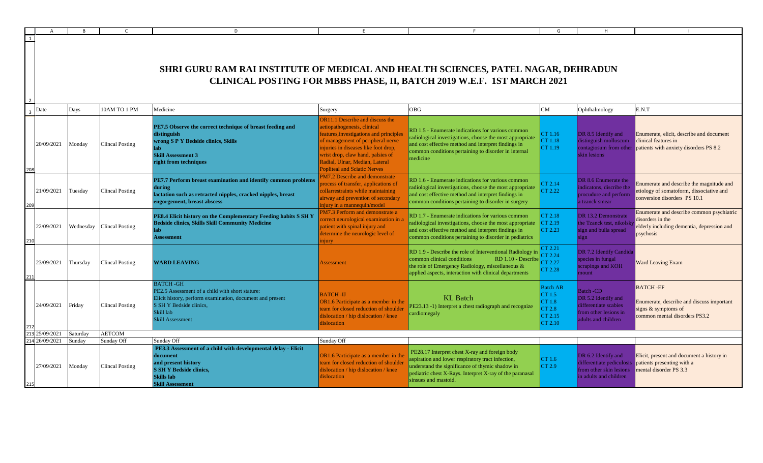|     |            |          |                           | D                                                                                                                                                                                                  | F                                                                                                                                                                                                                                                                                                          |                                                                                                                                                                                                                                           | G                                                                   | H                                                                                                               |                                                                                                                          |
|-----|------------|----------|---------------------------|----------------------------------------------------------------------------------------------------------------------------------------------------------------------------------------------------|------------------------------------------------------------------------------------------------------------------------------------------------------------------------------------------------------------------------------------------------------------------------------------------------------------|-------------------------------------------------------------------------------------------------------------------------------------------------------------------------------------------------------------------------------------------|---------------------------------------------------------------------|-----------------------------------------------------------------------------------------------------------------|--------------------------------------------------------------------------------------------------------------------------|
|     |            |          |                           |                                                                                                                                                                                                    |                                                                                                                                                                                                                                                                                                            |                                                                                                                                                                                                                                           |                                                                     |                                                                                                                 |                                                                                                                          |
|     |            |          |                           | <b>SHRI GURU RAM RAI INSTITUTE OF MEDICAL AND HEALTH SCIENCES, PATEL NAGAR, DEHRADUN</b>                                                                                                           |                                                                                                                                                                                                                                                                                                            |                                                                                                                                                                                                                                           |                                                                     |                                                                                                                 |                                                                                                                          |
|     |            |          |                           |                                                                                                                                                                                                    |                                                                                                                                                                                                                                                                                                            | CLINICAL POSTING FOR MBBS PHASE, II, BATCH 2019 W.E.F. 1ST MARCH 2021                                                                                                                                                                     |                                                                     |                                                                                                                 |                                                                                                                          |
|     | Date       | Days     | 0AM TO 1 PM               | Medicine                                                                                                                                                                                           | Surgery                                                                                                                                                                                                                                                                                                    | <b>OBG</b>                                                                                                                                                                                                                                | CM                                                                  | Ophthalmology                                                                                                   | E.N.T                                                                                                                    |
|     | 20/09/2021 | Monday   | <b>Clincal Posting</b>    | PE7.5 Observe the correct technique of breast feeding and<br>distinguish<br>wrong S P Y Bedside clinics, Skills<br><b>Skill Assessment 3</b><br>right from techniques                              | <b>OR11.1 Describe and discuss the</b><br>aetiopathogenesis, clinical<br>features, investigations and principle<br>of management of peripheral nerve<br>injuries in diseases like foot drop,<br>wrist drop, claw hand, palsies of<br>Radial, Ulnar, Median, Lateral<br><b>Popliteal and Sciatic Nerves</b> | RD 1.5 - Enumerate indications for various common<br>radiological investigations, choose the most appropriate<br>and cost effective method and interpret findings in<br>common conditions pertaining to disorder in internal<br>medicine  | CT 1.16<br>CT 1.18<br>CT 1.19                                       | DR 8.5 Identify and<br>distinguish molluscum<br>contagiosum from other<br>skin lesions                          | Enumerate, elicit, describe and document<br>clinical features in<br>patients with anxiety disorders PS 8.2               |
|     | 21/09/2021 | Tuesday  | <b>Clincal Posting</b>    | PE7.7 Perform breast examination and identify common problems<br>during<br>lactation such as retracted nipples, cracked nipples, breast<br>engorgement, breast abscess                             | PM7.2 Describe and demonstrate<br>process of transfer, applications of<br>collarrestraints while maintaining<br>airway and prevention of secondary<br>niury in a mannequin/model                                                                                                                           | RD 1.6 - Enumerate indications for various common<br>radiological investigations, choose the most appropriate<br>and cost effective method and interpret findings in<br>common conditions pertaining to disorder in surgery               | CT 2.14<br>CT 2.22                                                  | DR 8.6 Enumerate the<br>indicatons, discribe the<br>procudure and perform<br>a tzanck smear                     | Enumerate and describe the magnitude and<br>etiology of somatoform, dissociative and<br>conversion disorders PS 10.1     |
|     | 22/09/2021 |          | Wednesday Clincal Posting | PE8.4 Elicit history on the Complementary Feeding habits S SH Y<br><b>Bedside clinics, Skills Skill Community Medicine</b><br>ab<br><b>Assessment</b>                                              | PM7.3 Perform and demonstrate a<br>correct neurological examination in<br>patient with spinal injury and<br>determine the neurologic level of<br>niurv                                                                                                                                                     | RD 1.7 - Enumerate indications for various common<br>radiological investigations, choose the most appropriate<br>and cost effective method and interpret findings in<br>common conditions pertaining to disorder in pediatrics            | CT 2.18<br>CT 2.19<br>CT 2.23                                       | DR 13.2 Demonstrate<br>the Tzanck test, nikolsk<br>sign and bulla spread<br>ign                                 | Enumerate and describe common psychiatric<br>disorders in the<br>elderly including dementia, depression and<br>psychosis |
|     | 23/09/2021 | Thursday | <b>Clincal Posting</b>    | <b>WARD LEAVING</b>                                                                                                                                                                                | <b>Assessment</b>                                                                                                                                                                                                                                                                                          | RD 1.9 - Describe the role of Interventional Radiology in<br>common clinical conditions<br>RD 1.10 - Describe<br>the role of Emergency Radiology, miscellaneous &<br>applied aspects, interaction with clinical departments               | CT 2.21<br>CT 2.24<br>$\mathrm{CT}$ 2.27<br>CT 2.28                 | DR 7.2 Identify Candida<br>species in fungal<br>scrapings and KOH<br>mount                                      | <b>Ward Leaving Exam</b>                                                                                                 |
|     | 24/09/2021 | Friday   | <b>Clincal Posting</b>    | <b>BATCH-GH</b><br>PE2.5 Assessment of a child with short stature:<br>Elicit history, perform examination, document and present<br>S SH Y Bedside clinics,<br>Skill lab<br><b>Skill Assessment</b> | <b>BATCH-IJ</b><br>OR1.6 Participate as a member in the<br>team for closed reduction of shoulder<br>dislocation / hip dislocation / knee<br>dislocation                                                                                                                                                    | <b>KL</b> Batch<br>PE23.13 -1) Interpret a chest radiograph and recognize<br>cardiomegaly                                                                                                                                                 | <b>Batch AB</b><br>CT 1.5<br>CT 1.8<br>CT 2.8<br>CT 2.15<br>CT 2.10 | <b>Batch-CD</b><br>DR 5.2 Identify and<br>differentiate scabies<br>from other lesions in<br>adults and children | <b>BATCH-EF</b><br>Enumerate, describe and discuss important<br>signs $&$ symptoms of<br>common mental disorders PS3.2   |
|     | 25/09/2021 | Saturday | <b>AETCOM</b>             |                                                                                                                                                                                                    |                                                                                                                                                                                                                                                                                                            |                                                                                                                                                                                                                                           |                                                                     |                                                                                                                 |                                                                                                                          |
| 214 | 26/09/2021 | Sunday   | Sunday Off                | Sunday Off                                                                                                                                                                                         | Sunday Off                                                                                                                                                                                                                                                                                                 |                                                                                                                                                                                                                                           |                                                                     |                                                                                                                 |                                                                                                                          |
|     | 27/09/2021 | Monday   | <b>Clincal Posting</b>    | PE3.3 Assessment of a child with developmental delay - Elicit<br>document<br>and present history<br><b>S SH Y Bedside clinics,</b><br><b>Skills</b> lab<br><b>Skill Assessment</b>                 | OR1.6 Participate as a member in the<br>team for closed reduction of shoulder<br>dislocation / hip dislocation / knee<br>dislocation                                                                                                                                                                       | PE28.17 Interpret chest X-ray and foreign body<br>spiration and lower respiratory tract infection,<br>understand the significance of thymic shadow in<br>bediatric chest X-Rays. Interpret X-ray of the paranasal<br>sinsues and mastoid. | CT 1.6<br>CT 2.9                                                    | DR 6.2 Identify and<br>differentiate pediculosis<br>from other skin lesions<br>in adults and children           | Elicit, present and document a history in<br>patients presenting with a<br>mental disorder PS 3.3                        |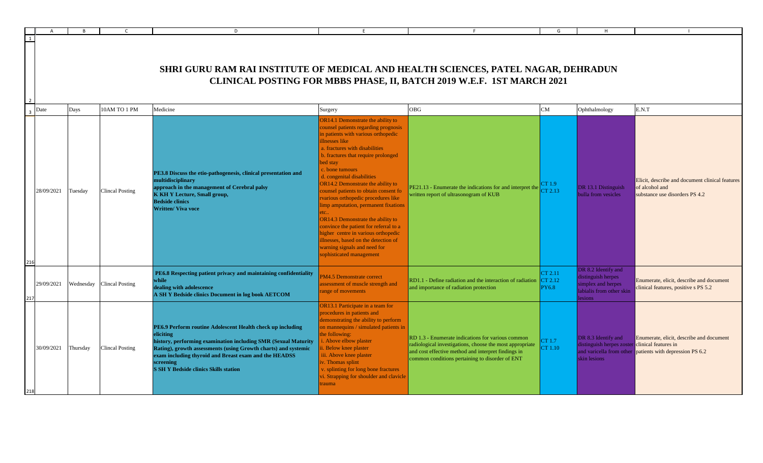|     |                     |           |                        | D                                                                                                                                                                                                                                                                                                                                 | E                                                                                                                                                                                                                                                                                                                                                                                                                                                                                                                                                                                                                                                                     |                                                                                                                                                                                                                         | G                                  |                                                                                                       |                                                                                                      |
|-----|---------------------|-----------|------------------------|-----------------------------------------------------------------------------------------------------------------------------------------------------------------------------------------------------------------------------------------------------------------------------------------------------------------------------------|-----------------------------------------------------------------------------------------------------------------------------------------------------------------------------------------------------------------------------------------------------------------------------------------------------------------------------------------------------------------------------------------------------------------------------------------------------------------------------------------------------------------------------------------------------------------------------------------------------------------------------------------------------------------------|-------------------------------------------------------------------------------------------------------------------------------------------------------------------------------------------------------------------------|------------------------------------|-------------------------------------------------------------------------------------------------------|------------------------------------------------------------------------------------------------------|
|     |                     |           |                        | <b>SHRI GURU RAM RAI INSTITUTE OF MEDICAL AND HEALTH SCIENCES, PATEL NAGAR, DEHRADUN</b>                                                                                                                                                                                                                                          |                                                                                                                                                                                                                                                                                                                                                                                                                                                                                                                                                                                                                                                                       | CLINICAL POSTING FOR MBBS PHASE, II, BATCH 2019 W.E.F. 1ST MARCH 2021                                                                                                                                                   |                                    |                                                                                                       |                                                                                                      |
|     | $\overline{3}$ Date | Days      | 10AM TO 1 PM           | Medicine                                                                                                                                                                                                                                                                                                                          | Surgery                                                                                                                                                                                                                                                                                                                                                                                                                                                                                                                                                                                                                                                               | OBG                                                                                                                                                                                                                     | CM                                 | Ophthalmology                                                                                         | E.N.T                                                                                                |
| 216 | 28/09/2021          | Tuesday   | <b>Clincal Posting</b> | PE3.8 Discuss the etio-pathogenesis, clinical presentation and<br>multidisciplinary<br>approach in the management of Cerebral palsy<br><b>K KH Y Lecture, Small group,</b><br><b>Bedside clinics</b><br><b>Written/ Viva voce</b>                                                                                                 | OR14.1 Demonstrate the ability to<br>counsel patients regarding prognosis<br>in patients with various orthopedic<br>illnesses like<br>a. fractures with disabilities<br>b. fractures that require prolonged<br>bed stay<br>c. bone tumours<br>d. congenital disabilities<br>OR14.2 Demonstrate the ability to<br>counsel patients to obtain consent fo<br>rvarious orthopedic procedures like<br>limp amputation, permanent fixations<br>tc<br>OR14.3 Demonstrate the ability to<br>convince the patient for referral to a<br>higher centre in various orthopedic<br>illnesses, based on the detection of<br>warning signals and need for<br>sophisticated management | PE21.13 - Enumerate the indications for and interpret the<br>written report of ultrasonogram of KUB                                                                                                                     | CT 1.9<br>CT 2.13                  | DR 13.1 Distinguish<br>bulla from vesicles                                                            | Elicit, describe and document clinical features<br>of alcohol and<br>substance use disorders PS 4.2  |
| 217 | 29/09/2021          | Wednesday | <b>Clincal Posting</b> | PE6.8 Respecting patient privacy and maintaining confidentiality<br>while<br>dealing with adolescence<br>A SH Y Bedside clinics Document in log book AETCOM                                                                                                                                                                       | PM4.5 Demonstrate correct<br>assessment of muscle strength and<br>range of movements                                                                                                                                                                                                                                                                                                                                                                                                                                                                                                                                                                                  | RD1.1 - Define radiation and the interaction of radiation<br>and importance of radiation protection                                                                                                                     | CT 2.11<br>CT 2.12<br><b>PY6.8</b> | DR 8.2 Identify and<br>distinguish herpes<br>simplex and herpes<br>labialis from other skin<br>esions | Enumerate, elicit, describe and document<br>clinical features, positive s PS 5.2                     |
|     | 30/09/2021          | Thursday  | <b>Clincal Posting</b> | PE6.9 Perform routine Adolescent Health check up including<br>eliciting<br>history, performing examination including SMR (Sexual Maturity<br>Rating), growth assessments (using Growth charts) and systemic<br>exam including thyroid and Breast exam and the HEADSS<br>screening<br><b>S SH Y Bedside clinics Skills station</b> | OR13.1 Participate in a team for<br>procedures in patients and<br>demonstrating the ability to perform<br>on mannequins / simulated patients in<br>the following:<br>. Above elbow plaster<br>Below knee plaster<br>iii. Above knee plaster<br>. Thomas splint<br>. splinting for long bone fractures<br>vi. Strapping for shoulder and clavicle<br>trauma                                                                                                                                                                                                                                                                                                            | RD 1.3 - Enumerate indications for various common<br>radiological investigations, choose the most appropriate<br>and cost effective method and interpret findings in<br>common conditions pertaining to disorder of ENT | CT 1.7<br>CT 1.10                  | DR 8.3 Identify and<br>distinguish herpes zoster clinical features in<br>skin lesions                 | Enumerate, elicit, describe and document<br>and varicella from other patients with depression PS 6.2 |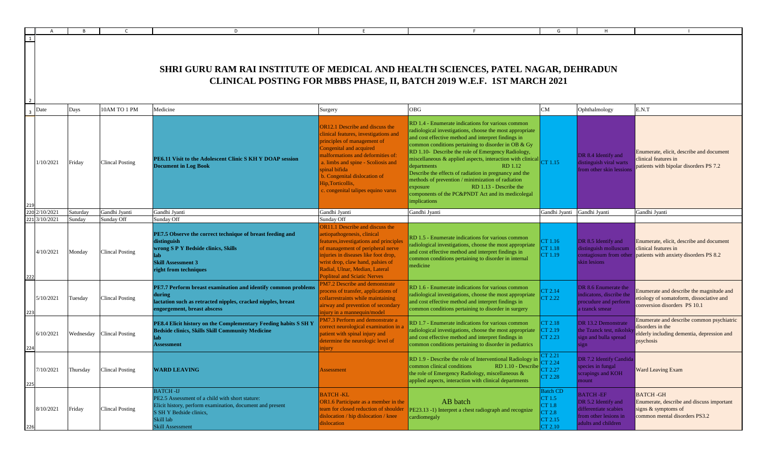|     |           |                                                                                                                                                            |                        | D                                                                                                                                                                                           |                                                                                                                                                                                                                                                                                                                                  |                                                                                                                                                                                                                                                                                                                                                                                                                                                                                                                                                                                                                       | G                                                                   |                                                                                                                 |                                                                                                                          |  |  |  |
|-----|-----------|------------------------------------------------------------------------------------------------------------------------------------------------------------|------------------------|---------------------------------------------------------------------------------------------------------------------------------------------------------------------------------------------|----------------------------------------------------------------------------------------------------------------------------------------------------------------------------------------------------------------------------------------------------------------------------------------------------------------------------------|-----------------------------------------------------------------------------------------------------------------------------------------------------------------------------------------------------------------------------------------------------------------------------------------------------------------------------------------------------------------------------------------------------------------------------------------------------------------------------------------------------------------------------------------------------------------------------------------------------------------------|---------------------------------------------------------------------|-----------------------------------------------------------------------------------------------------------------|--------------------------------------------------------------------------------------------------------------------------|--|--|--|
|     |           | SHRI GURU RAM RAI INSTITUTE OF MEDICAL AND HEALTH SCIENCES, PATEL NAGAR, DEHRADUN<br>CLINICAL POSTING FOR MBBS PHASE, II, BATCH 2019 W.E.F. 1ST MARCH 2021 |                        |                                                                                                                                                                                             |                                                                                                                                                                                                                                                                                                                                  |                                                                                                                                                                                                                                                                                                                                                                                                                                                                                                                                                                                                                       |                                                                     |                                                                                                                 |                                                                                                                          |  |  |  |
|     | Date      | Days                                                                                                                                                       | 10AM TO 1 PM           | Medicine                                                                                                                                                                                    | Surgery                                                                                                                                                                                                                                                                                                                          | <b>OBG</b>                                                                                                                                                                                                                                                                                                                                                                                                                                                                                                                                                                                                            | ${\rm CM}$                                                          | Ophthalmology                                                                                                   | E.N.T                                                                                                                    |  |  |  |
|     | 1/10/2021 | Friday                                                                                                                                                     | <b>Clincal Posting</b> | PE6.11 Visit to the Adolescent Clinic S KH Y DOAP session<br><b>Document in Log Book</b>                                                                                                    | <b>OR12.1</b> Describe and discuss the<br>clinical features, investigations and<br>principles of management of<br>Congenital and acquired<br>malformations and deformities of:<br>a. limbs and spine - Scoliosis and<br>spinal bifida<br>b. Congenital dislocation of<br>Hip, Torticollis,<br>c. congenital talipes equino varus | RD 1.4 - Enumerate indications for various common<br>radiological investigations, choose the most appropriate<br>and cost effective method and interpret findings in<br>common conditions pertaining to disorder in OB & Gy<br>RD 1.10- Describe the role of Emergency Radiology,<br>miscellaneous & applied aspects, interaction with clinical $\boxed{CT 1.15}$<br>RD 1.12<br>departments<br>Describe the effects of radiation in pregnancy and the<br>methods of prevention / minimization of radiation<br>RD 1.13 - Describe the<br>exposure<br>components of the PC&PNDT Act and its medicolegal<br>implications |                                                                     | DR 8.4 Identify and<br>distinguish viral warts<br>from other skin lessions                                      | Enumerate, elicit, describe and document<br>clinical features in<br>patients with bipolar disorders PS 7.2               |  |  |  |
| 22  | 2/10/2021 | Saturday                                                                                                                                                   | Gandhi Jyanti          | Gandhi Jyanti                                                                                                                                                                               | Gandhi Jyanti                                                                                                                                                                                                                                                                                                                    | Gandhi Jyanti                                                                                                                                                                                                                                                                                                                                                                                                                                                                                                                                                                                                         | Gandhi Jyanti Gandhi Jyanti                                         |                                                                                                                 | Gandhi Jyanti                                                                                                            |  |  |  |
| 22  | 3/10/2021 | Sunday                                                                                                                                                     | Sunday Off             | Sunday Off                                                                                                                                                                                  | Sunday Off                                                                                                                                                                                                                                                                                                                       |                                                                                                                                                                                                                                                                                                                                                                                                                                                                                                                                                                                                                       |                                                                     |                                                                                                                 |                                                                                                                          |  |  |  |
|     | 4/10/2021 | Monday                                                                                                                                                     | Clincal Posting        | PE7.5 Observe the correct technique of breast feeding and<br>distinguish<br>wrong S P Y Bedside clinics, Skills<br>lah<br><b>Skill Assessment 3</b><br>right from techniques                | OR11.1 Describe and discuss the<br>aetiopathogenesis, clinical<br>features, investigations and principles<br>of management of peripheral nerve<br>injuries in diseases like foot drop,<br>wrist drop, claw hand, palsies of<br>Radial, Ulnar, Median, Lateral<br><b>Popliteal and Sciatic Nerves</b>                             | RD 1.5 - Enumerate indications for various common<br>radiological investigations, choose the most appropriate<br>and cost effective method and interpret findings in<br>common conditions pertaining to disorder in internal<br>medicine                                                                                                                                                                                                                                                                                                                                                                              | CT 1.16<br>CT 1.18<br>CT 1.19                                       | DR 8.5 Identify and<br>distinguish molluscum<br>contagiosum from other<br>skin lesions                          | Enumerate, elicit, describe and document<br>clinical features in<br>patients with anxiety disorders PS 8.2               |  |  |  |
|     | 5/10/2021 | Tuesday                                                                                                                                                    | Clincal Posting        | PE7.7 Perform breast examination and identify common problems<br>during<br>lactation such as retracted nipples, cracked nipples, breast<br>engorgement, breast abscess                      | <b>PM7.2 Describe and demonstrate</b><br>process of transfer, applications of<br>collarrestraints while maintaining<br>airway and prevention of secondary<br>injury in a mannequin/model                                                                                                                                         | RD 1.6 - Enumerate indications for various common<br>radiological investigations, choose the most appropriate<br>and cost effective method and interpret findings in<br>common conditions pertaining to disorder in surgery                                                                                                                                                                                                                                                                                                                                                                                           | CT 2.14<br>CT 2.22                                                  | DR 8.6 Enumerate the<br>ndicatons, discribe the<br>procudure and perform<br>a tzanck smear                      | Enumerate and describe the magnitude and<br>etiology of somatoform, dissociative and<br>conversion disorders PS 10.1     |  |  |  |
|     | 6/10/2021 | Wednesday                                                                                                                                                  | <b>Clincal Posting</b> | PE8.4 Elicit history on the Complementary Feeding habits S SH Y<br><b>Bedside clinics, Skills Skill Community Medicine</b><br>lab-<br><b>Assessment</b>                                     | PM7.3 Perform and demonstrate a<br>correct neurological examination in<br>patient with spinal injury and<br>determine the neurologic level of<br>injury                                                                                                                                                                          | RD 1.7 - Enumerate indications for various common<br>radiological investigations, choose the most appropriate<br>and cost effective method and interpret findings in<br>common conditions pertaining to disorder in pediatrics                                                                                                                                                                                                                                                                                                                                                                                        | CT 2.18<br>CT 2.19<br>CT 2.23                                       | DR 13.2 Demonstrate<br>the Tzanck test, nikolsk<br>sign and bulla spread<br>ign                                 | Enumerate and describe common psychiatric<br>disorders in the<br>elderly including dementia, depression and<br>psychosis |  |  |  |
| 225 | 7/10/2021 | Thursday                                                                                                                                                   | <b>Clincal Posting</b> | <b>WARD LEAVING</b>                                                                                                                                                                         | <b>Assessment</b>                                                                                                                                                                                                                                                                                                                | RD 1.9 - Describe the role of Interventional Radiology in<br>common clinical conditions<br>RD 1.10 - Describe $CT 2.27$<br>the role of Emergency Radiology, miscellaneous &<br>applied aspects, interaction with clinical departments                                                                                                                                                                                                                                                                                                                                                                                 | CT 2.21<br>TT 2 24<br>CT 2.28                                       | DR 7.2 Identify Candida<br>species in fungal<br>scrapings and KOH<br>nount                                      | <b>Ward Leaving Exam</b>                                                                                                 |  |  |  |
|     | 8/10/2021 | Friday                                                                                                                                                     | <b>Clincal Posting</b> | <b>BATCH-IJ</b><br>PE2.5 Assessment of a child with short stature:<br>Elicit history, perform examination, document and present<br>S SH Y Bedside clinics,<br>Skill lab<br>Skill Assessment | <b>BATCH-KL</b><br>OR1.6 Participate as a member in the<br>team for closed reduction of shoulder<br>dislocation / hip dislocation / knee<br>dislocation                                                                                                                                                                          | AB batch<br>PE23.13 -1) Interpret a chest radiograph and recognize<br>cardiomegaly                                                                                                                                                                                                                                                                                                                                                                                                                                                                                                                                    | <b>Batch CD</b><br>CT 1.5<br>CT 1.8<br>CT 2.8<br>CT 2.15<br>CT 2.10 | <b>BATCH-EF</b><br>DR 5.2 Identify and<br>differentiate scabies<br>from other lesions in<br>adults and children | <b>BATCH-GH</b><br>Enumerate, describe and discuss important<br>signs & symptoms of<br>common mental disorders PS3.2     |  |  |  |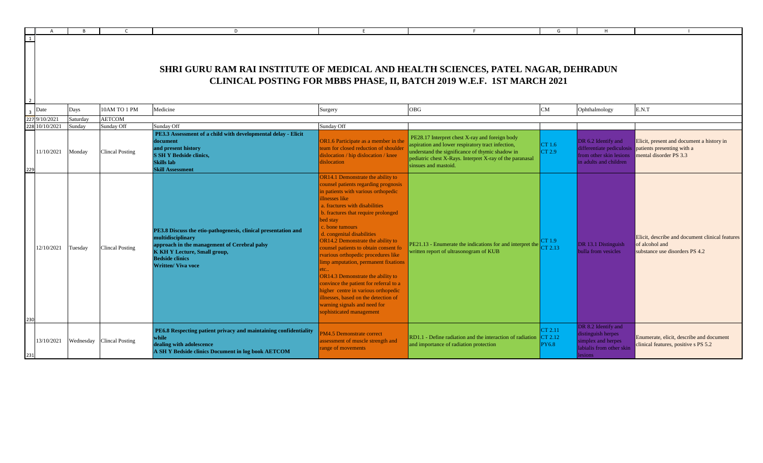|     |            |          |                           | D                                                                                                                                                                                                                                 |                                                                                                                                                                                                                                                                                                                                                                                                                                                                                                                                                                                                                                                                        |                                                                                                                                                                                                                                            | G                                  |                                                                                                       |                                                                                                     |
|-----|------------|----------|---------------------------|-----------------------------------------------------------------------------------------------------------------------------------------------------------------------------------------------------------------------------------|------------------------------------------------------------------------------------------------------------------------------------------------------------------------------------------------------------------------------------------------------------------------------------------------------------------------------------------------------------------------------------------------------------------------------------------------------------------------------------------------------------------------------------------------------------------------------------------------------------------------------------------------------------------------|--------------------------------------------------------------------------------------------------------------------------------------------------------------------------------------------------------------------------------------------|------------------------------------|-------------------------------------------------------------------------------------------------------|-----------------------------------------------------------------------------------------------------|
| 1   |            |          |                           | <b>SHRI GURU RAM RAI INSTITUTE OF MEDICAL AND HEALTH SCIENCES, PATEL NAGAR, DEHRADUN</b>                                                                                                                                          |                                                                                                                                                                                                                                                                                                                                                                                                                                                                                                                                                                                                                                                                        | CLINICAL POSTING FOR MBBS PHASE, II, BATCH 2019 W.E.F. 1ST MARCH 2021                                                                                                                                                                      |                                    |                                                                                                       |                                                                                                     |
|     | Date       | Days     | 10AM TO 1 PM              | Medicine                                                                                                                                                                                                                          | Surgery                                                                                                                                                                                                                                                                                                                                                                                                                                                                                                                                                                                                                                                                | OBG                                                                                                                                                                                                                                        | CM                                 | Ophthalmology                                                                                         | E.N.T                                                                                               |
| 227 | 9/10/2021  | Saturday | <b>AETCOM</b>             |                                                                                                                                                                                                                                   |                                                                                                                                                                                                                                                                                                                                                                                                                                                                                                                                                                                                                                                                        |                                                                                                                                                                                                                                            |                                    |                                                                                                       |                                                                                                     |
| 228 | 10/10/2021 | Sunday   | Sunday Off                | Sunday Off                                                                                                                                                                                                                        | Sunday Off                                                                                                                                                                                                                                                                                                                                                                                                                                                                                                                                                                                                                                                             |                                                                                                                                                                                                                                            |                                    |                                                                                                       |                                                                                                     |
|     | 11/10/2021 | Monday   | <b>Clincal Posting</b>    | PE3.3 Assessment of a child with developmental delay - Elicit<br>document<br>and present history<br><b>S SH Y Bedside clinics,</b><br>Skills lab<br><b>Skill Assessment</b>                                                       | OR1.6 Participate as a member in the<br>team for closed reduction of shoulder<br>dislocation / hip dislocation / knee<br>dislocation                                                                                                                                                                                                                                                                                                                                                                                                                                                                                                                                   | PE28.17 Interpret chest X-ray and foreign body<br>aspiration and lower respiratory tract infection,<br>understand the significance of thymic shadow in<br>pediatric chest X-Rays. Interpret X-ray of the paranasal<br>sinsues and mastoid. | CT 1.6<br>CT 2.9                   | DR 6.2 Identify and<br>differentiate pediculosis<br>from other skin lesions<br>in adults and children | Elicit, present and document a history in<br>patients presenting with a<br>mental disorder PS 3.3   |
|     | 12/10/2021 | Tuesday  | <b>Clincal Posting</b>    | PE3.8 Discuss the etio-pathogenesis, clinical presentation and<br>multidisciplinary<br>approach in the management of Cerebral palsy<br><b>K KH Y Lecture, Small group,</b><br><b>Bedside clinics</b><br><b>Written/ Viva voce</b> | OR14.1 Demonstrate the ability to<br>counsel patients regarding prognosis<br>in patients with various orthopedic<br>illnesses like<br>a. fractures with disabilities<br>b. fractures that require prolonged<br>bed stay<br>c. bone tumours<br>d. congenital disabilities<br>OR14.2 Demonstrate the ability to<br>counsel patients to obtain consent fo<br>rvarious orthopedic procedures like<br>limp amputation, permanent fixations<br>etc<br>OR14.3 Demonstrate the ability to<br>convince the patient for referral to a<br>higher centre in various orthopedic<br>illnesses, based on the detection of<br>warning signals and need for<br>sophisticated management | $PE21.13$ - Enumerate the indications for and interpret the<br>written report of ultrasonogram of KUB                                                                                                                                      | CT 1.9<br>CT 2.13                  | DR 13.1 Distinguish<br>bulla from vesicles                                                            | Elicit, describe and document clinical features<br>of alcohol and<br>substance use disorders PS 4.2 |
|     | 13/10/2021 |          | Wednesday Clincal Posting | PE6.8 Respecting patient privacy and maintaining confidentiality<br>while<br>dealing with adolescence<br>A SH Y Bedside clinics Document in log book AETCOM                                                                       | <b>PM4.5 Demonstrate correct</b><br>assessment of muscle strength and<br>range of movements                                                                                                                                                                                                                                                                                                                                                                                                                                                                                                                                                                            | RD1.1 - Define radiation and the interaction of radiation<br>and importance of radiation protection                                                                                                                                        | CT 2.11<br>CT 2.12<br><b>PY6.8</b> | DR 8.2 Identify and<br>distinguish herpes<br>simplex and herpes<br>labialis from other skin<br>esions | Enumerate, elicit, describe and document<br>clinical features, positive s PS 5.2                    |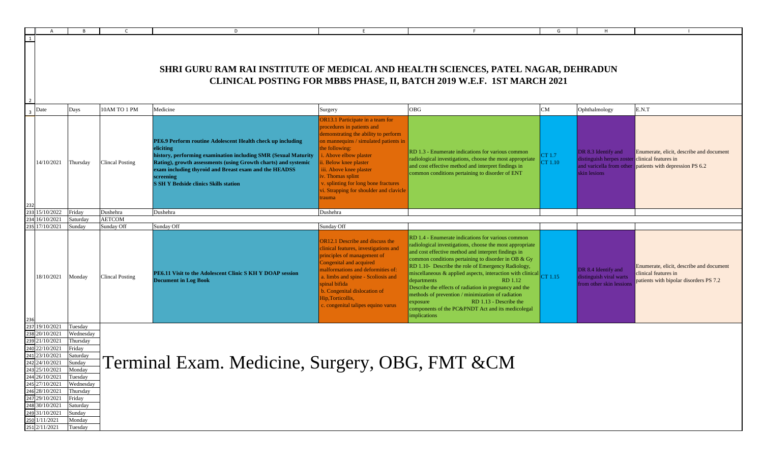|     | $\overline{A}$                                                                                                                                                                                                                                          | <b>B</b>                                                                                                                                                            |                        | D                                                                                                                                                                                                                                                                                                                                 | E                                                                                                                                                                                                                                                                                                                                                                  |                                                                                                                                                                                                                                                                                                                                                                                                                                                                                                                                                                                                                    | G                 | H                                                                                     |                                                                                                            |  |  |  |
|-----|---------------------------------------------------------------------------------------------------------------------------------------------------------------------------------------------------------------------------------------------------------|---------------------------------------------------------------------------------------------------------------------------------------------------------------------|------------------------|-----------------------------------------------------------------------------------------------------------------------------------------------------------------------------------------------------------------------------------------------------------------------------------------------------------------------------------|--------------------------------------------------------------------------------------------------------------------------------------------------------------------------------------------------------------------------------------------------------------------------------------------------------------------------------------------------------------------|--------------------------------------------------------------------------------------------------------------------------------------------------------------------------------------------------------------------------------------------------------------------------------------------------------------------------------------------------------------------------------------------------------------------------------------------------------------------------------------------------------------------------------------------------------------------------------------------------------------------|-------------------|---------------------------------------------------------------------------------------|------------------------------------------------------------------------------------------------------------|--|--|--|
|     |                                                                                                                                                                                                                                                         | SHRI GURU RAM RAI INSTITUTE OF MEDICAL AND HEALTH SCIENCES, PATEL NAGAR, DEHRADUN<br>CLINICAL POSTING FOR MBBS PHASE, II, BATCH 2019 W.E.F. 1ST MARCH 2021          |                        |                                                                                                                                                                                                                                                                                                                                   |                                                                                                                                                                                                                                                                                                                                                                    |                                                                                                                                                                                                                                                                                                                                                                                                                                                                                                                                                                                                                    |                   |                                                                                       |                                                                                                            |  |  |  |
| 3   | Date                                                                                                                                                                                                                                                    | Days                                                                                                                                                                | 10AM TO 1 PM           | Medicine                                                                                                                                                                                                                                                                                                                          | Surgery                                                                                                                                                                                                                                                                                                                                                            | OBG                                                                                                                                                                                                                                                                                                                                                                                                                                                                                                                                                                                                                | ${\rm CM}$        | Ophthalmology                                                                         | E.N.T                                                                                                      |  |  |  |
|     | 14/10/2021                                                                                                                                                                                                                                              | Thursday                                                                                                                                                            | <b>Clincal Posting</b> | PE6.9 Perform routine Adolescent Health check up including<br>eliciting<br>history, performing examination including SMR (Sexual Maturity<br>Rating), growth assessments (using Growth charts) and systemic<br>exam including thyroid and Breast exam and the HEADSS<br>screening<br><b>S SH Y Bedside clinics Skills station</b> | OR13.1 Participate in a team for<br>procedures in patients and<br>demonstrating the ability to perform<br>on mannequins / simulated patients in<br>the following:<br>i. Above elbow plaster<br>ii. Below knee plaster<br>iii. Above knee plaster<br>iv. Thomas splint<br>v. splinting for long bone fractures<br>vi. Strapping for shoulder and clavicle<br>trauma | RD 1.3 - Enumerate indications for various common<br>radiological investigations, choose the most appropriate<br>and cost effective method and interpret findings in<br>common conditions pertaining to disorder of ENT                                                                                                                                                                                                                                                                                                                                                                                            | CT 1.7<br>CT 1.10 | DR 8.3 Identify and<br>distinguish herpes zoster clinical features in<br>skin lesions | Enumerate, elicit, describe and document<br>and varicella from other patients with depression PS 6.2       |  |  |  |
| 233 | 15/10/2022                                                                                                                                                                                                                                              | Friday                                                                                                                                                              | Dushehra               | Dushehra                                                                                                                                                                                                                                                                                                                          | Dushehra                                                                                                                                                                                                                                                                                                                                                           |                                                                                                                                                                                                                                                                                                                                                                                                                                                                                                                                                                                                                    |                   |                                                                                       |                                                                                                            |  |  |  |
|     | 16/10/2021                                                                                                                                                                                                                                              | Saturday                                                                                                                                                            | <b>AETCOM</b>          |                                                                                                                                                                                                                                                                                                                                   |                                                                                                                                                                                                                                                                                                                                                                    |                                                                                                                                                                                                                                                                                                                                                                                                                                                                                                                                                                                                                    |                   |                                                                                       |                                                                                                            |  |  |  |
|     | 17/10/2021                                                                                                                                                                                                                                              | Sunday                                                                                                                                                              | Sunday Off             | Sunday Off                                                                                                                                                                                                                                                                                                                        | Sunday Off                                                                                                                                                                                                                                                                                                                                                         |                                                                                                                                                                                                                                                                                                                                                                                                                                                                                                                                                                                                                    |                   |                                                                                       |                                                                                                            |  |  |  |
|     | 18/10/2021                                                                                                                                                                                                                                              | Monday                                                                                                                                                              | Clincal Posting        | PE6.11 Visit to the Adolescent Clinic S KH Y DOAP session<br><b>Document in Log Book</b>                                                                                                                                                                                                                                          | OR12.1 Describe and discuss the<br>clinical features, investigations and<br>principles of management of<br>Congenital and acquired<br>malformations and deformities of:<br>a. limbs and spine - Scoliosis and<br>spinal bifida<br>b. Congenital dislocation of<br>Hip, Torticollis,<br>c. congenital talipes equino varus                                          | RD 1.4 - Enumerate indications for various common<br>radiological investigations, choose the most appropriate<br>and cost effective method and interpret findings in<br>common conditions pertaining to disorder in OB & Gy<br>RD 1.10- Describe the role of Emergency Radiology,<br>miscellaneous & applied aspects, interaction with clinical CT 1.15<br>departments<br>RD 1.12<br>Describe the effects of radiation in pregnancy and the<br>methods of prevention / minimization of radiation<br>RD 1.13 - Describe the<br>exposure<br>components of the PC&PNDT Act and its medicolegal<br><i>implications</i> |                   | DR 8.4 Identify and<br>distinguish viral warts<br>from other skin lessions            | Enumerate, elicit, describe and document<br>clinical features in<br>patients with bipolar disorders PS 7.2 |  |  |  |
|     | 19/10/2021<br>238 20/10/2021<br>21/10/2021<br>22/10/2021<br>23/10/2021<br>242 24/10/2021<br>243 25/10/2021<br>244 26/10/2021<br>245 27/10/2021<br>246 28/10/2021<br>247 29/10/2021<br>248 30/10/2021<br>49 31/10/2021<br>250 1/11/2021<br>251 2/11/2021 | Tuesday<br>Wednesday<br>Thursday<br>Friday<br>Saturday<br>Sunday<br>Monday<br>Tuesday<br>Wednesday<br>Thursday<br>Friday<br>Saturday<br>Sunday<br>Monday<br>Tuesday |                        | Terminal Exam. Medicine, Surgery, OBG, FMT &CM                                                                                                                                                                                                                                                                                    |                                                                                                                                                                                                                                                                                                                                                                    |                                                                                                                                                                                                                                                                                                                                                                                                                                                                                                                                                                                                                    |                   |                                                                                       |                                                                                                            |  |  |  |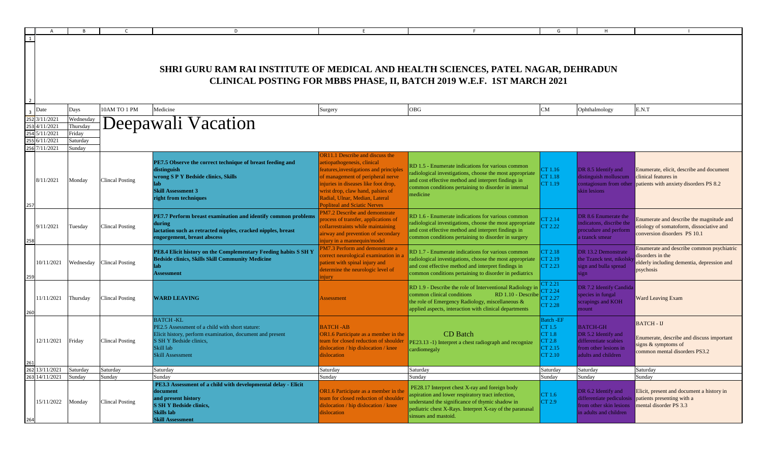|                                                               |                                                       |                                  | D                                                                                                                                                                                                  |                                                                                                                                                                                                                                                                                                             |                                                                                                                                                                                                                                                      | G                                                              |                                                                                                                 |                                                                                                                                   |
|---------------------------------------------------------------|-------------------------------------------------------|----------------------------------|----------------------------------------------------------------------------------------------------------------------------------------------------------------------------------------------------|-------------------------------------------------------------------------------------------------------------------------------------------------------------------------------------------------------------------------------------------------------------------------------------------------------------|------------------------------------------------------------------------------------------------------------------------------------------------------------------------------------------------------------------------------------------------------|----------------------------------------------------------------|-----------------------------------------------------------------------------------------------------------------|-----------------------------------------------------------------------------------------------------------------------------------|
|                                                               |                                                       |                                  | SHRI GURU RAM RAI INSTITUTE OF MEDICAL AND HEALTH SCIENCES, PATEL NAGAR, DEHRADUN                                                                                                                  |                                                                                                                                                                                                                                                                                                             | CLINICAL POSTING FOR MBBS PHASE, II, BATCH 2019 W.E.F. 1ST MARCH 2021                                                                                                                                                                                |                                                                |                                                                                                                 |                                                                                                                                   |
| Date                                                          | Days                                                  | 10AM TO 1 PM                     | Medicine                                                                                                                                                                                           | Surgery                                                                                                                                                                                                                                                                                                     | OBG                                                                                                                                                                                                                                                  | CM                                                             | Ophthalmology                                                                                                   | E.N.T                                                                                                                             |
| 3/11/2021<br>4/11/2021<br>5/11/2021<br>6/11/2021<br>7/11/2021 | Wednesday<br>Thursday<br>Friday<br>Saturday<br>Sunday |                                  | Deepawali Vacation                                                                                                                                                                                 |                                                                                                                                                                                                                                                                                                             |                                                                                                                                                                                                                                                      |                                                                |                                                                                                                 |                                                                                                                                   |
| 8/11/2021                                                     | Monday                                                | <b>Clincal Posting</b>           | PE7.5 Observe the correct technique of breast feeding and<br>distinguish<br>wrong S P Y Bedside clinics, Skills<br><b>Skill Assessment 3</b><br>right from techniques                              | <b>OR11.1</b> Describe and discuss the<br>aetiopathogenesis, clinical<br>features, investigations and principles<br>of management of peripheral nerve<br>injuries in diseases like foot drop,<br>wrist drop, claw hand, palsies of<br>Radial, Ulnar, Median, Lateral<br><b>Popliteal and Sciatic Nerves</b> | RD 1.5 - Enumerate indications for various common<br>radiological investigations, choose the most appropriate<br>and cost effective method and interpret findings in<br>common conditions pertaining to disorder in internal<br>medicine             | CT 1.16<br>CT 1.18<br>CT 1.19                                  | DR 8.5 Identify and<br>distinguish molluscum<br>skin lesions                                                    | Enumerate, elicit, describe and document<br>clinical features in<br>contagiosum from other patients with anxiety disorders PS 8.2 |
| 9/11/2021                                                     | Tuesday                                               | <b>Clincal Posting</b>           | PE7.7 Perform breast examination and identify common problems<br>during<br>lactation such as retracted nipples, cracked nipples, breast<br>engorgement, breast abscess                             | PM7.2 Describe and demonstrate<br>process of transfer, applications of<br>collarrestraints while maintaining<br>airway and prevention of secondary<br>injury in a mannequin/model                                                                                                                           | RD 1.6 - Enumerate indications for various common<br>radiological investigations, choose the most appropriate<br>and cost effective method and interpret findings in<br>common conditions pertaining to disorder in surgery                          | TT 2.14<br>CT 2.22                                             | DR 8.6 Enumerate the<br>indicatons, discribe the<br>procudure and perform<br>a tzanck smear                     | Enumerate and describe the magnitude and<br>etiology of somatoform, dissociative and<br>conversion disorders PS 10.1              |
| 10/11/2021                                                    |                                                       | Wednesday Clincal Posting        | PE8.4 Elicit history on the Complementary Feeding habits S SH Y<br><b>Bedside clinics, Skills Skill Community Medicine</b><br>lab<br>Assessment                                                    | <b>PM7.3 Perform and demonstrate a</b><br>correct neurological examination in<br>patient with spinal injury and<br>determine the neurologic level of<br>njury                                                                                                                                               | RD 1.7 - Enumerate indications for various common<br>radiological investigations, choose the most appropriate<br>and cost effective method and interpret findings in<br>common conditions pertaining to disorder in pediatrics                       | CT 2.18<br>CT 2.19<br>CT 2.23                                  | DR 13.2 Demonstrate<br>the Tzanck test, nikolsl<br>sign and bulla spread<br>sign                                | Enumerate and describe common psychiatric<br>disorders in the<br>elderly including dementia, depression and<br>psychosis          |
| 11/11/2021                                                    | Thursday                                              | <b>Clincal Posting</b>           | <b>WARD LEAVING</b>                                                                                                                                                                                | <b>Assessment</b>                                                                                                                                                                                                                                                                                           | RD 1.9 - Describe the role of Interventional Radiology i<br>common clinical conditions<br>RD 1.10 - Describe<br>the role of Emergency Radiology, miscellaneous &<br>applied aspects, interaction with clinical departments                           | CT 2.21<br>T 2.24<br>TT 2.27<br><b>CT 2.28</b>                 | DR 7.2 Identify Candida<br>species in fungal<br>scrapings and KOH<br>mount                                      | <b>Ward Leaving Exam</b>                                                                                                          |
| 12/11/2021                                                    | Friday                                                | <b>Clincal Posting</b>           | <b>BATCH-KL</b><br>PE2.5 Assessment of a child with short stature:<br>Elicit history, perform examination, document and present<br>S SH Y Bedside clinics,<br>Skill lab<br><b>Skill Assessment</b> | <b>BATCH-AB</b><br>OR1.6 Participate as a member in the<br>team for closed reduction of shoulder<br>dislocation / hip dislocation / knee<br>dislocation                                                                                                                                                     | <b>CD</b> Batch<br>PE23.13 -1) Interpret a chest radiograph and recognize<br>cardiomegaly                                                                                                                                                            | Batch - EF<br>CT 1.5<br>CT 1.8<br>CT 2.8<br>CT 2.15<br>CT 2.10 | <b>BATCH-GH</b><br>DR 5.2 Identify and<br>differentiate scabies<br>from other lesions in<br>adults and children | <b>BATCH - IJ</b><br>Enumerate, describe and discuss important<br>signs & symptoms of<br>common mental disorders PS3.2            |
| 13/11/2021                                                    | Saturday                                              | Saturday                         | Saturday                                                                                                                                                                                           | Saturday                                                                                                                                                                                                                                                                                                    | Saturday                                                                                                                                                                                                                                             | Saturday                                                       | Saturday                                                                                                        | Saturday                                                                                                                          |
| 14/11/2021<br>15/11/2022                                      | Sunday<br>Monday                                      | Sunday<br><b>Clincal Posting</b> | Sunday<br>PE3.3 Assessment of a child with developmental delay - Elicit<br>document<br>and present history<br><b>S SH Y Bedside clinics,</b><br>Skills lab<br><b>Skill Assessment</b>              | Sunday<br>OR1.6 Participate as a member in the<br>team for closed reduction of shoulder<br>dislocation / hip dislocation / knee<br>dislocation                                                                                                                                                              | Sunday<br>PE28.17 Interpret chest X-ray and foreign body<br>aspiration and lower respiratory tract infection,<br>understand the significance of thymic shadow in<br>pediatric chest X-Rays. Interpret X-ray of the paranasal<br>sinsues and mastoid. | Sunday<br>CT 1.6<br>CT 2.9                                     | Sunday<br>DR 6.2 Identify and<br>differentiate pediculosis<br>from other skin lesions<br>in adults and children | Sunday<br>Elicit, present and document a history in<br>patients presenting with a<br>mental disorder PS 3.3                       |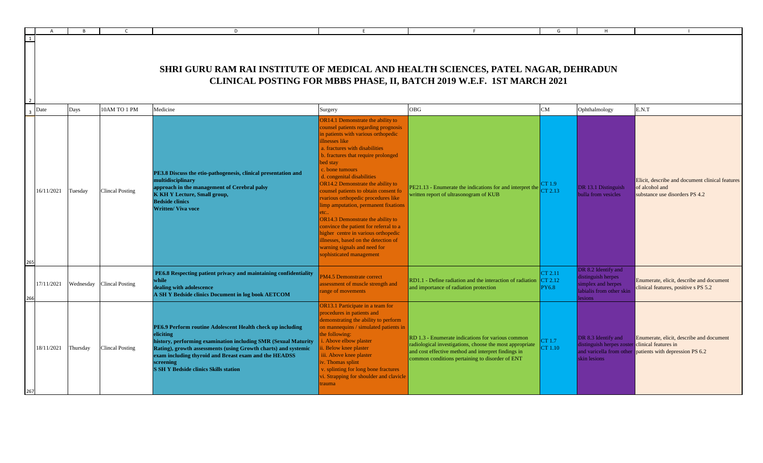|     |                     |           |                        | D                                                                                                                                                                                                                                                                                                                                 | E                                                                                                                                                                                                                                                                                                                                                                                                                                                                                                                                                                                                                                                                     |                                                                                                                                                                                                                         | G                                  |                                                                                                       |                                                                                                      |
|-----|---------------------|-----------|------------------------|-----------------------------------------------------------------------------------------------------------------------------------------------------------------------------------------------------------------------------------------------------------------------------------------------------------------------------------|-----------------------------------------------------------------------------------------------------------------------------------------------------------------------------------------------------------------------------------------------------------------------------------------------------------------------------------------------------------------------------------------------------------------------------------------------------------------------------------------------------------------------------------------------------------------------------------------------------------------------------------------------------------------------|-------------------------------------------------------------------------------------------------------------------------------------------------------------------------------------------------------------------------|------------------------------------|-------------------------------------------------------------------------------------------------------|------------------------------------------------------------------------------------------------------|
|     |                     |           |                        | <b>SHRI GURU RAM RAI INSTITUTE OF MEDICAL AND HEALTH SCIENCES, PATEL NAGAR, DEHRADUN</b>                                                                                                                                                                                                                                          |                                                                                                                                                                                                                                                                                                                                                                                                                                                                                                                                                                                                                                                                       | CLINICAL POSTING FOR MBBS PHASE, II, BATCH 2019 W.E.F. 1ST MARCH 2021                                                                                                                                                   |                                    |                                                                                                       |                                                                                                      |
|     | $\overline{3}$ Date | Days      | 10AM TO 1 PM           | Medicine                                                                                                                                                                                                                                                                                                                          | Surgery                                                                                                                                                                                                                                                                                                                                                                                                                                                                                                                                                                                                                                                               | OBG                                                                                                                                                                                                                     | CM                                 | Ophthalmology                                                                                         | E.N.T                                                                                                |
| 265 | 16/11/2021          | Tuesday   | <b>Clincal Posting</b> | PE3.8 Discuss the etio-pathogenesis, clinical presentation and<br>multidisciplinary<br>approach in the management of Cerebral palsy<br><b>K KH Y Lecture, Small group,</b><br><b>Bedside clinics</b><br><b>Written/ Viva voce</b>                                                                                                 | OR14.1 Demonstrate the ability to<br>counsel patients regarding prognosis<br>in patients with various orthopedic<br>illnesses like<br>a. fractures with disabilities<br>b. fractures that require prolonged<br>bed stay<br>c. bone tumours<br>d. congenital disabilities<br>OR14.2 Demonstrate the ability to<br>counsel patients to obtain consent fo<br>rvarious orthopedic procedures like<br>limp amputation, permanent fixations<br>tc<br>OR14.3 Demonstrate the ability to<br>convince the patient for referral to a<br>higher centre in various orthopedic<br>illnesses, based on the detection of<br>warning signals and need for<br>sophisticated management | PE21.13 - Enumerate the indications for and interpret the<br>written report of ultrasonogram of KUB                                                                                                                     | CT 1.9<br>CT 2.13                  | DR 13.1 Distinguish<br>bulla from vesicles                                                            | Elicit, describe and document clinical features<br>of alcohol and<br>substance use disorders PS 4.2  |
|     | 17/11/2021          | Wednesday | <b>Clincal Posting</b> | PE6.8 Respecting patient privacy and maintaining confidentiality<br>while<br>dealing with adolescence<br>A SH Y Bedside clinics Document in log book AETCOM                                                                                                                                                                       | PM4.5 Demonstrate correct<br>assessment of muscle strength and<br>range of movements                                                                                                                                                                                                                                                                                                                                                                                                                                                                                                                                                                                  | RD1.1 - Define radiation and the interaction of radiation<br>and importance of radiation protection                                                                                                                     | CT 2.11<br>CT 2.12<br><b>PY6.8</b> | DR 8.2 Identify and<br>distinguish herpes<br>simplex and herpes<br>labialis from other skin<br>esions | Enumerate, elicit, describe and document<br>clinical features, positive s PS 5.2                     |
|     | 18/11/2021          | Thursday  | <b>Clincal Posting</b> | PE6.9 Perform routine Adolescent Health check up including<br>eliciting<br>history, performing examination including SMR (Sexual Maturity<br>Rating), growth assessments (using Growth charts) and systemic<br>exam including thyroid and Breast exam and the HEADSS<br>screening<br><b>S SH Y Bedside clinics Skills station</b> | OR13.1 Participate in a team for<br>procedures in patients and<br>demonstrating the ability to perform<br>on mannequins / simulated patients in<br>the following:<br>. Above elbow plaster<br>Below knee plaster<br>iii. Above knee plaster<br>. Thomas splint<br>. splinting for long bone fractures<br>vi. Strapping for shoulder and clavicle<br>trauma                                                                                                                                                                                                                                                                                                            | RD 1.3 - Enumerate indications for various common<br>radiological investigations, choose the most appropriate<br>and cost effective method and interpret findings in<br>common conditions pertaining to disorder of ENT | CT 1.7<br>CT 1.10                  | DR 8.3 Identify and<br>distinguish herpes zoster clinical features in<br>skin lesions                 | Enumerate, elicit, describe and document<br>and varicella from other patients with depression PS 6.2 |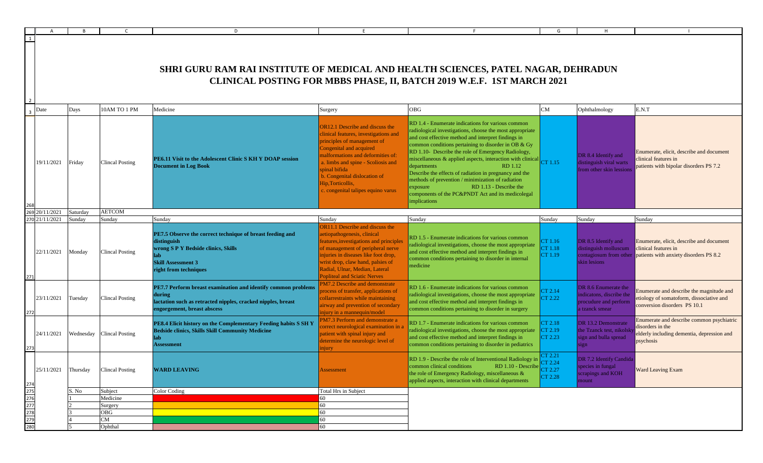|                                               |                                                                                                                                                            |          |                           | D                                                                                                                                                                             |                                                                                                                                                                                                                                                                                                                                  |                                                                                                                                                                                                                                                                                                                                                                                                                                                                                                                                                                                                                                                    | G                             | н                                                                                           |                                                                                                                          |  |  |
|-----------------------------------------------|------------------------------------------------------------------------------------------------------------------------------------------------------------|----------|---------------------------|-------------------------------------------------------------------------------------------------------------------------------------------------------------------------------|----------------------------------------------------------------------------------------------------------------------------------------------------------------------------------------------------------------------------------------------------------------------------------------------------------------------------------|----------------------------------------------------------------------------------------------------------------------------------------------------------------------------------------------------------------------------------------------------------------------------------------------------------------------------------------------------------------------------------------------------------------------------------------------------------------------------------------------------------------------------------------------------------------------------------------------------------------------------------------------------|-------------------------------|---------------------------------------------------------------------------------------------|--------------------------------------------------------------------------------------------------------------------------|--|--|
| 1                                             |                                                                                                                                                            |          |                           |                                                                                                                                                                               |                                                                                                                                                                                                                                                                                                                                  |                                                                                                                                                                                                                                                                                                                                                                                                                                                                                                                                                                                                                                                    |                               |                                                                                             |                                                                                                                          |  |  |
|                                               | SHRI GURU RAM RAI INSTITUTE OF MEDICAL AND HEALTH SCIENCES, PATEL NAGAR, DEHRADUN<br>CLINICAL POSTING FOR MBBS PHASE, II, BATCH 2019 W.E.F. 1ST MARCH 2021 |          |                           |                                                                                                                                                                               |                                                                                                                                                                                                                                                                                                                                  |                                                                                                                                                                                                                                                                                                                                                                                                                                                                                                                                                                                                                                                    |                               |                                                                                             |                                                                                                                          |  |  |
| Date<br>3 <sup>1</sup>                        |                                                                                                                                                            | Days     | 10AM TO 1 PM              | Medicine                                                                                                                                                                      | Surgery                                                                                                                                                                                                                                                                                                                          | <b>OBG</b>                                                                                                                                                                                                                                                                                                                                                                                                                                                                                                                                                                                                                                         | CM                            | Ophthalmology                                                                               | E.N.T                                                                                                                    |  |  |
|                                               | 19/11/2021                                                                                                                                                 | Friday   | <b>Clincal Posting</b>    | PE6.11 Visit to the Adolescent Clinic S KH Y DOAP session<br><b>Document in Log Book</b>                                                                                      | <b>OR12.1</b> Describe and discuss the<br>clinical features, investigations and<br>principles of management of<br>Congenital and acquired<br>malformations and deformities of:<br>a. limbs and spine - Scoliosis and<br>spinal bifida<br>b. Congenital dislocation of<br>Hip, Torticollis,<br>c. congenital talipes equino varus | RD 1.4 - Enumerate indications for various common<br>radiological investigations, choose the most appropriate<br>and cost effective method and interpret findings in<br>common conditions pertaining to disorder in OB & Gy<br>RD 1.10- Describe the role of Emergency Radiology,<br>miscellaneous & applied aspects, interaction with clinical $\begin{bmatrix} C\Gamma & 1.15 \end{bmatrix}$<br>departments<br>RD 1.12<br>Describe the effects of radiation in pregnancy and the<br>methods of prevention / minimization of radiation<br>RD 1.13 - Describe the<br>exposure<br>components of the PC&PNDT Act and its medicolegal<br>implications |                               | DR 8.4 Identify and<br>distinguish viral warts<br>from other skin lession:                  | Enumerate, elicit, describe and document<br>clinical features in<br>patients with bipolar disorders PS 7.2               |  |  |
| 269 20/11/2021                                |                                                                                                                                                            | Saturday | <b>AETCOM</b>             |                                                                                                                                                                               |                                                                                                                                                                                                                                                                                                                                  |                                                                                                                                                                                                                                                                                                                                                                                                                                                                                                                                                                                                                                                    |                               |                                                                                             |                                                                                                                          |  |  |
| 270 21/11/2021                                |                                                                                                                                                            | Sunday   | Sunday                    | Sunday                                                                                                                                                                        | Sundav                                                                                                                                                                                                                                                                                                                           | Sunday                                                                                                                                                                                                                                                                                                                                                                                                                                                                                                                                                                                                                                             | Sunday                        | Sunday                                                                                      | Sunday                                                                                                                   |  |  |
| 271                                           | 22/11/2021                                                                                                                                                 | Monday   | Clincal Posting           | PE7.5 Observe the correct technique of breast feeding and<br>distinguish<br>wrong S P Y Bedside clinics, Skills<br>lab.<br><b>Skill Assessment 3</b><br>right from techniques | OR11.1 Describe and discuss the<br>aetiopathogenesis, clinical<br>features, investigations and principles<br>of management of peripheral nerve<br>injuries in diseases like foot drop,<br>wrist drop, claw hand, palsies of<br>Radial, Ulnar, Median, Lateral<br><b>Popliteal and Sciatic Nerves</b>                             | RD 1.5 - Enumerate indications for various common<br>radiological investigations, choose the most appropriate<br>and cost effective method and interpret findings in<br>common conditions pertaining to disorder in internal<br>medicine                                                                                                                                                                                                                                                                                                                                                                                                           | CT 1.16<br>CT 1.18<br>CT 1.19 | DR 8.5 Identify and<br>distinguish molluscum<br>contagiosum from other<br>skin lesions      | Enumerate, elicit, describe and document<br>clinical features in<br>patients with anxiety disorders PS 8.2               |  |  |
| 272                                           | 23/11/2021                                                                                                                                                 | Tuesday  | <b>Clincal Posting</b>    | PE7.7 Perform breast examination and identify common problems<br>during<br>lactation such as retracted nipples, cracked nipples, breast<br>engorgement, breast abscess        | PM7.2 Describe and demonstrate<br>process of transfer, applications of<br>collarrestraints while maintaining<br>airway and prevention of secondary<br>injury in a mannequin/model                                                                                                                                                | RD 1.6 - Enumerate indications for various common<br>radiological investigations, choose the most appropriate<br>and cost effective method and interpret findings in<br>common conditions pertaining to disorder in surgery                                                                                                                                                                                                                                                                                                                                                                                                                        | CT 2.14<br>CT 2.22            | DR 8.6 Enumerate the<br>indicatons, discribe the<br>procudure and perform<br>a tzanck smear | Enumerate and describe the magnitude and<br>etiology of somatoform, dissociative and<br>conversion disorders PS 10.1     |  |  |
| 273                                           | 24/11/2021                                                                                                                                                 |          | Wednesday Clincal Posting | PE8.4 Elicit history on the Complementary Feeding habits S SH Y<br><b>Bedside clinics, Skills Skill Community Medicine</b><br>lab<br><b>Assessment</b>                        | PM7.3 Perform and demonstrate a<br>correct neurological examination in<br>patient with spinal injury and<br>determine the neurologic level of<br>njury                                                                                                                                                                           | RD 1.7 - Enumerate indications for various common<br>radiological investigations, choose the most appropriate<br>and cost effective method and interpret findings in<br>common conditions pertaining to disorder in pediatrics                                                                                                                                                                                                                                                                                                                                                                                                                     | CT 2.18<br>CT 2.19<br>CT 2.23 | DR 13.2 Demonstrate<br>the Tzanck test, nikolsk<br>sign and bulla spread<br>ign             | Enumerate and describe common psychiatric<br>disorders in the<br>elderly including dementia, depression and<br>psychosis |  |  |
|                                               | 25/11/2021                                                                                                                                                 | Thursday | <b>Clincal Posting</b>    | <b>WARD LEAVING</b>                                                                                                                                                           | <b>Assessment</b>                                                                                                                                                                                                                                                                                                                | RD 1.9 - Describe the role of Interventional Radiology in<br>$\frac{100 \text{ N}}{1000 \text{ N}} = \frac{1000 \text{ N}}{1000 \text{ N}} = \frac{1000 \text{ N}}{1000 \text{ N}} = 2.27$<br>common clinical conditions<br>the role of Emergency Radiology, miscellaneous &<br>applied aspects, interaction with clinical departments                                                                                                                                                                                                                                                                                                             | CT 2.21<br>CT 2.28            | DR 7.2 Identify Candida<br>species in fungal<br>scrapings and KOH<br>mount                  | <b>Ward Leaving Exam</b>                                                                                                 |  |  |
| 274<br>275<br>276<br>277<br>278<br>279<br>280 |                                                                                                                                                            | S. No    | Subject                   | Color Coding                                                                                                                                                                  | Total Hrs in Subject                                                                                                                                                                                                                                                                                                             |                                                                                                                                                                                                                                                                                                                                                                                                                                                                                                                                                                                                                                                    |                               |                                                                                             |                                                                                                                          |  |  |
|                                               |                                                                                                                                                            |          | Medicine                  |                                                                                                                                                                               | 60                                                                                                                                                                                                                                                                                                                               |                                                                                                                                                                                                                                                                                                                                                                                                                                                                                                                                                                                                                                                    |                               |                                                                                             |                                                                                                                          |  |  |
|                                               |                                                                                                                                                            |          | Surgery                   |                                                                                                                                                                               | 60                                                                                                                                                                                                                                                                                                                               |                                                                                                                                                                                                                                                                                                                                                                                                                                                                                                                                                                                                                                                    |                               |                                                                                             |                                                                                                                          |  |  |
|                                               |                                                                                                                                                            |          | OBG                       |                                                                                                                                                                               | 60                                                                                                                                                                                                                                                                                                                               |                                                                                                                                                                                                                                                                                                                                                                                                                                                                                                                                                                                                                                                    |                               |                                                                                             |                                                                                                                          |  |  |
|                                               |                                                                                                                                                            |          | CM                        |                                                                                                                                                                               | 60                                                                                                                                                                                                                                                                                                                               |                                                                                                                                                                                                                                                                                                                                                                                                                                                                                                                                                                                                                                                    |                               |                                                                                             |                                                                                                                          |  |  |
|                                               |                                                                                                                                                            |          | Ophthal                   |                                                                                                                                                                               | 60                                                                                                                                                                                                                                                                                                                               |                                                                                                                                                                                                                                                                                                                                                                                                                                                                                                                                                                                                                                                    |                               |                                                                                             |                                                                                                                          |  |  |